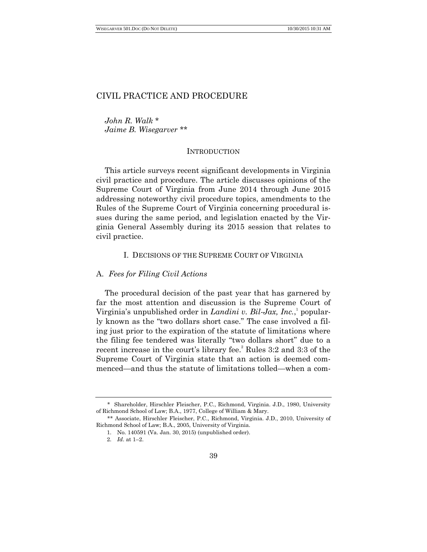*John R. Walk* \* *Jaime B. Wisegarver* \*\*

# **INTRODUCTION**

This article surveys recent significant developments in Virginia civil practice and procedure. The article discusses opinions of the Supreme Court of Virginia from June 2014 through June 2015 addressing noteworthy civil procedure topics, amendments to the Rules of the Supreme Court of Virginia concerning procedural issues during the same period, and legislation enacted by the Virginia General Assembly during its 2015 session that relates to civil practice.

## I. DECISIONS OF THE SUPREME COURT OF VIRGINIA

# A. *Fees for Filing Civil Actions*

The procedural decision of the past year that has garnered by far the most attention and discussion is the Supreme Court of Virginia's unpublished order in *Landini v. Bil-Jax, Inc.*, popularly known as the "two dollars short case." The case involved a filing just prior to the expiration of the statute of limitations where the filing fee tendered was literally "two dollars short" due to a recent increase in the court's library fee.<sup>2</sup> Rules 3:2 and 3:3 of the Supreme Court of Virginia state that an action is deemed commenced—and thus the statute of limitations tolled—when a com-

<sup>\*</sup> Shareholder, Hirschler Fleischer, P.C., Richmond, Virginia. J.D., 1980, University of Richmond School of Law; B.A., 1977, College of William & Mary.

<sup>\*\*</sup> Associate, Hirschler Fleischer, P.C., Richmond, Virginia. J.D., 2010, University of Richmond School of Law; B.A., 2005, University of Virginia.

<sup>1.</sup> No. 140591 (Va. Jan. 30, 2015) (unpublished order).

<sup>2.</sup> *Id*. at 1–2.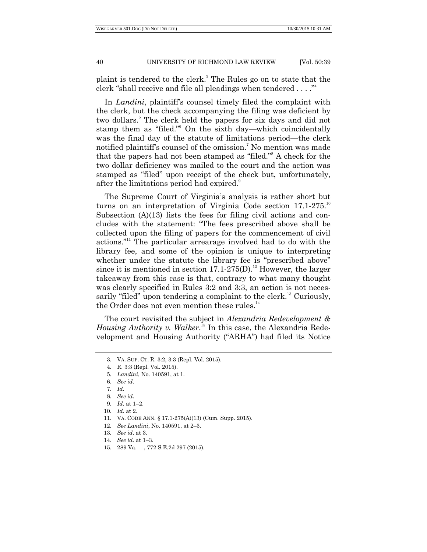plaint is tendered to the clerk.<sup>3</sup> The Rules go on to state that the clerk "shall receive and file all pleadings when tendered  $\dots$ ."<sup>4</sup>

In *Landini*, plaintiff's counsel timely filed the complaint with the clerk, but the check accompanying the filing was deficient by two dollars.<sup>5</sup> The clerk held the papers for six days and did not stamp them as "filed." On the sixth day—which coincidentally was the final day of the statute of limitations period—the clerk notified plaintiff's counsel of the omission.<sup>7</sup> No mention was made that the papers had not been stamped as "filed."<sup>8</sup> A check for the two dollar deficiency was mailed to the court and the action was stamped as "filed" upon receipt of the check but, unfortunately, after the limitations period had expired.<sup>9</sup>

The Supreme Court of Virginia's analysis is rather short but turns on an interpretation of Virginia Code section 17.1-275.<sup>10</sup> Subsection (A)(13) lists the fees for filing civil actions and concludes with the statement: "The fees prescribed above shall be collected upon the filing of papers for the commencement of civil actions."<sup>11</sup> The particular arrearage involved had to do with the library fee, and some of the opinion is unique to interpreting whether under the statute the library fee is "prescribed above" since it is mentioned in section  $17.1{\cdot}275(D)$ .<sup>12</sup> However, the larger takeaway from this case is that, contrary to what many thought was clearly specified in Rules 3:2 and 3:3, an action is not necessarily "filed" upon tendering a complaint to the clerk.<sup>13</sup> Curiously, the Order does not even mention these rules.<sup>14</sup>

The court revisited the subject in *Alexandria Redevelopment & Housing Authority v. Walker*. <sup>15</sup> In this case, the Alexandria Redevelopment and Housing Authority ("ARHA") had filed its Notice

<sup>3.</sup> VA. SUP. CT. R. 3:2, 3:3 (Repl. Vol. 2015).

<sup>4.</sup> R. 3:3 (Repl. Vol. 2015).

<sup>5.</sup> *Landini*, No. 140591, at 1.

<sup>6.</sup> *See id*.

<sup>7.</sup> *Id*.

<sup>8.</sup> *See id*.

<sup>9.</sup> *Id*. at 1–2.

<sup>10.</sup> *Id*. at 2.

<sup>11.</sup> VA. CODE ANN. § 17.1-275(A)(13) (Cum. Supp. 2015).

<sup>12.</sup> *See Landini*, No. 140591, at 2–3.

<sup>13.</sup> *See id*. at 3.

<sup>14.</sup> *See id*. at 1–3.

<sup>15.</sup> 289 Va. \_\_, 772 S.E.2d 297 (2015).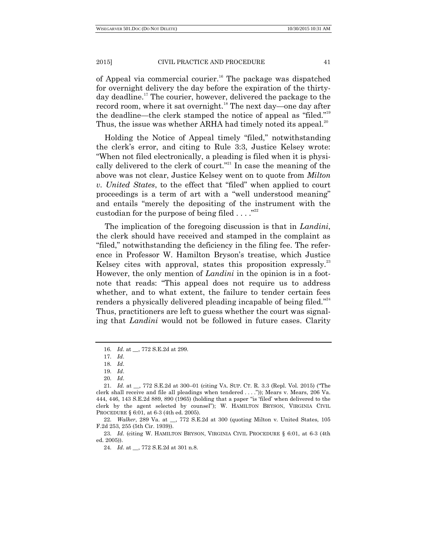of Appeal via commercial courier.<sup>16</sup> The package was dispatched for overnight delivery the day before the expiration of the thirtyday deadline. <sup>17</sup> The courier, however, delivered the package to the record room, where it sat overnight.<sup>18</sup> The next day—one day after the deadline—the clerk stamped the notice of appeal as "filed."<sup>19</sup> Thus, the issue was whether ARHA had timely noted its appeal.<sup>20</sup>

Holding the Notice of Appeal timely "filed," notwithstanding the clerk's error, and citing to Rule 3:3, Justice Kelsey wrote: ―When not filed electronically, a pleading is filed when it is physically delivered to the clerk of court."<sup>21</sup> In case the meaning of the above was not clear, Justice Kelsey went on to quote from *Milton v. United States*, to the effect that "filed" when applied to court proceedings is a term of art with a "well understood meaning" and entails "merely the depositing of the instrument with the custodian for the purpose of being filed  $\dots$ ."<sup>22</sup>

The implication of the foregoing discussion is that in *Landini*, the clerk should have received and stamped in the complaint as "filed," notwithstanding the deficiency in the filing fee. The reference in Professor W. Hamilton Bryson's treatise, which Justice Kelsey cites with approval, states this proposition expressly.<sup>23</sup> However, the only mention of *Landini* in the opinion is in a footnote that reads: "This appeal does not require us to address whether, and to what extent, the failure to tender certain fees renders a physically delivered pleading incapable of being filed."<sup>24</sup> Thus, practitioners are left to guess whether the court was signaling that *Landini* would not be followed in future cases. Clarity

22. *Walker*, 289 Va. at \_\_, 772 S.E.2d at 300 (quoting Milton v. United States, 105 F.2d 253, 255 (5th Cir. 1939)).

23. *Id*. (citing W. HAMILTON BRYSON, VIRGINIA CIVIL PROCEDURE § 6:01, at 6-3 (4th ed. 2005)).

24. *Id*. at \_\_, 772 S.E.2d at 301 n.8.

<sup>16.</sup> *Id*. at \_\_, 772 S.E.2d at 299.

<sup>17.</sup> *Id*.

<sup>18.</sup> *Id*.

<sup>19.</sup> *Id*.

<sup>20.</sup> *Id*.

<sup>21.</sup> *Id.* at \_, 772 S.E.2d at 300-01 (citing VA. SUP. CT. R. 3.3 (Repl. Vol. 2015) ("The clerk shall receive and file all pleadings when tendered . . . .")); Mears v. Mears, 206 Va.  $444, 446, 143$  S.E.2d  $889, 890$  (1965) (holding that a paper "is 'filed' when delivered to the clerk by the agent selected by counsel‖); W. HAMILTON BRYSON, VIRGINIA CIVIL PROCEDURE § 6:01, at 6-3 (4th ed. 2005).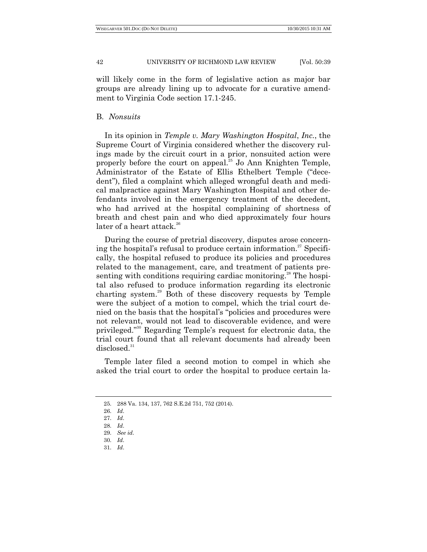will likely come in the form of legislative action as major bar groups are already lining up to advocate for a curative amendment to Virginia Code section 17.1-245.

#### B. *Nonsuits*

In its opinion in *Temple v. Mary Washington Hospital*, *Inc.*, the Supreme Court of Virginia considered whether the discovery rulings made by the circuit court in a prior, nonsuited action were properly before the court on appeal.<sup>25</sup> Jo Ann Knighten Temple, Administrator of the Estate of Ellis Ethelbert Temple ("decedent"), filed a complaint which alleged wrongful death and medical malpractice against Mary Washington Hospital and other defendants involved in the emergency treatment of the decedent, who had arrived at the hospital complaining of shortness of breath and chest pain and who died approximately four hours later of a heart attack.<sup>26</sup>

During the course of pretrial discovery, disputes arose concerning the hospital's refusal to produce certain information. <sup>27</sup> Specifically, the hospital refused to produce its policies and procedures related to the management, care, and treatment of patients presenting with conditions requiring cardiac monitoring.<sup>28</sup> The hospital also refused to produce information regarding its electronic charting system.<sup>29</sup> Both of these discovery requests by Temple were the subject of a motion to compel, which the trial court denied on the basis that the hospital's "policies and procedures were not relevant, would not lead to discoverable evidence, and were privileged."<sup>30</sup> Regarding Temple's request for electronic data, the trial court found that all relevant documents had already been  $disclosed.<sup>31</sup>$ 

Temple later filed a second motion to compel in which she asked the trial court to order the hospital to produce certain la-

<sup>25.</sup> 288 Va. 134, 137, 762 S.E.2d 751, 752 (2014).

<sup>26.</sup> *Id*.

<sup>27.</sup> *Id*.

<sup>28.</sup> *Id*. 29. *See id*.

<sup>30.</sup> *Id*.

<sup>31.</sup> *Id*.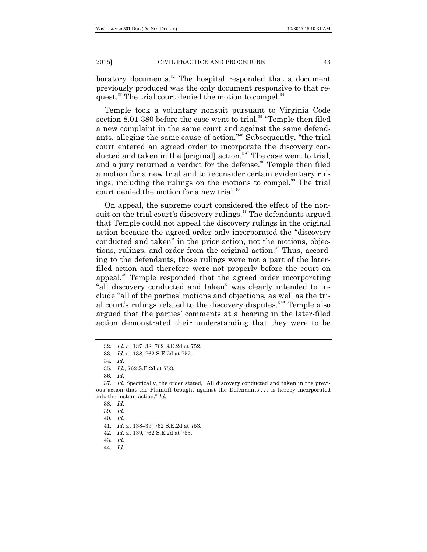boratory documents. $32$  The hospital responded that a document previously produced was the only document responsive to that request.<sup>33</sup> The trial court denied the motion to compel.<sup>34</sup>

Temple took a voluntary nonsuit pursuant to Virginia Code section  $8.01-380$  before the case went to trial.<sup>35</sup> "Temple then filed a new complaint in the same court and against the same defendants, alleging the same cause of action."<sup>36</sup> Subsequently, "the trial court entered an agreed order to incorporate the discovery conducted and taken in the [original] action."<sup>37</sup> The case went to trial, and a jury returned a verdict for the defense. <sup>38</sup> Temple then filed a motion for a new trial and to reconsider certain evidentiary rulings, including the rulings on the motions to compel.<sup>39</sup> The trial court denied the motion for a new trial.<sup>40</sup>

On appeal, the supreme court considered the effect of the nonsuit on the trial court's discovery rulings.<sup>41</sup> The defendants argued that Temple could not appeal the discovery rulings in the original action because the agreed order only incorporated the "discovery conducted and taken" in the prior action, not the motions, objections, rulings, and order from the original action.<sup>42</sup> Thus, according to the defendants, those rulings were not a part of the laterfiled action and therefore were not properly before the court on appeal.<sup>43</sup> Temple responded that the agreed order incorporating "all discovery conducted and taken" was clearly intended to include "all of the parties' motions and objections, as well as the trial court's rulings related to the discovery disputes."<sup>44</sup> Temple also argued that the parties' comments at a hearing in the later-filed action demonstrated their understanding that they were to be

<sup>32.</sup> *Id*. at 137–38, 762 S.E.2d at 752.

<sup>33.</sup> *Id*. at 138, 762 S.E.2d at 752.

<sup>34.</sup> *Id*.

<sup>35.</sup> *Id*., 762 S.E.2d at 753.

<sup>36.</sup> *Id*.

<sup>37.</sup> *Id.* Specifically, the order stated, "All discovery conducted and taken in the previous action that the Plaintiff brought against the Defendants . . . is hereby incorporated into the instant action.‖ *Id*.

<sup>38.</sup> *Id*.

<sup>39.</sup> *Id*.

<sup>41.</sup> *Id*. at 138–39, 762 S.E.2d at 753.

<sup>42.</sup> *Id*. at 139, 762 S.E.2d at 753.

<sup>43.</sup> *Id*.

<sup>44.</sup> *Id*.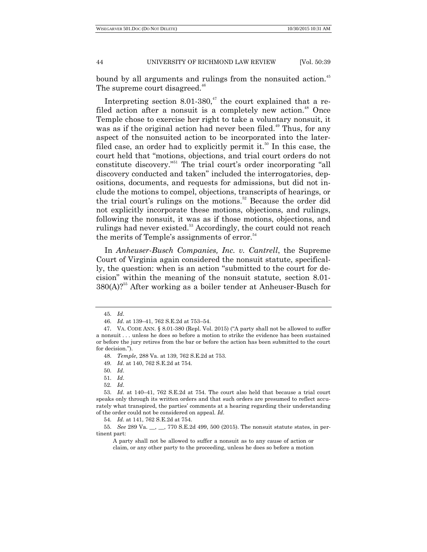bound by all arguments and rulings from the nonsuited action.<sup>45</sup> The supreme court disagreed.<sup>46</sup>

Interpreting section 8.01-380, $47$  the court explained that a refiled action after a nonsuit is a completely new action.<sup>48</sup> Once Temple chose to exercise her right to take a voluntary nonsuit, it was as if the original action had never been filed.<sup>49</sup> Thus, for any aspect of the nonsuited action to be incorporated into the laterfiled case, an order had to explicitly permit it.<sup>50</sup> In this case, the court held that "motions, objections, and trial court orders do not constitute discovery.<sup>551</sup> The trial court's order incorporating "all discovery conducted and taken" included the interrogatories, depositions, documents, and requests for admissions, but did not include the motions to compel, objections, transcripts of hearings, or the trial court's rulings on the motions.<sup>52</sup> Because the order did not explicitly incorporate these motions, objections, and rulings, following the nonsuit, it was as if those motions, objections, and rulings had never existed.<sup>53</sup> Accordingly, the court could not reach the merits of Temple's assignments of error. $54$ 

In *Anheuser-Busch Companies, Inc. v. Cantrell*, the Supreme Court of Virginia again considered the nonsuit statute, specifically, the question: when is an action "submitted to the court for decision" within the meaning of the nonsuit statute, section 8.01-380(A)?<sup>55</sup> After working as a boiler tender at Anheuser-Busch for

<sup>45.</sup> *Id*.

<sup>46.</sup> *Id*. at 139–41, 762 S.E.2d at 753–54.

<sup>47.</sup> VA. CODE ANN. § 8.01-380 (Repl. Vol. 2015) ("A party shall not be allowed to suffer a nonsuit . . . unless he does so before a motion to strike the evidence has been sustained or before the jury retires from the bar or before the action has been submitted to the court for decision.").

<sup>48.</sup> *Temple*, 288 Va. at 139, 762 S.E.2d at 753.

<sup>49.</sup> *Id*. at 140, 762 S.E.2d at 754.

<sup>50.</sup> *Id*.

<sup>51.</sup> *Id*.

<sup>52.</sup> *Id*.

<sup>53.</sup> *Id*. at 140–41, 762 S.E.2d at 754. The court also held that because a trial court speaks only through its written orders and that such orders are presumed to reflect accurately what transpired, the parties' comments at a hearing regarding their understanding of the order could not be considered on appeal. *Id*.

<sup>54.</sup> *Id*. at 141, 762 S.E.2d at 754.

<sup>55.</sup> *See* 289 Va. \_\_, \_\_, 770 S.E.2d 499, 500 (2015). The nonsuit statute states, in pertinent part:

A party shall not be allowed to suffer a nonsuit as to any cause of action or claim, or any other party to the proceeding, unless he does so before a motion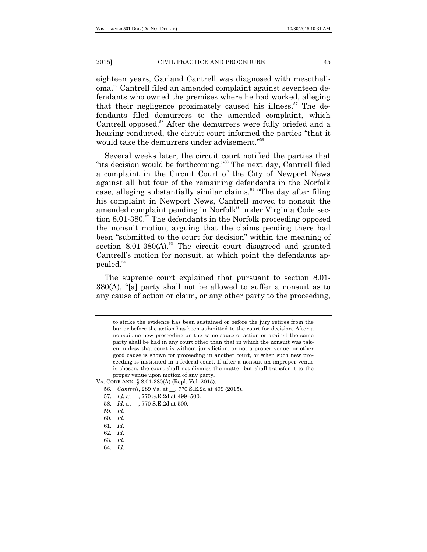eighteen years, Garland Cantrell was diagnosed with mesothelioma. <sup>56</sup> Cantrell filed an amended complaint against seventeen defendants who owned the premises where he had worked, alleging that their negligence proximately caused his illness.<sup>57</sup> The defendants filed demurrers to the amended complaint, which Cantrell opposed.<sup>58</sup> After the demurrers were fully briefed and a hearing conducted, the circuit court informed the parties "that it would take the demurrers under advisement."<sup>59</sup>

Several weeks later, the circuit court notified the parties that "its decision would be forthcoming."<sup>60</sup> The next day, Cantrell filed a complaint in the Circuit Court of the City of Newport News against all but four of the remaining defendants in the Norfolk case, alleging substantially similar claims. $61$  "The day after filing his complaint in Newport News, Cantrell moved to nonsuit the amended complaint pending in Norfolk" under Virginia Code section 8.01-380.<sup>62</sup> The defendants in the Norfolk proceeding opposed the nonsuit motion, arguing that the claims pending there had been "submitted to the court for decision" within the meaning of section  $8.01-380(A)$ .<sup>63</sup> The circuit court disagreed and granted Cantrell's motion for nonsuit, at which point the defendants appealed.<sup>64</sup>

The supreme court explained that pursuant to section 8.01-  $380(A)$ , "[a] party shall not be allowed to suffer a nonsuit as to any cause of action or claim, or any other party to the proceeding,

- 57. *Id*. at \_\_, 770 S.E.2d at 499–500.
- 58. *Id*. at \_\_, 770 S.E.2d at 500.
- 59. *Id*.

to strike the evidence has been sustained or before the jury retires from the bar or before the action has been submitted to the court for decision. After a nonsuit no new proceeding on the same cause of action or against the same party shall be had in any court other than that in which the nonsuit was taken, unless that court is without jurisdiction, or not a proper venue, or other good cause is shown for proceeding in another court, or when such new proceeding is instituted in a federal court. If after a nonsuit an improper venue is chosen, the court shall not dismiss the matter but shall transfer it to the proper venue upon motion of any party.

VA. CODE ANN. § 8.01-380(A) (Repl. Vol. 2015).

<sup>56.</sup> *Cantrell*, 289 Va. at \_\_, 770 S.E.2d at 499 (2015).

<sup>60.</sup> *Id*.

<sup>61.</sup> *Id*.

<sup>62.</sup> *Id*.

<sup>63.</sup> *Id*.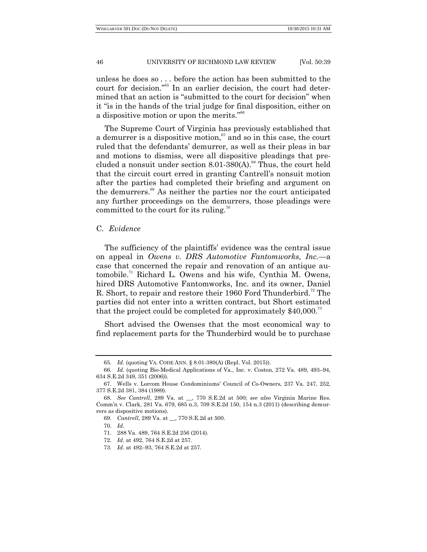unless he does so . . . before the action has been submitted to the court for decision."<sup>55</sup> In an earlier decision, the court had determined that an action is "submitted to the court for decision" when it "is in the hands of the trial judge for final disposition, either on a dispositive motion or upon the merits."<sup>66</sup>

The Supreme Court of Virginia has previously established that a demurrer is a dispositive motion, $\mathfrak{g}$  and so in this case, the court ruled that the defendants' demurrer, as well as their pleas in bar and motions to dismiss, were all dispositive pleadings that precluded a nonsuit under section  $8.01{\text -}380$ (A).<sup>68</sup> Thus, the court held that the circuit court erred in granting Cantrell's nonsuit motion after the parties had completed their briefing and argument on the demurrers. <sup>69</sup> As neither the parties nor the court anticipated any further proceedings on the demurrers, those pleadings were committed to the court for its ruling.<sup>70</sup>

## C. *Evidence*

The sufficiency of the plaintiffs' evidence was the central issue on appeal in *Owens v. DRS Automotive Fantomworks, Inc.—*a case that concerned the repair and renovation of an antique automobile.<sup>71</sup> Richard L. Owens and his wife, Cynthia M. Owens, hired DRS Automotive Fantomworks, Inc. and its owner, Daniel R. Short, to repair and restore their 1960 Ford Thunderbird.<sup>72</sup> The parties did not enter into a written contract, but Short estimated that the project could be completed for approximately  $$40,000$ .<sup>73</sup>

Short advised the Owenses that the most economical way to find replacement parts for the Thunderbird would be to purchase

<sup>65.</sup> *Id*. (quoting VA. CODE ANN. § 8.01-380(A) (Repl. Vol. 2015)).

<sup>66.</sup> *Id*. (quoting Bio-Medical Applications of Va., Inc. v. Coston, 272 Va. 489, 493–94, 634 S.E.2d 349, 351 (2006)).

<sup>67.</sup> Wells v. Lorcom House Condominiums' Council of Co-Owners, 237 Va. 247, 252, 377 S.E.2d 381, 384 (1989).

<sup>68.</sup> *See Cantrell*, 289 Va. at \_\_, 770 S.E.2d at 500; *see also* Virginia Marine Res. Comm'n v. Clark, 281 Va. 679, 685 n.3, 709 S.E.2d 150, 154 n.3 (2011) (describing demurrers as dispositive motions).

<sup>69.</sup> *Cantrell*, 289 Va. at \_\_, 770 S.E.2d at 500.

<sup>70.</sup> *Id*.

<sup>71.</sup> 288 Va. 489, 764 S.E.2d 256 (2014).

<sup>72.</sup> *Id*. at 492, 764 S.E.2d at 257.

<sup>73.</sup> *Id*. at 492–93, 764 S.E.2d at 257.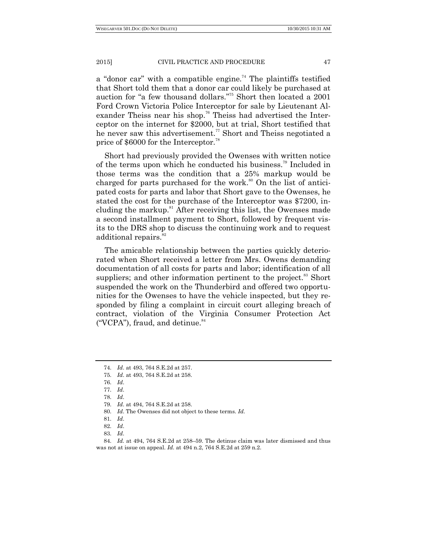a "donor car" with a compatible engine.<sup>74</sup> The plaintiffs testified that Short told them that a donor car could likely be purchased at auction for "a few thousand dollars."<sup>75</sup> Short then located a 2001 Ford Crown Victoria Police Interceptor for sale by Lieutenant Alexander Theiss near his shop.<sup>76</sup> Theiss had advertised the Interceptor on the internet for \$2000, but at trial, Short testified that he never saw this advertisement.<sup>77</sup> Short and Theiss negotiated a price of \$6000 for the Interceptor.<sup>78</sup>

Short had previously provided the Owenses with written notice of the terms upon which he conducted his business.<sup>79</sup> Included in those terms was the condition that a 25% markup would be charged for parts purchased for the work.<sup>80</sup> On the list of anticipated costs for parts and labor that Short gave to the Owenses, he stated the cost for the purchase of the Interceptor was \$7200, including the markup. $81$  After receiving this list, the Owenses made a second installment payment to Short, followed by frequent visits to the DRS shop to discuss the continuing work and to request additional repairs.<sup>82</sup>

The amicable relationship between the parties quickly deteriorated when Short received a letter from Mrs. Owens demanding documentation of all costs for parts and labor; identification of all suppliers; and other information pertinent to the project.<sup>83</sup> Short suspended the work on the Thunderbird and offered two opportunities for the Owenses to have the vehicle inspected, but they responded by filing a complaint in circuit court alleging breach of contract, violation of the Virginia Consumer Protection Act ("VCPA"), fraud, and detinue. $84$ 

<sup>74.</sup> *Id*. at 493, 764 S.E.2d at 257.

<sup>75.</sup> *Id*. at 493, 764 S.E.2d at 258.

<sup>76.</sup> *Id*.

<sup>77.</sup> *Id*.

<sup>78.</sup> *Id*.

<sup>79.</sup> *Id*. at 494, 764 S.E.2d at 258.

<sup>80.</sup> *Id*. The Owenses did not object to these terms. *Id*.

<sup>81.</sup> *Id*.

<sup>82.</sup> *Id*.

<sup>83.</sup> *Id*.

<sup>84.</sup> *Id.* at 494, 764 S.E.2d at 258–59. The detinue claim was later dismissed and thus was not at issue on appeal. *Id.* at 494 n.2, 764 S.E.2d at 259 n.2.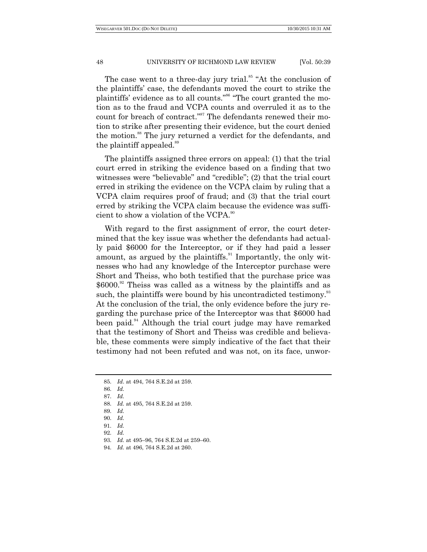The case went to a three-day jury trial.<sup>85</sup> "At the conclusion of the plaintiffs' case, the defendants moved the court to strike the plaintiffs' evidence as to all counts."<sup>86</sup> "The court granted the motion as to the fraud and VCPA counts and overruled it as to the count for breach of contract."<sup>87</sup> The defendants renewed their motion to strike after presenting their evidence, but the court denied the motion. <sup>88</sup> The jury returned a verdict for the defendants, and the plaintiff appealed.<sup>89</sup>

The plaintiffs assigned three errors on appeal: (1) that the trial court erred in striking the evidence based on a finding that two witnesses were "believable" and "credible"; (2) that the trial court erred in striking the evidence on the VCPA claim by ruling that a VCPA claim requires proof of fraud; and (3) that the trial court erred by striking the VCPA claim because the evidence was sufficient to show a violation of the VCPA.<sup>90</sup>

With regard to the first assignment of error, the court determined that the key issue was whether the defendants had actually paid \$6000 for the Interceptor, or if they had paid a lesser amount, as argued by the plaintiffs.<sup>91</sup> Importantly, the only witnesses who had any knowledge of the Interceptor purchase were Short and Theiss, who both testified that the purchase price was \$6000.<sup>92</sup> Theiss was called as a witness by the plaintiffs and as such, the plaintiffs were bound by his uncontradicted testimony.<sup>33</sup> At the conclusion of the trial, the only evidence before the jury regarding the purchase price of the Interceptor was that \$6000 had been paid.<sup>94</sup> Although the trial court judge may have remarked that the testimony of Short and Theiss was credible and believable, these comments were simply indicative of the fact that their testimony had not been refuted and was not, on its face, unwor-

<sup>85.</sup> *Id*. at 494, 764 S.E.2d at 259.

<sup>86.</sup> *Id.*

<sup>87.</sup> *Id.*

<sup>88.</sup> *Id.* at 495, 764 S.E.2d at 259.

<sup>89.</sup> *Id.*

<sup>90.</sup> *Id.*

<sup>91.</sup> *Id.*

<sup>92.</sup> *Id.*

<sup>93.</sup> *Id.* at 495–96, 764 S.E.2d at 259–60.

<sup>94.</sup> *Id.* at 496, 764 S.E.2d at 260.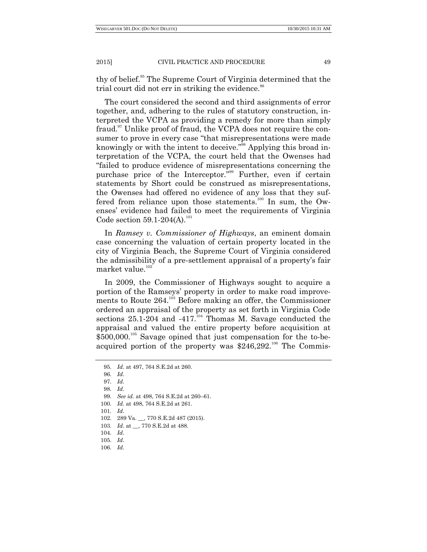thy of belief.<sup>95</sup> The Supreme Court of Virginia determined that the trial court did not err in striking the evidence. $96$ 

The court considered the second and third assignments of error together, and, adhering to the rules of statutory construction, interpreted the VCPA as providing a remedy for more than simply fraud.<sup>97</sup> Unlike proof of fraud, the VCPA does not require the consumer to prove in every case "that misrepresentations were made knowingly or with the intent to deceive."<sup>98</sup> Applying this broad interpretation of the VCPA, the court held that the Owenses had ―failed to produce evidence of misrepresentations concerning the purchase price of the Interceptor."<sup>99</sup> Further, even if certain statements by Short could be construed as misrepresentations, the Owenses had offered no evidence of any loss that they suffered from reliance upon those statements.<sup>100</sup> In sum, the Owenses' evidence had failed to meet the requirements of Virginia Code section  $59.1 - 204(A).$ <sup>101</sup>

In *Ramsey v. Commissioner of Highways*, an eminent domain case concerning the valuation of certain property located in the city of Virginia Beach, the Supreme Court of Virginia considered the admissibility of a pre-settlement appraisal of a property's fair market value. $102$ 

In 2009, the Commissioner of Highways sought to acquire a portion of the Ramseys' property in order to make road improvements to Route  $264$ <sup>103</sup> Before making an offer, the Commissioner ordered an appraisal of the property as set forth in Virginia Code sections  $25.1-204$  and  $-417$ <sup>104</sup> Thomas M. Savage conducted the appraisal and valued the entire property before acquisition at  $$500,000$ <sup>105</sup> Savage opined that just compensation for the to-beacquired portion of the property was  $$246,292$ <sup>106</sup> The Commis-

<sup>95.</sup> *Id*. at 497, 764 S.E.2d at 260.

<sup>96.</sup> *Id*.

<sup>97.</sup> *Id*.

<sup>98.</sup> *Id*.

<sup>99.</sup> *See id.* at 498, 764 S.E.2d at 260–61.

<sup>100.</sup> *Id.* at 498, 764 S.E.2d at 261.

<sup>101.</sup> *Id*.

<sup>102.</sup> 289 Va. \_\_, 770 S.E.2d 487 (2015).

<sup>103.</sup> *Id*. at \_\_, 770 S.E.2d at 488.

<sup>104.</sup> *Id*.

<sup>105.</sup> *Id*.

<sup>106.</sup> *Id*.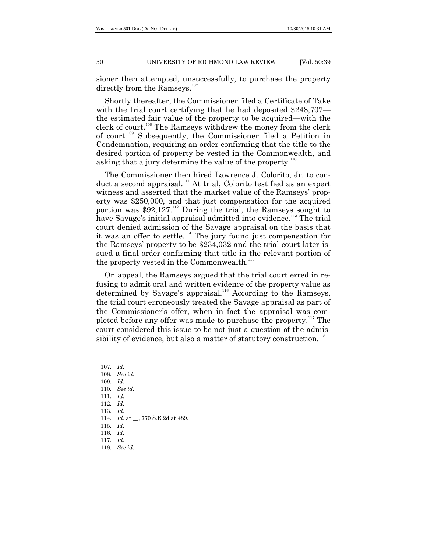sioner then attempted, unsuccessfully, to purchase the property directly from the Ramseys.<sup>107</sup>

Shortly thereafter, the Commissioner filed a Certificate of Take with the trial court certifying that he had deposited \$248,707 the estimated fair value of the property to be acquired—with the clerk of court.<sup>108</sup> The Ramseys withdrew the money from the clerk of court.<sup>109</sup> Subsequently, the Commissioner filed a Petition in Condemnation, requiring an order confirming that the title to the desired portion of property be vested in the Commonwealth, and asking that a jury determine the value of the property.<sup>110</sup>

The Commissioner then hired Lawrence J. Colorito, Jr. to conduct a second appraisal.<sup>111</sup> At trial, Colorito testified as an expert witness and asserted that the market value of the Ramseys' property was \$250,000, and that just compensation for the acquired portion was  $$92,127$ .<sup>112</sup> During the trial, the Ramseys sought to have Savage's initial appraisal admitted into evidence.<sup>113</sup> The trial court denied admission of the Savage appraisal on the basis that it was an offer to settle.<sup>114</sup> The jury found just compensation for the Ramseys' property to be \$234,032 and the trial court later issued a final order confirming that title in the relevant portion of the property vested in the Commonwealth.<sup>115</sup>

On appeal, the Ramseys argued that the trial court erred in refusing to admit oral and written evidence of the property value as determined by Savage's appraisal.<sup>116</sup> According to the Ramseys, the trial court erroneously treated the Savage appraisal as part of the Commissioner's offer, when in fact the appraisal was completed before any offer was made to purchase the property.<sup>117</sup> The court considered this issue to be not just a question of the admissibility of evidence, but also a matter of statutory construction.<sup>118</sup>

- 107. *Id*.
- 108. *See id*.
- 109. *Id*. 110. *See id*.
- 111. *Id*.
- 112. *Id*.
- 113. *Id*.
- 114. *Id.* at \_\_, 770 S.E.2d at 489.
- 115. *Id*.
- 116. *Id*.
- 117. *Id*. 118. *See id*.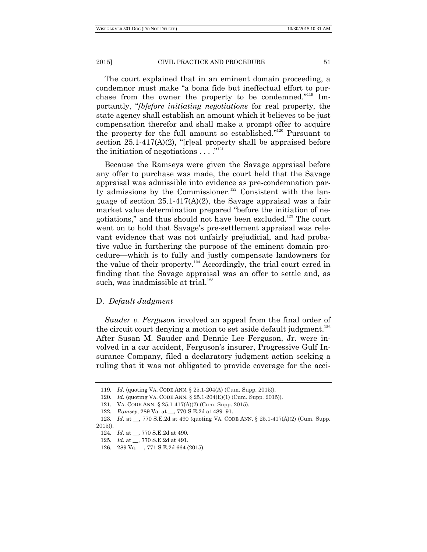The court explained that in an eminent domain proceeding, a condemnor must make "a bona fide but ineffectual effort to purchase from the owner the property to be condemned."<sup>119</sup> Importantly, "*[b]efore initiating negotiations* for real property, the state agency shall establish an amount which it believes to be just compensation therefor and shall make a prompt offer to acquire the property for the full amount so established."<sup>120</sup> Pursuant to section  $25.1-417(A)(2)$ , "[r]eal property shall be appraised before the initiation of negotiations  $\dots$ ."<sup>121</sup>

Because the Ramseys were given the Savage appraisal before any offer to purchase was made, the court held that the Savage appraisal was admissible into evidence as pre-condemnation party admissions by the Commissioner.<sup>122</sup> Consistent with the language of section 25.1-417(A)(2), the Savage appraisal was a fair market value determination prepared "before the initiation of negotiations," and thus should not have been excluded.<sup>123</sup> The court went on to hold that Savage's pre-settlement appraisal was relevant evidence that was not unfairly prejudicial, and had probative value in furthering the purpose of the eminent domain procedure—which is to fully and justly compensate landowners for the value of their property. $124}$  Accordingly, the trial court erred in finding that the Savage appraisal was an offer to settle and, as such, was inadmissible at trial. $125$ 

## D. *Default Judgment*

*Sauder v. Ferguson* involved an appeal from the final order of the circuit court denying a motion to set aside default judgment.<sup>126</sup> After Susan M. Sauder and Dennie Lee Ferguson, Jr. were involved in a car accident, Ferguson's insurer, Progressive Gulf Insurance Company, filed a declaratory judgment action seeking a ruling that it was not obligated to provide coverage for the acci-

<sup>119.</sup> *Id*. (quoting VA. CODE ANN. § 25.1-204(A) (Cum. Supp. 2015)).

<sup>120.</sup> *Id*. (quoting VA. CODE ANN. § 25.1-204(E)(1) (Cum. Supp. 2015)).

<sup>121.</sup> VA. CODE ANN. § 25.1-417(A)(2) (Cum. Supp. 2015).

<sup>122.</sup> *Ramsey*, 289 Va. at \_\_, 770 S.E.2d at 489–91.

<sup>123.</sup> *Id.* at . 770 S.E.2d at 490 (quoting VA. CODE ANN. § 25.1-417(A)(2) (Cum. Supp. 2015)).

<sup>124.</sup> *Id*. at \_\_, 770 S.E.2d at 490.

<sup>125.</sup> *Id*. at \_\_, 770 S.E.2d at 491.

<sup>126.</sup> 289 Va. \_\_, 771 S.E.2d 664 (2015).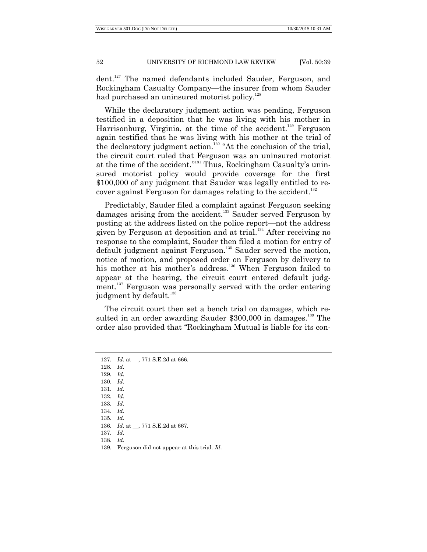dent.<sup>127</sup> The named defendants included Sauder, Ferguson, and Rockingham Casualty Company—the insurer from whom Sauder had purchased an uninsured motorist policy.<sup>128</sup>

While the declaratory judgment action was pending, Ferguson testified in a deposition that he was living with his mother in Harrisonburg, Virginia, at the time of the accident.<sup>129</sup> Ferguson again testified that he was living with his mother at the trial of the declaratory judgment action.<sup>130</sup> "At the conclusion of the trial, the circuit court ruled that Ferguson was an uninsured motorist at the time of the accident."<sup>131</sup> Thus, Rockingham Casualty's uninsured motorist policy would provide coverage for the first \$100,000 of any judgment that Sauder was legally entitled to recover against Ferguson for damages relating to the accident.<sup>132</sup>

Predictably, Sauder filed a complaint against Ferguson seeking damages arising from the accident.<sup>133</sup> Sauder served Ferguson by posting at the address listed on the police report—not the address given by Ferguson at deposition and at trial.<sup>134</sup> After receiving no response to the complaint, Sauder then filed a motion for entry of default judgment against Ferguson.<sup>135</sup> Sauder served the motion, notice of motion, and proposed order on Ferguson by delivery to his mother at his mother's address.<sup>136</sup> When Ferguson failed to appear at the hearing, the circuit court entered default judgment.<sup>137</sup> Ferguson was personally served with the order entering judgment by default.<sup>138</sup>

The circuit court then set a bench trial on damages, which resulted in an order awarding Sauder \$300,000 in damages.<sup>139</sup> The order also provided that "Rockingham Mutual is liable for its con-

- 129. *Id*.
- 130. *Id*. 131. *Id*.
- 132. *Id*.
- 133. *Id*.
- 134. *Id*.
- 135. *Id*.
- 136. *Id*. at \_\_, 771 S.E.2d at 667.
- 137. *Id*.
- 138. *Id*.
- 139. Ferguson did not appear at this trial. *Id*.

<sup>127.</sup> *Id*. at \_\_, 771 S.E.2d at 666.

<sup>128.</sup> *Id*.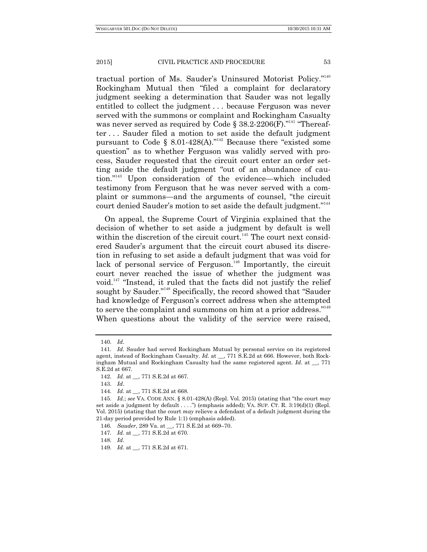tractual portion of Ms. Sauder's Uninsured Motorist Policy."<sup>140</sup> Rockingham Mutual then "filed a complaint for declaratory judgment seeking a determination that Sauder was not legally entitled to collect the judgment . . . because Ferguson was never served with the summons or complaint and Rockingham Casualty was never served as required by Code  $\S 38.2$ -2206(F)."<sup>141</sup> "Thereafter . . . Sauder filed a motion to set aside the default judgment pursuant to Code § 8.01-428(A).<sup> $142$ </sup> Because there "existed some question" as to whether Ferguson was validly served with process, Sauder requested that the circuit court enter an order setting aside the default judgment "out of an abundance of caution."<sup>143</sup> Upon consideration of the evidence—which included testimony from Ferguson that he was never served with a complaint or summons—and the arguments of counsel, "the circuit court denied Sauder's motion to set aside the default judgment."<sup>144</sup>

On appeal, the Supreme Court of Virginia explained that the decision of whether to set aside a judgment by default is well within the discretion of the circuit court.<sup>145</sup> The court next considered Sauder's argument that the circuit court abused its discretion in refusing to set aside a default judgment that was void for lack of personal service of Ferguson.<sup>146</sup> Importantly, the circuit court never reached the issue of whether the judgment was void.<sup>147</sup> "Instead, it ruled that the facts did not justify the relief sought by Sauder."<sup>148</sup> Specifically, the record showed that "Sauder" had knowledge of Ferguson's correct address when she attempted to serve the complaint and summons on him at a prior address."<sup>149</sup> When questions about the validity of the service were raised,

143. *Id*.

<sup>140.</sup> *Id*.

<sup>141.</sup> *Id*. Sauder had served Rockingham Mutual by personal service on its registered agent, instead of Rockingham Casualty. *Id*. at \_\_, 771 S.E.2d at 666. However, both Rockingham Mutual and Rockingham Casualty had the same registered agent. *Id*. at \_\_, 771 S.E.2d at 667.

<sup>142.</sup> *Id*. at \_\_, 771 S.E.2d at 667.

<sup>144.</sup> *Id*. at \_\_, 771 S.E.2d at 668.

<sup>145.</sup> *Id.*; *see* VA. CODE ANN. § 8.01-428(A) (Repl. Vol. 2015) (stating that "the court *may* set aside a judgment by default  $\dots$ ") (emphasis added); VA. SUP. CT. R. 3:19(d)(1) (Repl. Vol. 2015) (stating that the court *may* relieve a defendant of a default judgment during the 21-day period provided by Rule 1:1) (emphasis added).

<sup>146.</sup> *Sauder*, 289 Va. at \_\_, 771 S.E.2d at 669–70.

<sup>147.</sup> *Id*. at \_\_, 771 S.E.2d at 670.

<sup>149.</sup> *Id*. at \_\_, 771 S.E.2d at 671.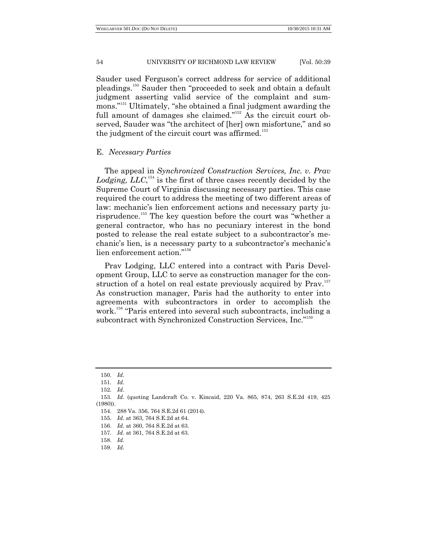Sauder used Ferguson's correct address for service of additional pleadings.<sup>150</sup> Sauder then "proceeded to seek and obtain a default judgment asserting valid service of the complaint and summons."<sup>151</sup> Ultimately, "she obtained a final judgment awarding the full amount of damages she claimed." $152$  As the circuit court observed, Sauder was "the architect of [her] own misfortune," and so the judgment of the circuit court was affirmed.<sup>153</sup>

#### E. *Necessary Parties*

The appeal in *Synchronized Construction Services, Inc. v. Prav*  Lodging,  $LLC$ <sup> $154$ </sup> is the first of three cases recently decided by the Supreme Court of Virginia discussing necessary parties. This case required the court to address the meeting of two different areas of law: mechanic's lien enforcement actions and necessary party jurisprudence.<sup>155</sup> The key question before the court was "whether a general contractor, who has no pecuniary interest in the bond posted to release the real estate subject to a subcontractor's mechanic's lien, is a necessary party to a subcontractor's mechanic's lien enforcement action."<sup>156</sup>

Prav Lodging, LLC entered into a contract with Paris Development Group, LLC to serve as construction manager for the construction of a hotel on real estate previously acquired by Prav.<sup>157</sup> As construction manager, Paris had the authority to enter into agreements with subcontractors in order to accomplish the work.<sup>158</sup> "Paris entered into several such subcontracts, including a subcontract with Synchronized Construction Services, Inc."<sup>159</sup>

<sup>150.</sup> *Id*.

<sup>151.</sup> *Id*.

<sup>152.</sup> *Id*.

<sup>153.</sup> *Id*. (quoting Landcraft Co. v. Kincaid, 220 Va. 865, 874, 263 S.E.2d 419, 425 (1980)).

<sup>154.</sup> 288 Va. 356, 764 S.E.2d 61 (2014).

<sup>155.</sup> *Id.* at 363, 764 S.E.2d at 64.

<sup>156.</sup> *Id*. at 360, 764 S.E.2d at 63.

<sup>157.</sup> *Id*. at 361, 764 S.E.2d at 63.

<sup>158.</sup> *Id.*

<sup>159.</sup> *Id.*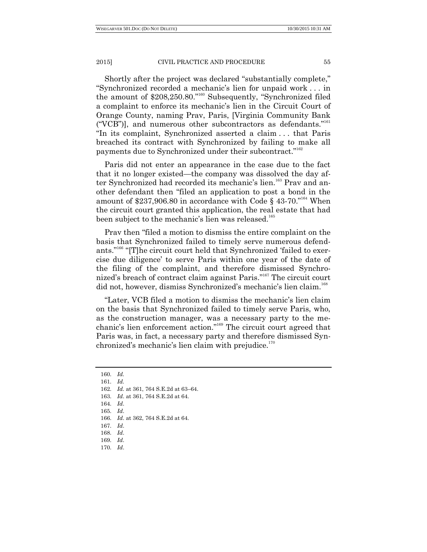Shortly after the project was declared "substantially complete," ―Synchronized recorded a mechanic's lien for unpaid work . . . in the amount of \$208,250.80."<sup>160</sup> Subsequently, "Synchronized filed a complaint to enforce its mechanic's lien in the Circuit Court of Orange County, naming Prav, Paris, [Virginia Community Bank  $(°VCB")$ ], and numerous other subcontractors as defendants."<sup>161</sup> ―In its complaint, Synchronized asserted a claim . . . that Paris breached its contract with Synchronized by failing to make all payments due to Synchronized under their subcontract."<sup>162</sup>

Paris did not enter an appearance in the case due to the fact that it no longer existed—the company was dissolved the day after Synchronized had recorded its mechanic's lien.<sup>163</sup> Prav and another defendant then "filed an application to post a bond in the amount of \$237,906.80 in accordance with Code § 43-70."<sup>164</sup> When the circuit court granted this application, the real estate that had been subject to the mechanic's lien was released.<sup>165</sup>

Pray then "filed a motion to dismiss the entire complaint on the basis that Synchronized failed to timely serve numerous defendants."<sup>166</sup> "[T]he circuit court held that Synchronized 'failed to exercise due diligence' to serve Paris within one year of the date of the filing of the complaint, and therefore dismissed Synchronized's breach of contract claim against Paris."<sup>167</sup> The circuit court did not, however, dismiss Synchronized's mechanic's lien claim.<sup>168</sup>

―Later, VCB filed a motion to dismiss the mechanic's lien claim on the basis that Synchronized failed to timely serve Paris, who, as the construction manager, was a necessary party to the mechanic's lien enforcement action."<sup>169</sup> The circuit court agreed that Paris was, in fact, a necessary party and therefore dismissed Synchronized's mechanic's lien claim with prejudice.<sup>170</sup>

- 163. *Id*. at 361, 764 S.E.2d at 64.
- 164. *Id*.
- 165. *Id*.
- 166. *Id*. at 362, 764 S.E.2d at 64.
- 167. *Id*.
- 168. *Id*.
- 169. *Id*. 170. *Id*.

<sup>160.</sup> *Id.*

<sup>161.</sup> *Id.*

<sup>162.</sup> *Id.* at 361, 764 S.E.2d at 63–64.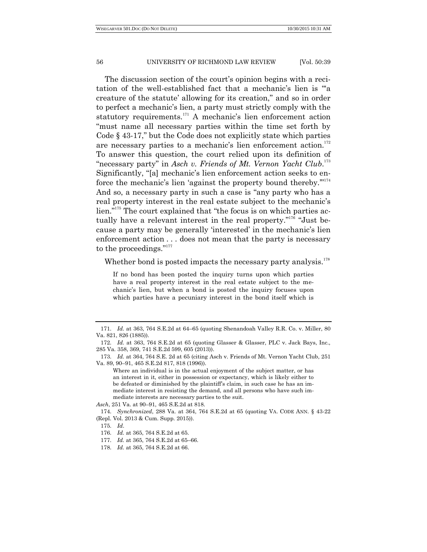The discussion section of the court's opinion begins with a recitation of the well-established fact that a mechanic's lien is "a creature of the statute' allowing for its creation," and so in order to perfect a mechanic's lien, a party must strictly comply with the statutory requirements.<sup>171</sup> A mechanic's lien enforcement action "must name all necessary parties within the time set forth by Code  $\S$  43-17," but the Code does not explicitly state which parties are necessary parties to a mechanic's lien enforcement action.<sup>172</sup> To answer this question, the court relied upon its definition of "necessary party" in *Asch v. Friends of Mt. Vernon Yacht Club*.<sup>173</sup> Significantly, "[a] mechanic's lien enforcement action seeks to enforce the mechanic's lien 'against the property bound thereby. $\mathbb{Z}^{174}$ And so, a necessary party in such a case is "any party who has a real property interest in the real estate subject to the mechanic's lien."<sup>175</sup> The court explained that "the focus is on which parties actually have a relevant interest in the real property."<sup>176</sup> "Just because a party may be generally 'interested' in the mechanic's lien enforcement action . . . does not mean that the party is necessary to the proceedings." $177$ 

Whether bond is posted impacts the necessary party analysis. $178$ 

If no bond has been posted the inquiry turns upon which parties have a real property interest in the real estate subject to the mechanic's lien, but when a bond is posted the inquiry focuses upon which parties have a pecuniary interest in the bond itself which is

*Asch*, 251 Va. at 90–91, 465 S.E.2d at 818.

<sup>171.</sup> *Id.* at 363, 764 S.E.2d at 64–65 (quoting Shenandoah Valley R.R. Co. v. Miller, 80 Va. 821, 826 (1885)).

<sup>172.</sup> *Id.* at 363, 764 S.E.2d at 65 (quoting Glasser & Glasser, PLC v. Jack Bays, Inc., 285 Va. 358, 369, 741 S.E.2d 599, 605 (2013)).

<sup>173.</sup> *Id.* at 364, 764 S.E. 2d at 65 (citing Asch v. Friends of Mt. Vernon Yacht Club, 251 Va. 89, 90–91, 465 S.E.2d 817, 818 (1996)).

Where an individual is in the actual enjoyment of the subject matter, or has an interest in it, either in possession or expectancy, which is likely either to be defeated or diminished by the plaintiff's claim, in such case he has an immediate interest in resisting the demand, and all persons who have such immediate interests are necessary parties to the suit.

<sup>174.</sup> *Synchronized*, 288 Va. at 364, 764 S.E.2d at 65 (quoting VA. CODE ANN. § 43-22 (Repl. Vol. 2013 & Cum. Supp. 2015)).

<sup>175.</sup> *Id*.

<sup>176.</sup> *Id.* at 365, 764 S.E.2d at 65.

<sup>177.</sup> *Id.* at 365, 764 S.E.2d at 65–66.

<sup>178.</sup> *Id.* at 365, 764 S.E.2d at 66.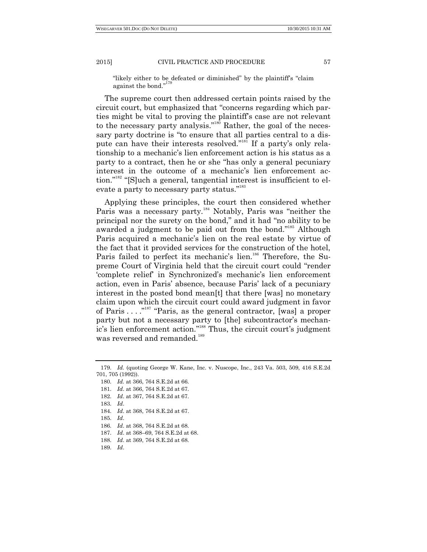"likely either to be defeated or diminished" by the plaintiff's "claim" against the bond." 179

The supreme court then addressed certain points raised by the circuit court, but emphasized that "concerns regarding which parties might be vital to proving the plaintiff's case are not relevant to the necessary party analysis."<sup>180</sup> Rather, the goal of the necessary party doctrine is "to ensure that all parties central to a dispute can have their interests resolved."<sup>181</sup> If a party's only relationship to a mechanic's lien enforcement action is his status as a party to a contract, then he or she "has only a general pecuniary interest in the outcome of a mechanic's lien enforcement action."<sup>182</sup> "[S]uch a general, tangential interest is insufficient to elevate a party to necessary party status."<sup>183</sup>

Applying these principles, the court then considered whether Paris was a necessary party.<sup>184</sup> Notably, Paris was "neither the principal nor the surety on the bond," and it had "no ability to be awarded a judgment to be paid out from the bond."<sup>185</sup> Although Paris acquired a mechanic's lien on the real estate by virtue of the fact that it provided services for the construction of the hotel, Paris failed to perfect its mechanic's lien.<sup>186</sup> Therefore, the Supreme Court of Virginia held that the circuit court could "render" ‗complete relief' in Synchronized's mechanic's lien enforcement action, even in Paris' absence, because Paris' lack of a pecuniary interest in the posted bond mean[t] that there [was] no monetary claim upon which the circuit court could award judgment in favor of Paris  $\dots$ <sup>"187</sup> "Paris, as the general contractor, [was] a proper party but not a necessary party to [the] subcontractor's mechanic's lien enforcement action."<sup>188</sup> Thus, the circuit court's judgment was reversed and remanded.<sup>189</sup>

183. *Id*.

<sup>179.</sup> *Id.* (quoting George W. Kane, Inc. v. Nuscope, Inc., 243 Va. 503, 509, 416 S.E.2d 701, 705 (1992)).

<sup>180.</sup> *Id.* at 366, 764 S.E.2d at 66.

<sup>181.</sup> *Id*. at 366, 764 S.E.2d at 67.

<sup>182.</sup> *Id*. at 367, 764 S.E.2d at 67.

<sup>184.</sup> *Id*. at 368, 764 S.E.2d at 67.

<sup>186.</sup> *Id*. at 368, 764 S.E.2d at 68.

<sup>187.</sup> *Id*. at 368–69, 764 S.E.2d at 68.

<sup>188.</sup> *Id*. at 369, 764 S.E.2d at 68.

<sup>189.</sup> *Id*.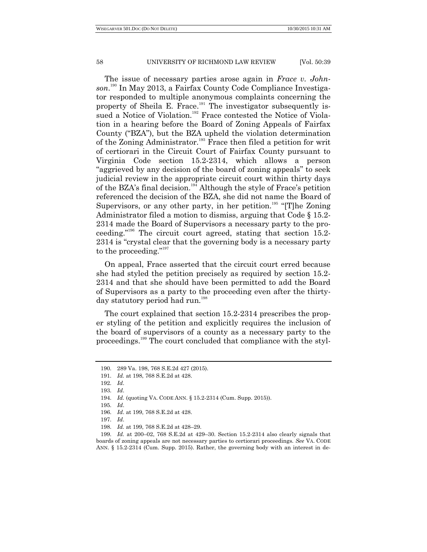The issue of necessary parties arose again in *Frace v. Johnson*. <sup>190</sup> In May 2013, a Fairfax County Code Compliance Investigator responded to multiple anonymous complaints concerning the property of Sheila E. Frace.<sup>191</sup> The investigator subsequently issued a Notice of Violation.<sup>192</sup> Frace contested the Notice of Violation in a hearing before the Board of Zoning Appeals of Fairfax County ("BZA"), but the BZA upheld the violation determination of the Zoning Administrator.<sup>193</sup> Frace then filed a petition for writ of certiorari in the Circuit Court of Fairfax County pursuant to Virginia Code section 15.2-2314, which allows a person "aggrieved by any decision of the board of zoning appeals" to seek judicial review in the appropriate circuit court within thirty days of the BZA's final decision. <sup>194</sup> Although the style of Frace's petition referenced the decision of the BZA, she did not name the Board of Supervisors, or any other party, in her petition.<sup>195</sup> "[T]he Zoning Administrator filed a motion to dismiss, arguing that Code § 15.2- 2314 made the Board of Supervisors a necessary party to the proceeding.<sup> $15.2$ </sup> The circuit court agreed, stating that section 15.2-2314 is "crystal clear that the governing body is a necessary party to the proceeding." $197$ 

On appeal, Frace asserted that the circuit court erred because she had styled the petition precisely as required by section 15.2- 2314 and that she should have been permitted to add the Board of Supervisors as a party to the proceeding even after the thirtyday statutory period had run.<sup>198</sup>

The court explained that section 15.2-2314 prescribes the proper styling of the petition and explicitly requires the inclusion of the board of supervisors of a county as a necessary party to the proceedings.<sup>199</sup> The court concluded that compliance with the styl-

<sup>190.</sup> 289 Va. 198, 768 S.E.2d 427 (2015).

<sup>191.</sup> *Id.* at 198, 768 S.E.2d at 428.

<sup>192.</sup> *Id*.

<sup>193.</sup> *Id*.

<sup>194.</sup> *Id.* (quoting VA. CODE ANN. § 15.2-2314 (Cum. Supp. 2015)).

<sup>195.</sup> *Id*. 196. *Id*. at 199, 768 S.E.2d at 428.

<sup>197.</sup> *Id*.

<sup>198.</sup> *Id.* at 199, 768 S.E.2d at 428–29.

<sup>199.</sup> *Id.* at 200–02, 768 S.E.2d at 429–30. Section 15.2-2314 also clearly signals that boards of zoning appeals are not necessary parties to certiorari proceedings. *See* VA. CODE ANN. § 15.2-2314 (Cum. Supp. 2015). Rather, the governing body with an interest in de-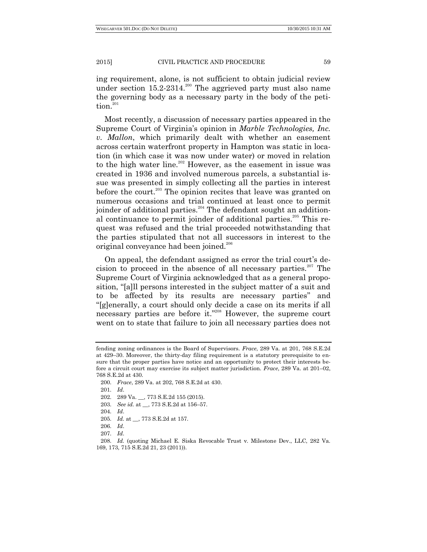ing requirement, alone, is not sufficient to obtain judicial review under section  $15.2{\cdot}2314.^{200}$  The aggrieved party must also name the governing body as a necessary party in the body of the petition.<sup>201</sup>

Most recently, a discussion of necessary parties appeared in the Supreme Court of Virginia's opinion in *Marble Technologies, Inc. v. Mallon*, which primarily dealt with whether an easement across certain waterfront property in Hampton was static in location (in which case it was now under water) or moved in relation to the high water line.<sup>202</sup> However, as the easement in issue was created in 1936 and involved numerous parcels, a substantial issue was presented in simply collecting all the parties in interest before the court.<sup>203</sup> The opinion recites that leave was granted on numerous occasions and trial continued at least once to permit joinder of additional parties.<sup>204</sup> The defendant sought an additional continuance to permit joinder of additional parties.<sup>205</sup> This request was refused and the trial proceeded notwithstanding that the parties stipulated that not all successors in interest to the original conveyance had been joined.<sup>206</sup>

On appeal, the defendant assigned as error the trial court's decision to proceed in the absence of all necessary parties.<sup>207</sup> The Supreme Court of Virginia acknowledged that as a general proposition, "[a]ll persons interested in the subject matter of a suit and to be affected by its results are necessary parties" and ―[g]enerally, a court should only decide a case on its merits if all necessary parties are before it."<sup>208</sup> However, the supreme court went on to state that failure to join all necessary parties does not

- 202. 289 Va. \_\_, 773 S.E.2d 155 (2015).
- 203. *See id.* at \_\_, 773 S.E.2d at 156–57.
- 204. *Id*.
- 205. *Id.* at \_\_, 773 S.E.2d at 157.
- 206. *Id*.
- 207. *Id*.

fending zoning ordinances is the Board of Supervisors. *Frace*, 289 Va. at 201, 768 S.E.2d at 429–30. Moreover, the thirty-day filing requirement is a statutory prerequisite to ensure that the proper parties have notice and an opportunity to protect their interests before a circuit court may exercise its subject matter jurisdiction. *Frace*, 289 Va. at 201–02, 768 S.E.2d at 430.

<sup>200.</sup> *Frace*, 289 Va. at 202, 768 S.E.2d at 430.

<sup>201.</sup> *Id*.

<sup>208.</sup> *Id.* (quoting Michael E. Siska Revocable Trust v. Milestone Dev., LLC, 282 Va. 169, 173, 715 S.E.2d 21, 23 (2011)).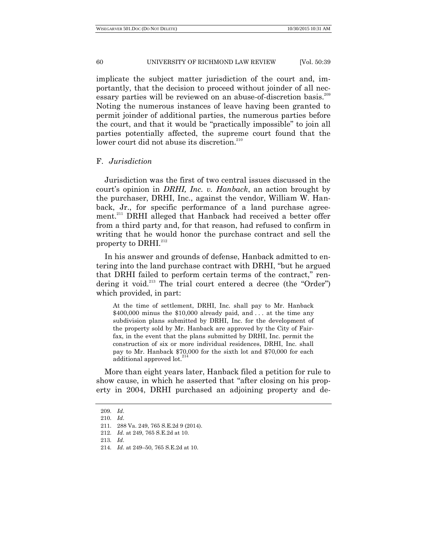implicate the subject matter jurisdiction of the court and, importantly, that the decision to proceed without joinder of all necessary parties will be reviewed on an abuse-of-discretion basis.<sup>209</sup> Noting the numerous instances of leave having been granted to permit joinder of additional parties, the numerous parties before the court, and that it would be "practically impossible" to join all parties potentially affected, the supreme court found that the lower court did not abuse its discretion.<sup>210</sup>

## F. *Jurisdiction*

Jurisdiction was the first of two central issues discussed in the court's opinion in *DRHI, Inc. v. Hanback*, an action brought by the purchaser, DRHI, Inc., against the vendor, William W. Hanback, Jr., for specific performance of a land purchase agreement.<sup>211</sup> DRHI alleged that Hanback had received a better offer from a third party and, for that reason, had refused to confirm in writing that he would honor the purchase contract and sell the property to DRHI.<sup>212</sup>

In his answer and grounds of defense, Hanback admitted to entering into the land purchase contract with DRHI, "but he argued that DRHI failed to perform certain terms of the contract," rendering it void.<sup>213</sup> The trial court entered a decree (the "Order") which provided, in part:

At the time of settlement, DRHI, Inc. shall pay to Mr. Hanback  $$400,000$  minus the \$10,000 already paid, and ... at the time any subdivision plans submitted by DRHI, Inc. for the development of the property sold by Mr. Hanback are approved by the City of Fairfax, in the event that the plans submitted by DRHI, Inc. permit the construction of six or more individual residences, DRHI, Inc. shall pay to Mr. Hanback \$70,000 for the sixth lot and \$70,000 for each additional approved lot.<sup>2</sup>

More than eight years later, Hanback filed a petition for rule to show cause, in which he asserted that "after closing on his property in 2004, DRHI purchased an adjoining property and de-

<sup>209.</sup> *Id*.

<sup>210.</sup> *Id*.

<sup>211.</sup> 288 Va. 249, 765 S.E.2d 9 (2014).

<sup>212.</sup> *Id*. at 249, 765 S.E.2d at 10.

<sup>213.</sup> *Id*.

<sup>214.</sup> *Id*. at 249–50, 765 S.E.2d at 10.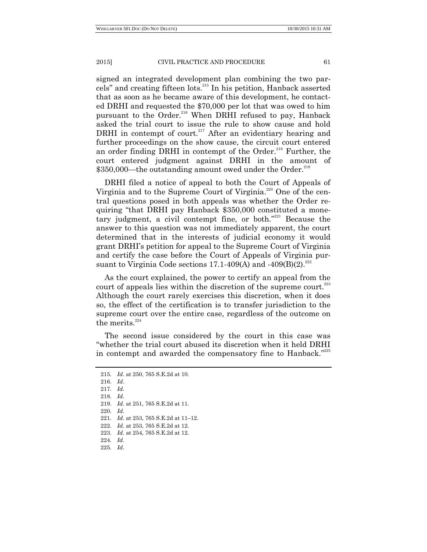signed an integrated development plan combining the two parcels" and creating fifteen lots.<sup>215</sup> In his petition, Hanback asserted that as soon as he became aware of this development, he contacted DRHI and requested the \$70,000 per lot that was owed to him pursuant to the Order.<sup>216</sup> When DRHI refused to pay, Hanback asked the trial court to issue the rule to show cause and hold DRHI in contempt of court.<sup>217</sup> After an evidentiary hearing and further proceedings on the show cause, the circuit court entered an order finding DRHI in contempt of the Order.<sup>218</sup> Further, the court entered judgment against DRHI in the amount of  $$350,000$ —the outstanding amount owed under the Order.<sup>219</sup>

DRHI filed a notice of appeal to both the Court of Appeals of Virginia and to the Supreme Court of Virginia.<sup>220</sup> One of the central questions posed in both appeals was whether the Order requiring "that DRHI pay Hanback \$350,000 constituted a monetary judgment, a civil contempt fine, or both. $221$  Because the answer to this question was not immediately apparent, the court determined that in the interests of judicial economy it would grant DRHI's petition for appeal to the Supreme Court of Virginia and certify the case before the Court of Appeals of Virginia pursuant to Virginia Code sections 17.1-409(A) and  $-409(B)(2)^{222}$ 

As the court explained, the power to certify an appeal from the court of appeals lies within the discretion of the supreme court.<sup>223</sup> Although the court rarely exercises this discretion, when it does so, the effect of the certification is to transfer jurisdiction to the supreme court over the entire case, regardless of the outcome on the merits.<sup>224</sup>

The second issue considered by the court in this case was ―whether the trial court abused its discretion when it held DRHI in contempt and awarded the compensatory fine to Hanback."<sup>225</sup>

<sup>215.</sup> *Id*. at 250, 765 S.E.2d at 10. 216. *Id*. 217. *Id*. 218. *Id*. 219. *Id*. at 251, 765 S.E.2d at 11. 220. *Id*. 221. *Id*. at 253, 765 S.E.2d at 11–12. 222. *Id*. at 253, 765 S.E.2d at 12. 223. *Id.* at 254, 765 S.E.2d at 12. 224. *Id*. 225. *Id*.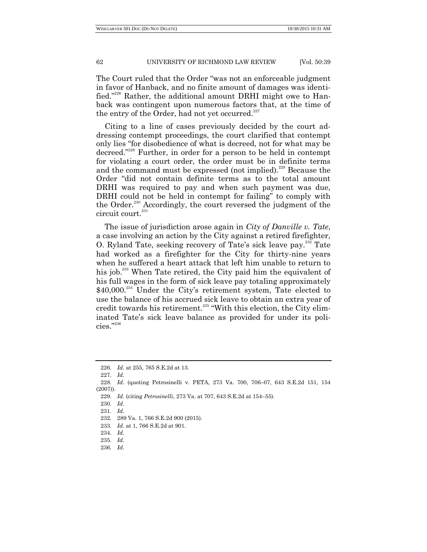The Court ruled that the Order "was not an enforceable judgment" in favor of Hanback, and no finite amount of damages was identified."<sup>226</sup> Rather, the additional amount DRHI might owe to Hanback was contingent upon numerous factors that, at the time of the entry of the Order, had not yet occurred. $227$ 

Citing to a line of cases previously decided by the court addressing contempt proceedings, the court clarified that contempt only lies "for disobedience of what is decreed, not for what may be decreed."<sup>228</sup> Further, in order for a person to be held in contempt for violating a court order, the order must be in definite terms and the command must be expressed (not implied).<sup>229</sup> Because the Order "did not contain definite terms as to the total amount DRHI was required to pay and when such payment was due, DRHI could not be held in contempt for failing" to comply with the Order.<sup>230</sup> Accordingly, the court reversed the judgment of the  $\,$ circuit court. $^{231}$ 

The issue of jurisdiction arose again in *City of Danville v. Tate*, a case involving an action by the City against a retired firefighter, O. Ryland Tate, seeking recovery of Tate's sick leave pay.<sup>232</sup> Tate had worked as a firefighter for the City for thirty-nine years when he suffered a heart attack that left him unable to return to his job.<sup>233</sup> When Tate retired, the City paid him the equivalent of his full wages in the form of sick leave pay totaling approximately  $$40,000$ <sup>234</sup> Under the City's retirement system, Tate elected to use the balance of his accrued sick leave to obtain an extra year of credit towards his retirement.<sup>235</sup> "With this election, the City eliminated Tate's sick leave balance as provided for under its policies."<sup>236</sup>

<sup>226.</sup> *Id*. at 255, 765 S.E.2d at 13.

<sup>227.</sup> *Id*.

<sup>228.</sup> *Id*. (quoting Petrosinelli v. PETA, 273 Va. 700, 706–07, 643 S.E.2d 151, 154 (2007)).

<sup>229.</sup> *Id*. (citing *Petrosinelli*, 273 Va. at 707, 643 S.E.2d at 154–55).

<sup>230.</sup> *Id*.

<sup>231.</sup> *Id*.

<sup>232.</sup> 289 Va. 1, 766 S.E.2d 900 (2015).

<sup>233.</sup> *Id.* at 1, 766 S.E.2d at 901.

<sup>234.</sup> *Id*.

<sup>235.</sup> *Id*.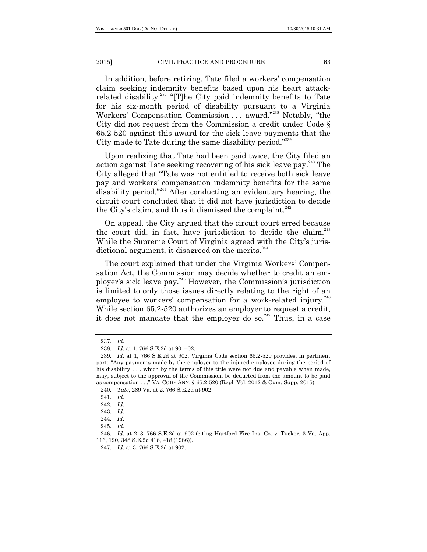In addition, before retiring, Tate filed a workers' compensation claim seeking indemnity benefits based upon his heart attackrelated disability.<sup>237</sup> "[T]he City paid indemnity benefits to Tate for his six-month period of disability pursuant to a Virginia Workers' Compensation Commission . . . award."<sup>238</sup> Notably, "the City did not request from the Commission a credit under Code § 65.2-520 against this award for the sick leave payments that the City made to Tate during the same disability period." $239$ 

Upon realizing that Tate had been paid twice, the City filed an action against Tate seeking recovering of his sick leave pay.<sup>240</sup> The City alleged that "Tate was not entitled to receive both sick leave pay and workers' compensation indemnity benefits for the same disability period."<sup>241</sup> After conducting an evidentiary hearing, the circuit court concluded that it did not have jurisdiction to decide the City's claim, and thus it dismissed the complaint.<sup>242</sup>

On appeal, the City argued that the circuit court erred because the court did, in fact, have jurisdiction to decide the claim. $^{243}$ While the Supreme Court of Virginia agreed with the City's jurisdictional argument, it disagreed on the merits. $244$ 

The court explained that under the Virginia Workers' Compensation Act, the Commission may decide whether to credit an employer's sick leave pay.<sup>245</sup> However, the Commission's jurisdiction is limited to only those issues directly relating to the right of an employee to workers' compensation for a work-related injury.<sup>246</sup> While section 65.2-520 authorizes an employer to request a credit, it does not mandate that the employer do so.<sup>247</sup> Thus, in a case

<sup>237.</sup> *Id*.

<sup>238.</sup> *Id.* at 1, 766 S.E.2d at 901–02.

<sup>239.</sup> *Id.* at 1, 766 S.E.2d at 902. Virginia Code section 65.2-520 provides, in pertinent part: "Any payments made by the employer to the injured employee during the period of his disability . . . which by the terms of this title were not due and payable when made, may, subject to the approval of the Commission, be deducted from the amount to be paid as compensation . . . " VA. CODE ANN. § 65.2-520 (Repl. Vol. 2012 & Cum. Supp. 2015).

<sup>240.</sup> *Tate*, 289 Va. at 2, 766 S.E.2d at 902.

<sup>241.</sup> *Id.*

<sup>242.</sup> *Id.*

<sup>243.</sup> *Id.*

<sup>244.</sup> *Id.*

<sup>245.</sup> *Id.*

<sup>246.</sup> *Id.* at 2–3, 766 S.E.2d at 902 (citing Hartford Fire Ins. Co. v. Tucker, 3 Va. App. 116, 120, 348 S.E.2d 416, 418 (1986)).

<sup>247.</sup> *Id.* at 3, 766 S.E.2d at 902.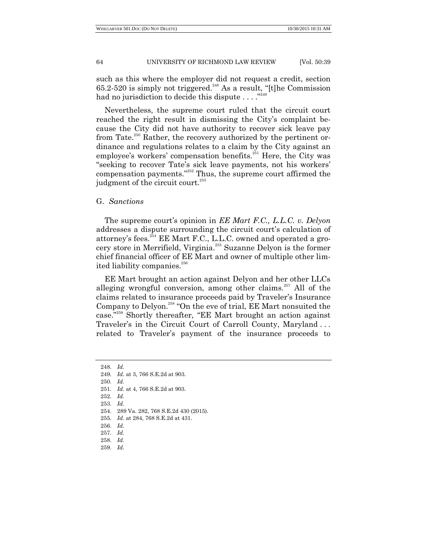such as this where the employer did not request a credit, section 65.2-520 is simply not triggered.<sup>248</sup> As a result, "[t]he Commission had no jurisdiction to decide this dispute  $\dots$ ."<sup>249</sup>

Nevertheless, the supreme court ruled that the circuit court reached the right result in dismissing the City's complaint because the City did not have authority to recover sick leave pay from Tate.<sup>250</sup> Rather, the recovery authorized by the pertinent ordinance and regulations relates to a claim by the City against an employee's workers' compensation benefits.<sup>251</sup> Here, the City was ―seeking to recover Tate's sick leave payments, not his workers' compensation payments."<sup>252</sup> Thus, the supreme court affirmed the judgment of the circuit court. $^{253}$ 

#### G. *Sanctions*

The supreme court's opinion in *EE Mart F.C., L.L.C. v. Delyon* addresses a dispute surrounding the circuit court's calculation of attorney's fees.<sup>254</sup> EE Mart F.C., L.L.C. owned and operated a grocery store in Merrifield, Virginia.<sup>255</sup> Suzanne Delyon is the former chief financial officer of EE Mart and owner of multiple other limited liability companies.<sup>256</sup>

EE Mart brought an action against Delyon and her other LLCs alleging wrongful conversion, among other claims.<sup>257</sup> All of the claims related to insurance proceeds paid by Traveler's Insurance Company to Delyon.<sup>258</sup> "On the eve of trial, EE Mart nonsuited the case."<sup>259</sup> Shortly thereafter, "EE Mart brought an action against Traveler's in the Circuit Court of Carroll County, Maryland . . . related to Traveler's payment of the insurance proceeds to

- 255. *Id.* at 284, 768 S.E.2d at 431.
- 256. *Id.*
- 257. *Id.*
- 258. *Id.*
- 259. *Id.*

<sup>248.</sup> *Id.*

<sup>249.</sup> *Id.* at 3, 766 S.E.2d at 903.

<sup>250.</sup> *Id.*

<sup>251.</sup> *Id.* at 4, 766 S.E.2d at 903.

<sup>252.</sup> *Id.*

<sup>254.</sup> 289 Va. 282, 768 S.E.2d 430 (2015).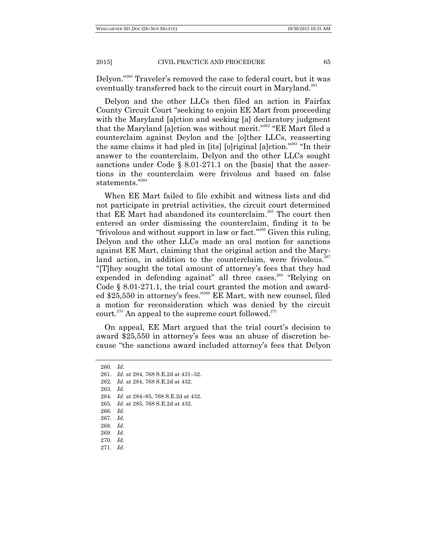Delyon."<sup>260</sup> Traveler's removed the case to federal court, but it was eventually transferred back to the circuit court in Maryland.<sup>261</sup>

Delyon and the other LLCs then filed an action in Fairfax County Circuit Court "seeking to enjoin EE Mart from proceeding with the Maryland [a]ction and seeking [a] declaratory judgment that the Maryland [a]ction was without merit."<sup>262</sup> "EE Mart filed a counterclaim against Deylon and the [o]ther LLCs, reasserting the same claims it had pled in [its] [o] riginal [a] ction."<sup>263</sup> "In their answer to the counterclaim, Delyon and the other LLCs sought sanctions under Code § 8.01-271.1 on the [basis] that the assertions in the counterclaim were frivolous and based on false statements."264

When EE Mart failed to file exhibit and witness lists and did not participate in pretrial activities, the circuit court determined that EE Mart had abandoned its counterclaim.<sup>265</sup> The court then entered an order dismissing the counterclaim, finding it to be "frivolous and without support in law or fact."<sup>266</sup> Given this ruling, Delyon and the other LLCs made an oral motion for sanctions against EE Mart, claiming that the original action and the Maryland action, in addition to the counterclaim, were frivolous.<sup>267</sup> ―[T]hey sought the total amount of attorney's fees that they had expended in defending against" all three cases.<sup>268</sup> "Relying on Code § 8.01-271.1, the trial court granted the motion and awarded \$25,550 in attorney's fees."<sup>269</sup> EE Mart, with new counsel, filed a motion for reconsideration which was denied by the circuit court.<sup>270</sup> An appeal to the supreme court followed.<sup>271</sup>

On appeal, EE Mart argued that the trial court's decision to award \$25,550 in attorney's fees was an abuse of discretion because "the sanctions award included attorney's fees that Delyon

260. *Id.*

261. *Id.* at 284, 768 S.E.2d at 431–32.

262. *Id.* at 284, 768 S.E.2d at 432.

263. *Id.*

- 264. *Id.* at 284–85, 768 S.E.2d at 432.
- 265. *Id.* at 285, 768 S.E.2d at 432.

266. *Id.*

267. *Id.*

<sup>268.</sup> *Id.*

<sup>269.</sup> *Id.*

<sup>270.</sup> *Id.*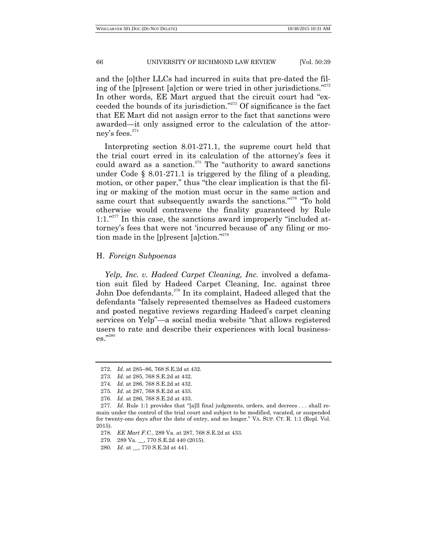and the [o]ther LLCs had incurred in suits that pre-dated the filing of the  $[p]$  resent  $[a]$ ction or were tried in other jurisdictions.<sup>"272</sup> In other words, EE Mart argued that the circuit court had "exceeded the bounds of its jurisdiction.<sup> $273$ </sup> Of significance is the fact that EE Mart did not assign error to the fact that sanctions were awarded—it only assigned error to the calculation of the attorney's fees. $274$ 

Interpreting section 8.01-271.1, the supreme court held that the trial court erred in its calculation of the attorney's fees it could award as a sanction. $275$  The "authority to award sanctions" under Code  $\S$  8.01-271.1 is triggered by the filing of a pleading, motion, or other paper," thus "the clear implication is that the filing or making of the motion must occur in the same action and same court that subsequently awards the sanctions."<sup>276</sup> "To hold otherwise would contravene the finality guaranteed by Rule  $1:1.^{\prime\prime277}$  In this case, the sanctions award improperly "included attorney's fees that were not 'incurred because of' any filing or motion made in the  $[p]$ resent  $[a]$ ction."<sup>278</sup>

# H. *Foreign Subpoenas*

*Yelp, Inc. v. Hadeed Carpet Cleaning, Inc.* involved a defamation suit filed by Hadeed Carpet Cleaning, Inc. against three John Doe defendants.<sup>279</sup> In its complaint, Hadeed alleged that the defendants "falsely represented themselves as Hadeed customers and posted negative reviews regarding Hadeed's carpet cleaning services on Yelp"—a social media website "that allows registered users to rate and describe their experiences with local business- $\mathrm{es}^{,\!280}_{\cdot\!280}$ 

<sup>272.</sup> *Id.* at 285–86, 768 S.E.2d at 432.

<sup>273.</sup> *Id.* at 285, 768 S.E.2d at 432.

<sup>274.</sup> *Id.* at 286, 768 S.E.2d at 432.

<sup>275.</sup> *Id.* at 287, 768 S.E.2d at 433.

<sup>276.</sup> *Id.* at 286, 768 S.E.2d at 433.

<sup>277.</sup> *Id.* Rule 1:1 provides that "[a]ll final judgments, orders, and decrees . . . shall remain under the control of the trial court and subject to be modified, vacated, or suspended for twenty-one days after the date of entry, and no longer." VA. SUP. CT. R. 1:1 (Repl. Vol. 2015).

<sup>278.</sup> *EE Mart F.C.*, 289 Va. at 287, 768 S.E.2d at 433.

<sup>279.</sup> 289 Va. \_\_, 770 S.E.2d 440 (2015).

<sup>280.</sup> *Id*. at \_\_, 770 S.E.2d at 441.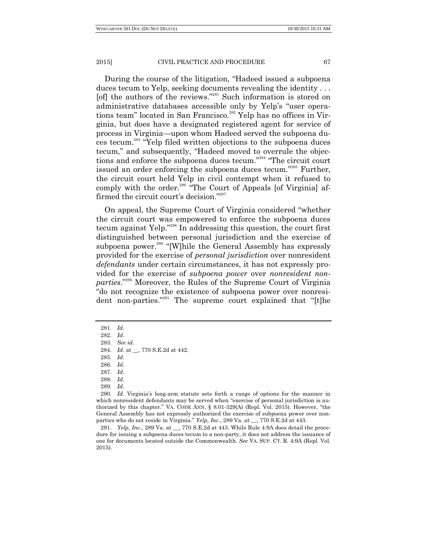During the course of the litigation, "Hadeed issued a subpoena" duces tecum to Yelp, seeking documents revealing the identity . . . [of] the authors of the reviews."<sup>281</sup> Such information is stored on administrative databases accessible only by Yelp's "user operations team" located in San Francisco.<sup>282</sup> Yelp has no offices in Virginia, but does have a designated registered agent for service of process in Virginia—upon whom Hadeed served the subpoena duces tecum.<sup>283</sup> "Yelp filed written objections to the subpoena duces tecum," and subsequently, "Hadeed moved to overrule the objections and enforce the subpoena duces tecum."<sup>284</sup> "The circuit court issued an order enforcing the subpoena duces tecum."<sup>285</sup> Further, the circuit court held Yelp in civil contempt when it refused to comply with the order.<sup>286</sup> "The Court of Appeals [of Virginia] affirmed the circuit court's decision."<sup>287</sup>

On appeal, the Supreme Court of Virginia considered "whether the circuit court was empowered to enforce the subpoena duces tecum against Yelp.<sup>"288</sup> In addressing this question, the court first distinguished between personal jurisdiction and the exercise of subpoena power.<sup>289</sup> "[W]hile the General Assembly has expressly provided for the exercise of *personal jurisdiction* over nonresident *defendants* under certain circumstances, it has not expressly provided for the exercise of *subpoena power* over *nonresident non*parties.<sup>"290</sup> Moreover, the Rules of the Supreme Court of Virginia "do not recognize the existence of subpoena power over nonresident non-parties."<sup>291</sup> The supreme court explained that "[t]he

<sup>281.</sup> *Id*.

<sup>282.</sup> *Id*.

<sup>283.</sup> *See id*.

<sup>284.</sup> *Id*. at \_\_, 770 S.E.2d at 442.

<sup>285.</sup> *Id*.

<sup>286.</sup> *Id*.

<sup>287.</sup> *Id*.

<sup>288.</sup> *Id*.

<sup>290.</sup> *Id*. Virginia's long-arm statute sets forth a range of options for the manner in which nonresident defendants may be served when "exercise of personal jurisdiction is authorized by this chapter." VA. CODE ANN.  $\S$  8.01-329(A) (Repl. Vol. 2015). However, "the General Assembly has not expressly authorized the exercise of subpoena power over nonparties who do not reside in Virginia.‖ *Yelp, Inc.*, 289 Va. at \_\_, 770 S.E.2d at 443.

<sup>291.</sup> *Yelp, Inc.*, 289 Va. at \_\_, 770 S.E.2d at 443. While Rule 4:9A does detail the procedure for issuing a subpoena duces tecum to a non-party, it does not address the issuance of one for documents located outside the Commonwealth. *See* VA. SUP. CT. R. 4:9A (Repl. Vol. 2015).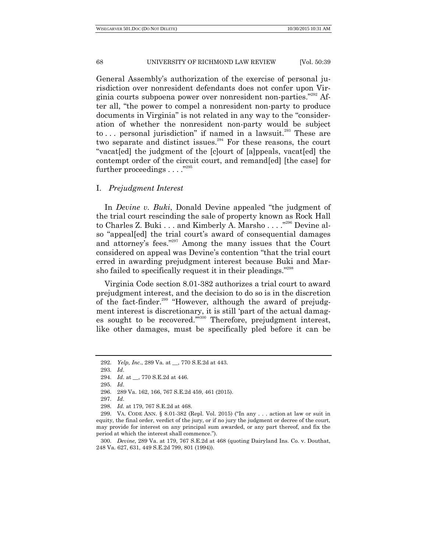General Assembly's authorization of the exercise of personal jurisdiction over nonresident defendants does not confer upon Virginia courts subpoena power over nonresident non-parties."<sup>292</sup> After all, "the power to compel a nonresident non-party to produce documents in Virginia" is not related in any way to the "consideration of whether the nonresident non-party would be subject to ... personal jurisdiction" if named in a lawsuit.<sup>293</sup> These are two separate and distinct issues.<sup>294</sup> For these reasons, the court ―vacat[ed] the judgment of the [c]ourt of [a]ppeals, vacat[ed] the contempt order of the circuit court, and remand[ed] [the case] for further proceedings  $\dots$  ."295

## I. *Prejudgment Interest*

In *Devine v. Buki*, Donald Devine appealed "the judgment of the trial court rescinding the sale of property known as Rock Hall to Charles Z. Buki . . . and Kimberly A. Marsho . . . .<sup>"296</sup> Devine also "appeal[ed] the trial court's award of consequential damages and attorney's fees."<sup>297</sup> Among the many issues that the Court considered on appeal was Devine's contention "that the trial court erred in awarding prejudgment interest because Buki and Marsho failed to specifically request it in their pleadings."<sup>298</sup>

Virginia Code section 8.01-382 authorizes a trial court to award prejudgment interest, and the decision to do so is in the discretion of the fact-finder.<sup>299</sup> "However, although the award of prejudgment interest is discretionary, it is still 'part of the actual damages sought to be recovered."<sup>300</sup> Therefore, prejudgment interest, like other damages, must be specifically pled before it can be

<sup>292.</sup> *Yelp, Inc.*, 289 Va. at \_\_, 770 S.E.2d at 443.

<sup>293.</sup> *Id*.

<sup>294.</sup> *Id*. at \_\_, 770 S.E.2d at 446.

<sup>295.</sup> *Id*.

<sup>296.</sup> 289 Va. 162, 166, 767 S.E.2d 459, 461 (2015).

<sup>297.</sup> *Id*.

<sup>298.</sup> *Id.* at 179, 767 S.E.2d at 468.

<sup>299.</sup> VA. CODE ANN. § 8.01-382 (Repl. Vol. 2015) ("In any ... action at law or suit in equity, the final order, verdict of the jury, or if no jury the judgment or decree of the court, may provide for interest on any principal sum awarded, or any part thereof, and fix the period at which the interest shall commence.").

<sup>300.</sup> *Devine*, 289 Va. at 179, 767 S.E.2d at 468 (quoting Dairyland Ins. Co. v. Douthat, 248 Va. 627, 631, 449 S.E.2d 799, 801 (1994)).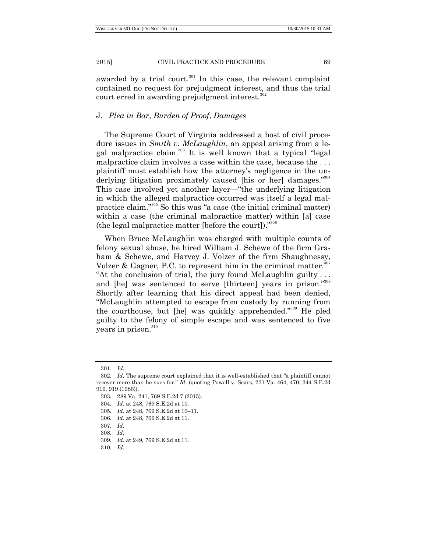awarded by a trial court.<sup>301</sup> In this case, the relevant complaint contained no request for prejudgment interest, and thus the trial court erred in awarding prejudgment interest.<sup>302</sup>

# J. *Plea in Bar*, *Burden of Proof*, *Damages*

The Supreme Court of Virginia addressed a host of civil procedure issues in *Smith v. McLaughlin*, an appeal arising from a legal malpractice claim.<sup>303</sup> It is well known that a typical "legal malpractice claim involves a case within the case, because the ... plaintiff must establish how the attorney's negligence in the underlying litigation proximately caused [his or her] damages."<sup>304</sup> This case involved yet another layer—"the underlying litigation in which the alleged malpractice occurred was itself a legal malpractice claim."<sup>305</sup> So this was "a case (the initial criminal matter) within a case (the criminal malpractice matter) within [a] case (the legal malpractice matter [before the court]). $^{306}$ 

When Bruce McLaughlin was charged with multiple counts of felony sexual abuse, he hired William J. Schewe of the firm Graham & Schewe, and Harvey J. Volzer of the firm Shaughnessy, Volzer & Gagner, P.C. to represent him in the criminal matter.<sup>307</sup> "At the conclusion of trial, the jury found McLaughlin guilty ... and [he] was sentenced to serve [thirteen] years in prison."<sup>308</sup> Shortly after learning that his direct appeal had been denied, ―McLaughlin attempted to escape from custody by running from the courthouse, but [he] was quickly apprehended."<sup>309</sup> He pled guilty to the felony of simple escape and was sentenced to five years in prison.<sup>310</sup>

<sup>301.</sup> *Id*.

<sup>302.</sup> *Id.* The supreme court explained that it is well-established that "a plaintiff cannot recover more than he sues for." *Id.* (quoting Powell v. Sears, 231 Va. 464, 470, 344 S.E.2d) 916, 919 (1986)).

<sup>303.</sup> 289 Va. 241, 769 S.E.2d 7 (2015).

<sup>304.</sup> *Id.* at 248, 769 S.E.2d at 10.

<sup>305.</sup> *Id.* at 248, 769 S.E.2d at 10–11.

<sup>306.</sup> *Id.* at 248, 769 S.E.2d at 11.

<sup>307.</sup> *Id.*

<sup>308.</sup> *Id.*

<sup>309.</sup> *Id.* at 249, 769 S.E.2d at 11.

<sup>310.</sup> *Id*.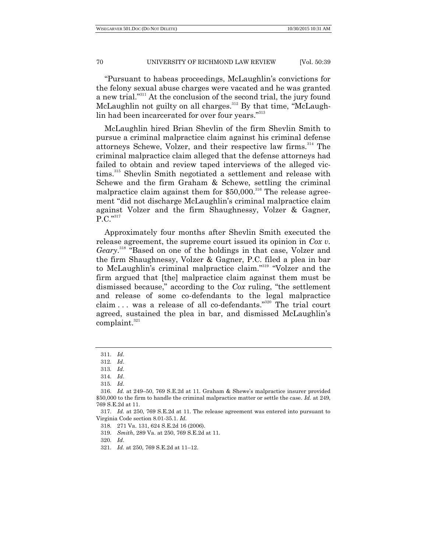―Pursuant to habeas proceedings, McLaughlin's convictions for the felony sexual abuse charges were vacated and he was granted a new trial."<sup>311</sup> At the conclusion of the second trial, the jury found McLaughlin not guilty on all charges.<sup>312</sup> By that time, "McLaughlin had been incarcerated for over four years."<sup>313</sup>

McLaughlin hired Brian Shevlin of the firm Shevlin Smith to pursue a criminal malpractice claim against his criminal defense attorneys Schewe, Volzer, and their respective law firms.<sup>314</sup> The criminal malpractice claim alleged that the defense attorneys had failed to obtain and review taped interviews of the alleged victims.<sup>315</sup> Shevlin Smith negotiated a settlement and release with Schewe and the firm Graham & Schewe, settling the criminal malpractice claim against them for  $$50,000$ .<sup>316</sup> The release agreement "did not discharge McLaughlin's criminal malpractice claim against Volzer and the firm Shaughnessy, Volzer & Gagner,  $\rm P.C.^{"^{317}}$ 

Approximately four months after Shevlin Smith executed the release agreement, the supreme court issued its opinion in *Cox v.*  Geary.<sup>318</sup> "Based on one of the holdings in that case, Volzer and the firm Shaughnessy, Volzer & Gagner, P.C. filed a plea in bar to McLaughlin's criminal malpractice claim."<sup>319</sup> "Volzer and the firm argued that [the] malpractice claim against them must be dismissed because," according to the *Cox* ruling, "the settlement and release of some co-defendants to the legal malpractice claim... was a release of all co-defendants."<sup>320</sup> The trial court agreed, sustained the plea in bar, and dismissed McLaughlin's complaint.<sup>321</sup>

<sup>311.</sup> *Id*.

<sup>312.</sup> *Id*.

<sup>313.</sup> *Id*.

<sup>314.</sup> *Id*.

<sup>315.</sup> *Id*.

<sup>316.</sup> *Id.* at 249–50, 769 S.E.2d at 11. Graham & Shewe's malpractice insurer provided \$50,000 to the firm to handle the criminal malpractice matter or settle the case. *Id.* at 249, 769 S.E.2d at 11.

<sup>317.</sup> *Id.* at 250, 769 S.E.2d at 11. The release agreement was entered into pursuant to Virginia Code section 8.01-35.1. *Id.*

<sup>318.</sup> 271 Va. 131, 624 S.E.2d 16 (2006).

<sup>319.</sup> *Smith*, 289 Va. at 250, 769 S.E.2d at 11.

<sup>320.</sup> *Id*.

<sup>321.</sup> *Id.* at 250, 769 S.E.2d at 11–12.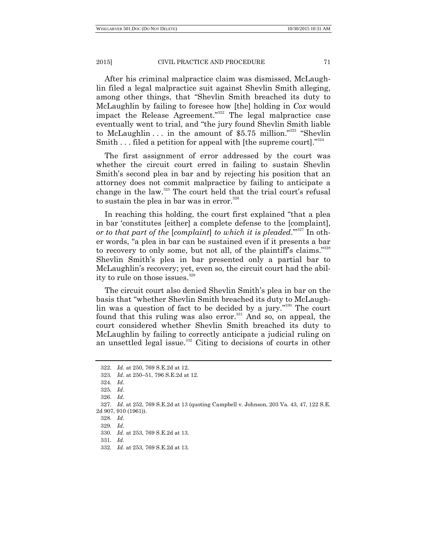After his criminal malpractice claim was dismissed, McLaughlin filed a legal malpractice suit against Shevlin Smith alleging, among other things, that "Shevlin Smith breached its duty to McLaughlin by failing to foresee how [the] holding in *Cox* would impact the Release Agreement."<sup>322</sup> The legal malpractice case eventually went to trial, and "the jury found Shevlin Smith liable to McLaughlin  $\dots$  in the amount of \$5.75 million.<sup>323</sup> "Shevlin" Smith  $\dots$  filed a petition for appeal with [the supreme court].<sup>324</sup>

The first assignment of error addressed by the court was whether the circuit court erred in failing to sustain Shevlin Smith's second plea in bar and by rejecting his position that an attorney does not commit malpractice by failing to anticipate a change in the law.<sup>325</sup> The court held that the trial court's refusal to sustain the plea in bar was in error. $326$ 

In reaching this holding, the court first explained "that a plea in bar ‗constitutes [either] a complete defense to the [complaint], *or to that part of the [complaint] to which it is pleaded.*"<sup>327</sup> In other words, "a plea in bar can be sustained even if it presents a bar to recovery to only some, but not all, of the plaintiff's claims."<sup>328</sup> Shevlin Smith's plea in bar presented only a partial bar to McLaughlin's recovery; yet, even so, the circuit court had the ability to rule on those issues.<sup>329</sup>

The circuit court also denied Shevlin Smith's plea in bar on the basis that "whether Shevlin Smith breached its duty to McLaughlin was a question of fact to be decided by a jury."<sup>330</sup> The court found that this ruling was also error. $331$  And so, on appeal, the court considered whether Shevlin Smith breached its duty to McLaughlin by failing to correctly anticipate a judicial ruling on an unsettled legal issue.<sup>332</sup> Citing to decisions of courts in other

<sup>322.</sup> *Id.* at 250, 769 S.E.2d at 12.

<sup>323.</sup> *Id*. at 250–51, 796 S.E.2d at 12.

<sup>324.</sup> *Id*.

<sup>325.</sup> *Id*.

<sup>326.</sup> *Id*.

<sup>327.</sup> *Id*. at 252, 769 S.E.2d at 13 (quoting Campbell v. Johnson, 203 Va. 43, 47, 122 S.E. 2d 907, 910 (1961)).

<sup>328.</sup> *Id*.

<sup>329.</sup> *Id*.

<sup>330.</sup> *Id.* at 253, 769 S.E.2d at 13.

<sup>331.</sup> *Id*.

<sup>332.</sup> *Id.* at 253, 769 S.E.2d at 13.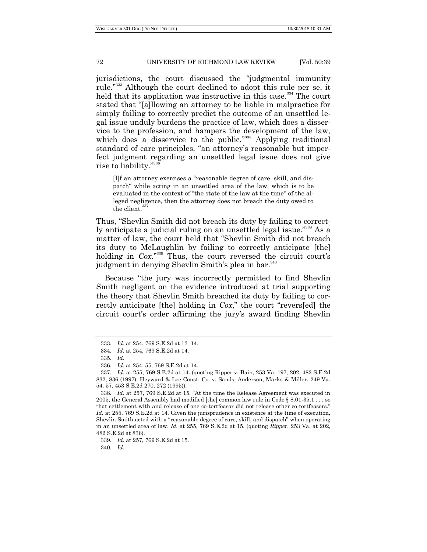jurisdictions, the court discussed the "judgmental immunity" rule."<sup>333</sup> Although the court declined to adopt this rule per se, it held that its application was instructive in this case.<sup>334</sup> The court stated that "[a]llowing an attorney to be liable in malpractice for simply failing to correctly predict the outcome of an unsettled legal issue unduly burdens the practice of law, which does a disservice to the profession, and hampers the development of the law, which does a disservice to the public."<sup>335</sup> Applying traditional standard of care principles, "an attorney's reasonable but imperfect judgment regarding an unsettled legal issue does not give rise to liability."<sup>336</sup>

[I]f an attorney exercises a "reasonable degree of care, skill, and dispatch "while acting in an unsettled area of the law, which is to be evaluated in the context of "the state of the law at the time" of the alleged negligence, then the attorney does not breach the duty owed to the client.

Thus, "Shevlin Smith did not breach its duty by failing to correctly anticipate a judicial ruling on an unsettled legal issue."<sup>338</sup> As a matter of law, the court held that "Shevlin Smith did not breach its duty to McLaughlin by failing to correctly anticipate [the] holding in *Cox*."<sup>339</sup> Thus, the court reversed the circuit court's judgment in denying Shevlin Smith's plea in bar.<sup>340</sup>

Because "the jury was incorrectly permitted to find Shevlin Smith negligent on the evidence introduced at trial supporting the theory that Shevlin Smith breached its duty by failing to correctly anticipate [the] holding in *Cox*," the court "revers[ed] the circuit court's order affirming the jury's award finding Shevlin

<sup>333.</sup> *Id.* at 254, 769 S.E.2d at 13–14.

<sup>334.</sup> *Id.* at 254, 769 S.E.2d at 14.

<sup>335.</sup> *Id.*

<sup>336.</sup> *Id.* at 254–55, 769 S.E.2d at 14.

<sup>337.</sup> *Id.* at 255, 769 S.E.2d at 14. (quoting Ripper v. Bain, 253 Va. 197, 202, 482 S.E.2d 832, 836 (1997); Heyward & Lee Const. Co. v. Sands, Anderson, Marks & Miller, 249 Va. 54, 57, 453 S.E.2d 270, 272 (1995)).

<sup>338.</sup> *Id.* at 257, 769 S.E.2d at 15. "At the time the Release Agreement was executed in 2005, the General Assembly had modified [the] common law rule in Code § 8.01-35.1 . . . so that settlement with and release of one co-tortfeasor did not release other co-tortfeasors." *Id.* at 255, 769 S.E.2d at 14. Given the jurisprudence in existence at the time of execution, Shevlin Smith acted with a "reasonable degree of care, skill, and dispatch" when operating in an unsettled area of law. *Id.* at 255, 769 S.E.2d at 15. (quoting *Ripper*, 253 Va. at 202, 482 S.E.2d at 836).

<sup>339.</sup> *Id.* at 257, 769 S.E.2d at 15.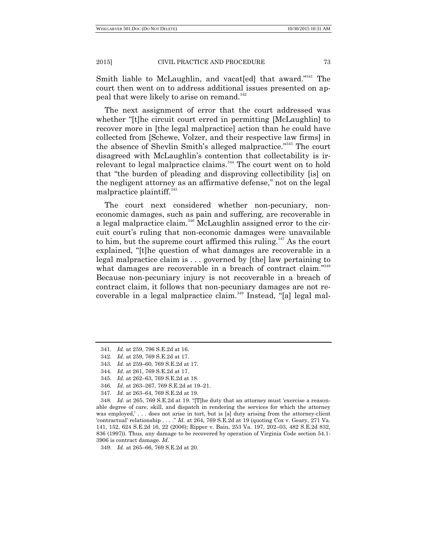Smith liable to McLaughlin, and vacat[ed] that award."<sup>341</sup> The court then went on to address additional issues presented on appeal that were likely to arise on remand.<sup>342</sup>

The next assignment of error that the court addressed was whether "[t]he circuit court erred in permitting [McLaughlin] to recover more in [the legal malpractice] action than he could have collected from [Schewe, Volzer, and their respective law firms] in the absence of Shevlin Smith's alleged malpractice."<sup>343</sup> The court disagreed with McLaughlin's contention that collectability is irrelevant to legal malpractice claims.<sup>344</sup> The court went on to hold that "the burden of pleading and disproving collectibility [is] on the negligent attorney as an affirmative defense," not on the legal malpractice plaintiff. $345$ 

The court next considered whether non-pecuniary, noneconomic damages, such as pain and suffering, are recoverable in a legal malpractice claim.<sup>346</sup> McLaughlin assigned error to the circuit court's ruling that non-economic damages were unavailable to him, but the supreme court affirmed this ruling.<sup>347</sup> As the court explained, "[t]he question of what damages are recoverable in a legal malpractice claim is . . . governed by [the] law pertaining to what damages are recoverable in a breach of contract claim."348 Because non-pecuniary injury is not recoverable in a breach of contract claim, it follows that non-pecuniary damages are not recoverable in a legal malpractice claim. $349$  Instead, "[a] legal mal-

<sup>341.</sup> *Id.* at 259, 796 S.E.2d at 16.

<sup>342.</sup> *Id.* at 259, 769 S.E.2d at 17.

<sup>343.</sup> *Id.* at 259–60, 769 S.E.2d at 17.

<sup>344.</sup> *Id.* at 261, 769 S.E.2d at 17.

<sup>345.</sup> *Id.* at 262–63, 769 S.E.2d at 18.

<sup>346.</sup> *Id.* at 263–267, 769 S.E.2d at 19–21.

<sup>347.</sup> *Id.* at 263–64, 769 S.E.2d at 19.

<sup>348.</sup> *Id.* at 265, 769 S.E.2d at 19. "[T]he duty that an attorney must 'exercise a reasonable degree of care, skill, and dispatch in rendering the services for which the attorney was employed,' . . . does not arise in tort, but is [a] duty arising from the attorney-client ‗contractual' relationship . . . .‖ *Id.* at 264, 769 S.E.2d at 19 (quoting Cox v. Geary, 271 Va. 141, 152, 624 S.E.2d 16, 22 (2006); Ripper v. Bain, 253 Va. 197, 202–03, 482 S.E.2d 832, 836 (1997)). Thus, any damage to be recovered by operation of Virginia Code section 54.1- 3906 is contract damage. *Id.*

<sup>349.</sup> *Id.* at 265–66, 769 S.E.2d at 20.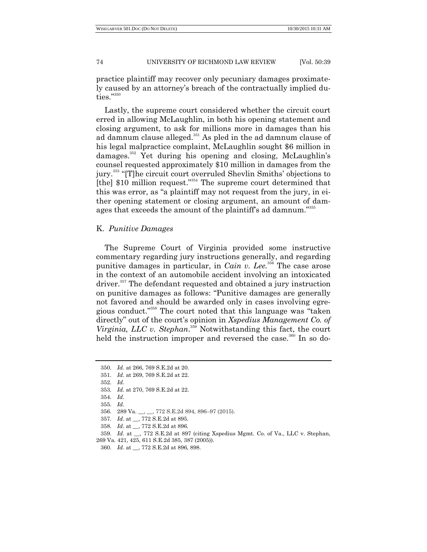practice plaintiff may recover only pecuniary damages proximately caused by an attorney's breach of the contractually implied du- ${\rm ties.}^{''^{350}}$ 

Lastly, the supreme court considered whether the circuit court erred in allowing McLaughlin, in both his opening statement and closing argument, to ask for millions more in damages than his ad damnum clause alleged.<sup>351</sup> As pled in the ad damnum clause of his legal malpractice complaint, McLaughlin sought \$6 million in damages.<sup>352</sup> Yet during his opening and closing, McLaughlin's counsel requested approximately \$10 million in damages from the jury.<sup>353</sup> "[T]he circuit court overruled Shevlin Smiths' objections to [the]  $$10$  million request."<sup>354</sup> The supreme court determined that this was error, as "a plaintiff may not request from the jury, in either opening statement or closing argument, an amount of damages that exceeds the amount of the plaintiff's ad damnum."<sup>355</sup>

# K. *Punitive Damages*

The Supreme Court of Virginia provided some instructive commentary regarding jury instructions generally, and regarding punitive damages in particular, in *Cain v. Lee.*<sup>356</sup> The case arose in the context of an automobile accident involving an intoxicated driver.<sup>357</sup> The defendant requested and obtained a jury instruction on punitive damages as follows: "Punitive damages are generally not favored and should be awarded only in cases involving egregious conduct."<sup>358</sup> The court noted that this language was "taken" directly" out of the court's opinion in *Xspedius Management Co. of Virginia, LLC v. Stephan*. <sup>359</sup> Notwithstanding this fact, the court held the instruction improper and reversed the case.<sup>360</sup> In so do-

358. *Id*. at \_\_, 772 S.E.2d at 896.

359. *Id*. at \_\_, 772 S.E.2d at 897 (citing Xspedius Mgmt. Co. of Va., LLC v. Stephan,

<sup>350.</sup> *Id.* at 266, 769 S.E.2d at 20.

<sup>351.</sup> *Id.* at 269, 769 S.E.2d at 22.

<sup>352.</sup> *Id*.

<sup>353.</sup> *Id.* at 270, 769 S.E.2d at 22.

<sup>354.</sup> *Id*.

<sup>355.</sup> *Id*.

<sup>356.</sup> 289 Va. \_\_, \_\_, 772 S.E.2d 894, 896–97 (2015).

<sup>357.</sup> *Id*. at \_\_, 772 S.E.2d at 895.

<sup>269</sup> Va. 421, 425, 611 S.E.2d 385, 387 (2005)).

<sup>360.</sup> *Id*. at \_\_, 772 S.E.2d at 896, 898.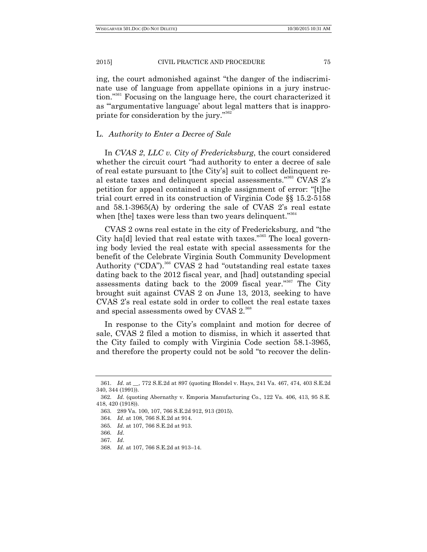ing, the court admonished against "the danger of the indiscriminate use of language from appellate opinions in a jury instruction."<sup>361</sup> Focusing on the language here, the court characterized it as "argumentative language' about legal matters that is inappropriate for consideration by the jury."<sup>362</sup>

# L. *Authority to Enter a Decree of Sale*

In *CVAS 2*, *LLC v. City of Fredericksburg*, the court considered whether the circuit court "had authority to enter a decree of sale of real estate pursuant to [the City's] suit to collect delinquent real estate taxes and delinquent special assessments."<sup>363</sup> CVAS  $2$ 's petition for appeal contained a single assignment of error: "[t]he trial court erred in its construction of Virginia Code §§ 15.2-5158 and 58.1-3965(A) by ordering the sale of CVAS 2's real estate when [the] taxes were less than two years delinquent."<sup>364</sup>

CVAS 2 owns real estate in the city of Fredericksburg, and "the City hald levied that real estate with taxes."<sup>365</sup> The local governing body levied the real estate with special assessments for the benefit of the Celebrate Virginia South Community Development Authority ("CDA").<sup>366</sup> CVAS 2 had "outstanding real estate taxes dating back to the 2012 fiscal year, and [had] outstanding special assessments dating back to the 2009 fiscal year."<sup>367</sup> The City brought suit against CVAS 2 on June 13, 2013, seeking to have CVAS 2's real estate sold in order to collect the real estate taxes and special assessments owed by CVAS 2.<sup>368</sup>

In response to the City's complaint and motion for decree of sale, CVAS 2 filed a motion to dismiss, in which it asserted that the City failed to comply with Virginia Code section 58.1-3965, and therefore the property could not be sold "to recover the delin-

<sup>361.</sup> *Id*. at \_\_, 772 S.E.2d at 897 (quoting Blondel v. Hays, 241 Va. 467, 474, 403 S.E.2d 340, 344 (1991)).

<sup>362.</sup> *Id*. (quoting Abernathy v. Emporia Manufacturing Co., 122 Va. 406, 413, 95 S.E. 418, 420 (1918)).

<sup>363.</sup> 289 Va. 100, 107, 766 S.E.2d 912, 913 (2015).

<sup>364.</sup> *Id*. at 108, 766 S.E.2d at 914.

<sup>365.</sup> *Id*. at 107, 766 S.E.2d at 913.

<sup>366.</sup> *Id*.

<sup>367.</sup> *Id*.

<sup>368.</sup> *Id*. at 107, 766 S.E.2d at 913–14.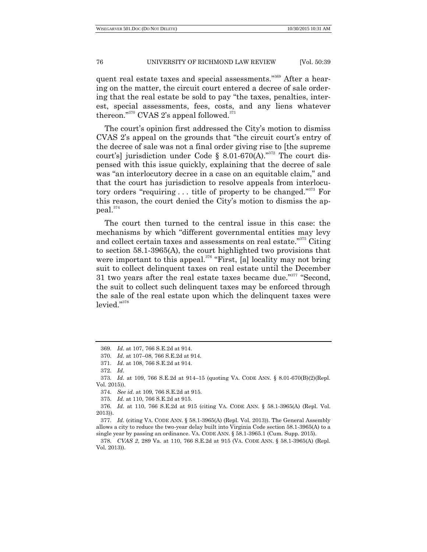quent real estate taxes and special assessments."<sup>369</sup> After a hearing on the matter, the circuit court entered a decree of sale ordering that the real estate be sold to pay "the taxes, penalties, interest, special assessments, fees, costs, and any liens whatever thereon."<sup>370</sup> CVAS 2's appeal followed.<sup>371</sup>

The court's opinion first addressed the City's motion to dismiss CVAS 2's appeal on the grounds that "the circuit court's entry of the decree of sale was not a final order giving rise to [the supreme court's] jurisdiction under Code § 8.01-670(A)."<sup>372</sup> The court dispensed with this issue quickly, explaining that the decree of sale was "an interlocutory decree in a case on an equitable claim," and that the court has jurisdiction to resolve appeals from interlocutory orders "requiring  $\dots$  title of property to be changed."<sup>373</sup> For this reason, the court denied the City's motion to dismiss the appeal.<sup>374</sup>

The court then turned to the central issue in this case: the mechanisms by which "different governmental entities may levy and collect certain taxes and assessments on real estate."<sup>375</sup> Citing to section 58.1-3965(A), the court highlighted two provisions that were important to this appeal. $376$  "First, [a] locality may not bring suit to collect delinquent taxes on real estate until the December 31 two years after the real estate taxes became due."<sup>377</sup> "Second, the suit to collect such delinquent taxes may be enforced through the sale of the real estate upon which the delinquent taxes were  $level.^{"^{378}}$ 

<sup>369.</sup> *Id*. at 107, 766 S.E.2d at 914.

<sup>370.</sup> *Id*. at 107–08, 766 S.E.2d at 914.

<sup>371.</sup> *Id*. at 108, 766 S.E.2d at 914.

<sup>372.</sup> *Id*.

<sup>373.</sup> *Id*. at 109, 766 S.E.2d at 914–15 (quoting VA. CODE ANN. § 8.01-670(B)(2)(Repl. Vol. 2015)).

<sup>374.</sup> *See id*. at 109, 766 S.E.2d at 915.

<sup>375.</sup> *Id*. at 110, 766 S.E.2d at 915.

<sup>376.</sup> *Id*. at 110, 766 S.E.2d at 915 (citing VA. CODE ANN. § 58.1-3965(A) (Repl. Vol. 2013)).

<sup>377.</sup> *Id*. (citing VA. CODE ANN. § 58.1-3965(A) (Repl. Vol. 2013)). The General Assembly allows a city to reduce the two-year delay built into Virginia Code section 58.1-3965(A) to a single year by passing an ordinance. VA. CODE ANN. § 58.1-3965.1 (Cum. Supp. 2015).

<sup>378.</sup> *CVAS 2*, 289 Va. at 110, 766 S.E.2d at 915 (VA. CODE ANN. § 58.1-3965(A) (Repl. Vol. 2013)).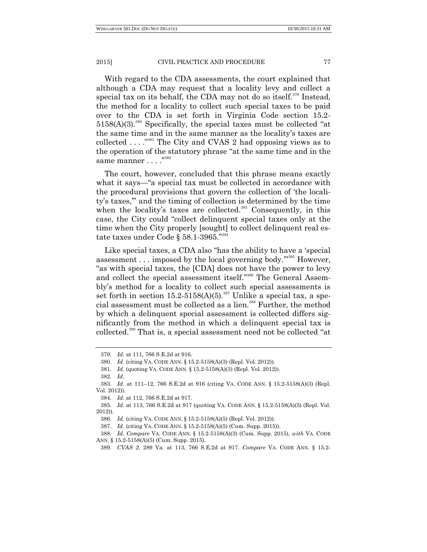With regard to the CDA assessments, the court explained that although a CDA may request that a locality levy and collect a special tax on its behalf, the CDA may not do so itself.<sup>379</sup> Instead, the method for a locality to collect such special taxes to be paid over to the CDA is set forth in Virginia Code section 15.2-  $5158(A)(3).$ <sup>380</sup> Specifically, the special taxes must be collected "at the same time and in the same manner as the locality's taxes are collected  $\ldots$ <sup>381</sup>. The City and CVAS 2 had opposing views as to the operation of the statutory phrase "at the same time and in the same manner . . . .<sup>"382</sup>

The court, however, concluded that this phrase means exactly what it says—"a special tax must be collected in accordance with the procedural provisions that govern the collection of 'the locality's taxes," and the timing of collection is determined by the time when the locality's taxes are collected.<sup>383</sup> Consequently, in this case, the City could "collect delinquent special taxes only at the time when the City properly [sought] to collect delinquent real estate taxes under Code § 58.1-3965." $^{384}$ 

Like special taxes, a CDA also "has the ability to have a 'special assessment  $\ldots$  imposed by the local governing body."<sup>385</sup> However, "as with special taxes, the [CDA] does not have the power to levy and collect the special assessment itself."<sup>386</sup> The General Assembly's method for a locality to collect such special assessments is set forth in section  $15.2-5158(A)(5)$ .<sup>387</sup> Unlike a special tax, a special assessment must be collected as a lien.<sup>388</sup> Further, the method by which a delinquent special assessment is collected differs significantly from the method in which a delinquent special tax is collected.<sup>389</sup> That is, a special assessment need not be collected "at

<sup>379.</sup> *Id.* at 111, 766 S.E.2d at 916.

<sup>380.</sup> *Id*. (citing VA. CODE ANN. § 15.2-5158(A)(3) (Repl. Vol. 2012)).

<sup>381.</sup> *Id*. (quoting VA. CODE ANN. § 15.2-5158(A)(3) (Repl. Vol. 2012)).

<sup>382.</sup> *Id*.

<sup>383.</sup> *Id.* at 111–12, 766 S.E.2d at 916 (citing VA. CODE ANN. § 15.2-5158(A)(3) (Repl. Vol. 2012)).

<sup>384.</sup> *Id.* at 112, 766 S.E.2d at 917.

<sup>385.</sup> *Id.* at 113, 766 S.E.2d at 917 (quoting VA. CODE ANN. § 15.2-5158(A)(5) (Repl. Vol. 2012)).

<sup>386.</sup> *Id*. (citing VA. CODE ANN. § 15.2-5158(A)(5) (Repl. Vol. 2012)).

<sup>387.</sup> *Id.* (citing VA. CODE ANN. § 15.2-5158(A)(5) (Cum. Supp. 2015)).

<sup>388.</sup> *Id*. *Compare* VA. CODE ANN. § 15.2-5158(A)(3) (Cum. Supp. 2015), *with* VA. CODE ANN. § 15.2-5158(A)(5) (Cum. Supp. 2015).

<sup>389.</sup> *CVAS 2*, 289 Va. at 113, 766 S.E.2d at 917. *Compare* VA. CODE ANN. § 15.2-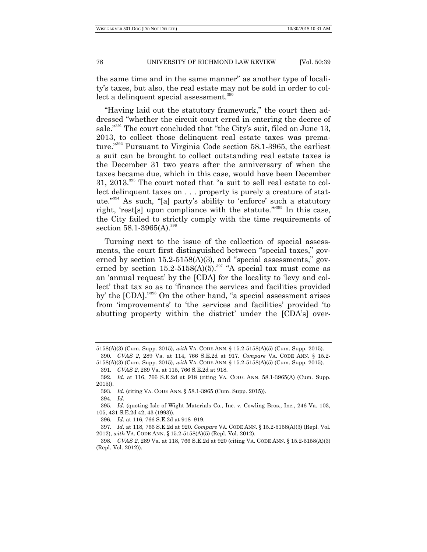the same time and in the same manner" as another type of locality's taxes, but also, the real estate may not be sold in order to collect a delinquent special assessment.<sup>390</sup>

"Having laid out the statutory framework," the court then addressed "whether the circuit court erred in entering the decree of sale."<sup>391</sup> The court concluded that "the City's suit, filed on June 13, 2013, to collect those delinquent real estate taxes was premature."<sup>392</sup> Pursuant to Virginia Code section 58.1-3965, the earliest a suit can be brought to collect outstanding real estate taxes is the December 31 two years after the anniversary of when the taxes became due, which in this case, would have been December  $31, 2013$ <sup>393</sup> The court noted that "a suit to sell real estate to collect delinquent taxes on . . . property is purely a creature of statute."<sup>394</sup> As such, "[a] party's ability to 'enforce' such a statutory right, 'rest[s] upon compliance with the statute. $\frac{3935}{10}$  In this case, the City failed to strictly comply with the time requirements of section  $58.1 - 3965(A)$ .<sup>396</sup>

Turning next to the issue of the collection of special assessments, the court first distinguished between "special taxes," governed by section  $15.2-5158(A)(3)$ , and "special assessments," governed by section  $15.2-5158(A)(5)$ .<sup>397</sup> "A special tax must come as an 'annual request' by the [CDA] for the locality to 'levy and collect' that tax so as to 'finance the services and facilities provided by' the  $[CDA]$ ."<sup>398</sup> On the other hand, "a special assessment arises from 'improvements' to 'the services and facilities' provided 'to abutting property within the district' under the [CDA's] over-

394. *Id*.

<sup>5158(</sup>A)(3) (Cum. Supp. 2015), *with* VA. CODE ANN. § 15.2-5158(A)(5) (Cum. Supp. 2015). 390. *CVAS 2*, 289 Va. at 114, 766 S.E.2d at 917. *Compare* VA. CODE ANN. § 15.2-

<sup>5158(</sup>A)(3) (Cum. Supp. 2015), *with* VA. CODE ANN. § 15.2-5158(A)(5) (Cum. Supp. 2015). 391. *CVAS 2*, 289 Va. at 115, 766 S.E.2d at 918.

<sup>392.</sup> *Id*. at 116, 766 S.E.2d at 918 (citing VA. CODE ANN. 58.1-3965(A) (Cum. Supp. 2015)).

<sup>393.</sup> *Id*. (citing VA. CODE ANN. § 58.1-3965 (Cum. Supp. 2015)).

<sup>395.</sup> *Id.* (quoting Isle of Wight Materials Co., Inc. v. Cowling Bros., Inc., 246 Va. 103, 105, 431 S.E.2d 42, 43 (1993)).

<sup>396.</sup> *Id*. at 116, 766 S.E.2d at 918–919.

<sup>397.</sup> *Id*. at 118, 766 S.E.2d at 920. *Compare* VA. CODE ANN. § 15.2-5158(A)(3) (Repl. Vol. 2012), *with* VA. CODE ANN. § 15.2-5158(A)(5) (Repl. Vol. 2012).

<sup>398.</sup> *CVAS 2*, 289 Va. at 118, 766 S.E.2d at 920 (citing VA. CODE ANN. § 15.2-5158(A)(3) (Repl. Vol. 2012)).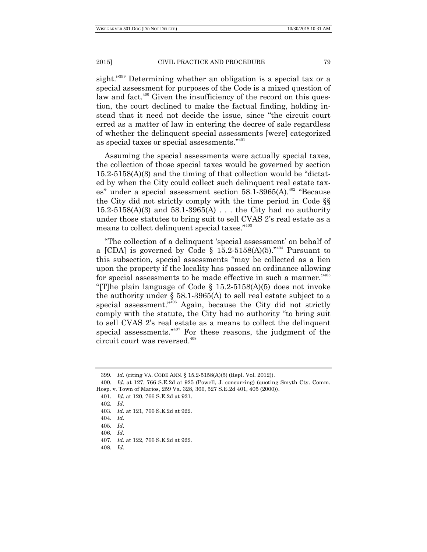sight."<sup>399</sup> Determining whether an obligation is a special tax or a special assessment for purposes of the Code is a mixed question of law and fact.<sup>400</sup> Given the insufficiency of the record on this question, the court declined to make the factual finding, holding instead that it need not decide the issue, since "the circuit court erred as a matter of law in entering the decree of sale regardless of whether the delinquent special assessments [were] categorized as special taxes or special assessments."<sup>401</sup>

Assuming the special assessments were actually special taxes, the collection of those special taxes would be governed by section  $15.2-5158(A)(3)$  and the timing of that collection would be "dictated by when the City could collect such delinquent real estate taxes" under a special assessment section  $58.1\n-3965(A).$ <sup>402</sup> "Because the City did not strictly comply with the time period in Code §§  $15.2 - 5158(A)(3)$  and  $58.1 - 3965(A)$ ... the City had no authority under those statutes to bring suit to sell CVAS 2's real estate as a means to collect delinquent special taxes."<sup>403</sup>

"The collection of a delinquent 'special assessment' on behalf of a [CDA] is governed by Code § 15.2-5158(A)(5).<sup>7404</sup> Pursuant to this subsection, special assessments "may be collected as a lien upon the property if the locality has passed an ordinance allowing for special assessments to be made effective in such a manner."<sup>405</sup> "[T]he plain language of Code  $\S$  15.2-5158(A)(5) does not invoke the authority under § 58.1-3965(A) to sell real estate subject to a special assessment."<sup>406</sup> Again, because the City did not strictly comply with the statute, the City had no authority "to bring suit to sell CVAS 2's real estate as a means to collect the delinquent special assessments."<sup>407</sup> For these reasons, the judgment of the circuit court was reversed. $408$ 

<sup>399.</sup> *Id*. (citing VA. CODE ANN. § 15.2-5158(A)(5) (Repl. Vol. 2012)).

<sup>400.</sup> *Id*. at 127, 766 S.E.2d at 925 (Powell, J. concurring) (quoting Smyth Cty. Comm. Hosp. v. Town of Marios, 259 Va. 328, 366, 527 S.E.2d 401, 405 (2000)).

<sup>401.</sup> *Id*. at 120, 766 S.E.2d at 921.

<sup>402.</sup> *Id*.

<sup>403.</sup> *Id*. at 121, 766 S.E.2d at 922.

<sup>404.</sup> *Id*.

<sup>405.</sup> *Id*.

<sup>406.</sup> *Id*.

<sup>407.</sup> *Id*. at 122, 766 S.E.2d at 922.

<sup>408.</sup> *Id*.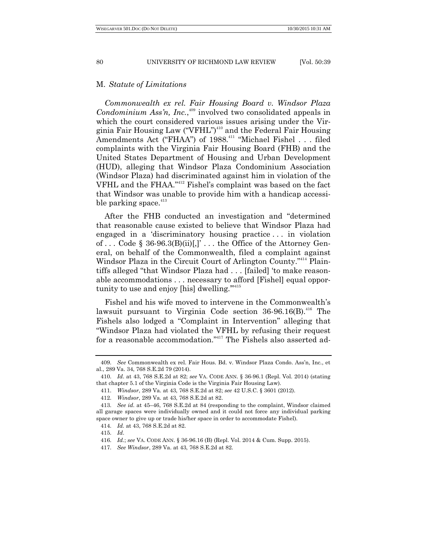## M. *Statute of Limitations*

*Commonwealth ex rel. Fair Housing Board v. Windsor Plaza Condominium Ass'n, Inc.*, <sup>409</sup> involved two consolidated appeals in which the court considered various issues arising under the Virginia Fair Housing Law ("VFHL")<sup>410</sup> and the Federal Fair Housing Amendments Act ("FHAA") of 1988.<sup>411</sup> "Michael Fishel . . . filed complaints with the Virginia Fair Housing Board (FHB) and the United States Department of Housing and Urban Development (HUD), alleging that Windsor Plaza Condominium Association (Windsor Plaza) had discriminated against him in violation of the VFHL and the FHAA."<sup>412</sup> Fishel's complaint was based on the fact that Windsor was unable to provide him with a handicap accessible parking space. $413$ 

After the FHB conducted an investigation and "determined" that reasonable cause existed to believe that Windsor Plaza had engaged in a 'discriminatory housing practice ... in violation of ... Code  $\S 36-96.3(B)(ii)[.]$ ... the Office of the Attorney General, on behalf of the Commonwealth, filed a complaint against Windsor Plaza in the Circuit Court of Arlington County."<sup>414</sup> Plaintiffs alleged "that Windsor Plaza had . . . [failed] 'to make reasonable accommodations . . . necessary to afford [Fishel] equal opportunity to use and enjoy [his] dwelling."<sup>415</sup>

Fishel and his wife moved to intervene in the Commonwealth's lawsuit pursuant to Virginia Code section  $36-96.16(B)$ .<sup>416</sup> The Fishels also lodged a "Complaint in Intervention" alleging that ―Windsor Plaza had violated the VFHL by refusing their request for a reasonable accommodation."<sup>417</sup> The Fishels also asserted ad-

<sup>409.</sup> *See* Commonwealth ex rel. Fair Hous. Bd. v. Windsor Plaza Condo. Ass'n, Inc., et al., 289 Va. 34, 768 S.E.2d 79 (2014).

<sup>410.</sup> *Id*. at 43, 768 S.E.2d at 82; *see* VA. CODE ANN. § 36-96.1 (Repl. Vol. 2014) (stating that chapter 5.1 of the Virginia Code is the Virginia Fair Housing Law).

<sup>411.</sup> *Windsor*, 289 Va. at 43, 768 S.E.2d at 82; *see* 42 U.S.C. § 3601 (2012).

<sup>412.</sup> *Windsor*, 289 Va. at 43, 768 S.E.2d at 82.

<sup>413.</sup> *See id*. at 45–46, 768 S.E.2d at 84 (responding to the complaint, Windsor claimed all garage spaces were individually owned and it could not force any individual parking space owner to give up or trade his/her space in order to accommodate Fishel).

<sup>414.</sup> *Id.* at 43, 768 S.E.2d at 82.

<sup>415.</sup> *Id*.

<sup>416.</sup> *Id.*; *see* VA. CODE ANN. § 36-96.16 (B) (Repl. Vol. 2014 & Cum. Supp. 2015).

<sup>417.</sup> *See Windsor*, 289 Va. at 43, 768 S.E.2d at 82.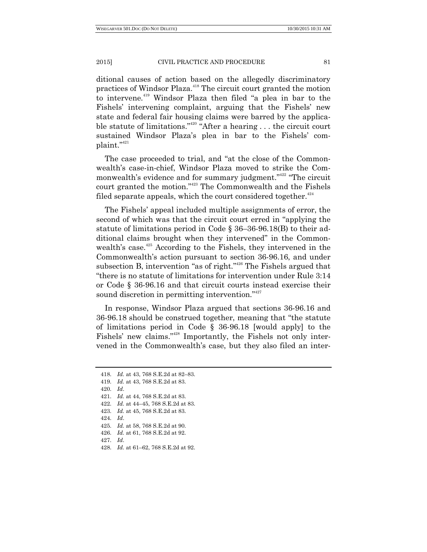ditional causes of action based on the allegedly discriminatory practices of Windsor Plaza.<sup>418</sup> The circuit court granted the motion to intervene.<sup>419</sup> Windsor Plaza then filed "a plea in bar to the Fishels' intervening complaint, arguing that the Fishels' new state and federal fair housing claims were barred by the applicable statute of limitations."<sup>420</sup> "After a hearing  $\dots$  the circuit court sustained Windsor Plaza's plea in bar to the Fishels' complaint."<sup>421</sup>

The case proceeded to trial, and "at the close of the Commonwealth's case-in-chief, Windsor Plaza moved to strike the Commonwealth's evidence and for summary judgment."<sup>422</sup> "The circuit court granted the motion."<sup>423</sup> The Commonwealth and the Fishels filed separate appeals, which the court considered together.<sup>424</sup>

The Fishels' appeal included multiple assignments of error, the second of which was that the circuit court erred in "applying the statute of limitations period in Code § 36–36-96.18(B) to their additional claims brought when they intervened" in the Commonwealth's case.<sup>425</sup> According to the Fishels, they intervened in the Commonwealth's action pursuant to section 36-96.16, and under subsection B, intervention "as of right."<sup>426</sup> The Fishels argued that "there is no statute of limitations for intervention under Rule 3:14 or Code § 36-96.16 and that circuit courts instead exercise their sound discretion in permitting intervention."<sup>427</sup>

In response, Windsor Plaza argued that sections 36-96.16 and 36-96.18 should be construed together, meaning that "the statute" of limitations period in Code § 36-96.18 [would apply] to the Fishels' new claims."<sup>428</sup> Importantly, the Fishels not only intervened in the Commonwealth's case, but they also filed an inter-

424. *Id*.

<sup>418.</sup> *Id.* at 43, 768 S.E.2d at 82–83.

<sup>419.</sup> *Id.* at 43, 768 S.E.2d at 83.

<sup>420.</sup> *Id*.

<sup>421.</sup> *Id.* at 44, 768 S.E.2d at 83.

<sup>422.</sup> *Id.* at 44–45, 768 S.E.2d at 83.

<sup>423.</sup> *Id.* at 45, 768 S.E.2d at 83.

<sup>425.</sup> *Id.* at 58, 768 S.E.2d at 90.

<sup>426.</sup> *Id.* at 61, 768 S.E.2d at 92.

<sup>427.</sup> *Id*.

<sup>428.</sup> *Id.* at 61–62, 768 S.E.2d at 92.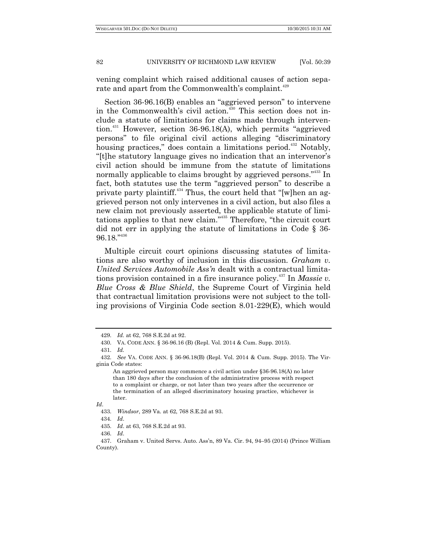vening complaint which raised additional causes of action separate and apart from the Commonwealth's complaint.<sup>429</sup>

Section 36-96.16(B) enables an "aggrieved person" to intervene in the Commonwealth's civil action.<sup>430</sup> This section does not include a statute of limitations for claims made through intervention.<sup>431</sup> However, section  $36-96.18(A)$ , which permits "aggrieved persons" to file original civil actions alleging "discriminatory housing practices," does contain a limitations period.<sup>432</sup> Notably, ―[t]he statutory language gives no indication that an intervenor's civil action should be immune from the statute of limitations normally applicable to claims brought by aggrieved persons."<sup>433</sup> In fact, both statutes use the term "aggrieved person" to describe a private party plaintiff.<sup>434</sup> Thus, the court held that "[w]hen an aggrieved person not only intervenes in a civil action, but also files a new claim not previously asserted, the applicable statute of limitations applies to that new claim."<sup>435</sup> Therefore, "the circuit court did not err in applying the statute of limitations in Code § 36-  $96.18.^{\scriptscriptstyle\gamma436}$ 

Multiple circuit court opinions discussing statutes of limitations are also worthy of inclusion in this discussion. *Graham v. United Services Automobile Ass'n* dealt with a contractual limitations provision contained in a fire insurance policy. <sup>437</sup> In *Massie v. Blue Cross & Blue Shield*, the Supreme Court of Virginia held that contractual limitation provisions were not subject to the tolling provisions of Virginia Code section 8.01-229(E), which would

<sup>429.</sup> *Id.* at 62, 768 S.E.2d at 92.

<sup>430.</sup> VA. CODE ANN. § 36-96.16 (B) (Repl. Vol. 2014 & Cum. Supp. 2015).

<sup>431.</sup> *Id.* 

<sup>432.</sup> *See* VA. CODE ANN. § 36-96.18(B) (Repl. Vol. 2014 & Cum. Supp. 2015). The Virginia Code states:

An aggrieved person may commence a civil action under §36-96.18(A) no later than 180 days after the conclusion of the administrative process with respect to a complaint or charge, or not later than two years after the occurrence or the termination of an alleged discriminatory housing practice, whichever is later.

*Id*.

<sup>433.</sup> *Windsor*, 289 Va. at 62, 768 S.E.2d at 93.

<sup>434.</sup> *Id*.

<sup>435.</sup> *Id*. at 63, 768 S.E.2d at 93.

<sup>436.</sup> *Id*.

<sup>437.</sup> Graham v. United Servs. Auto. Ass'n, 89 Va. Cir. 94, 94–95 (2014) (Prince William County).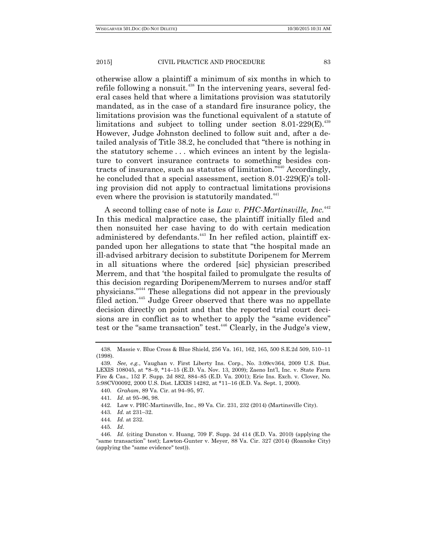otherwise allow a plaintiff a minimum of six months in which to refile following a nonsuit.<sup>438</sup> In the intervening years, several federal cases held that where a limitations provision was statutorily mandated, as in the case of a standard fire insurance policy, the limitations provision was the functional equivalent of a statute of limitations and subject to tolling under section  $8.01-229(E).$ <sup>439</sup> However, Judge Johnston declined to follow suit and, after a detailed analysis of Title 38.2, he concluded that "there is nothing in the statutory scheme . . . which evinces an intent by the legislature to convert insurance contracts to something besides contracts of insurance, such as statutes of limitation." $440$  Accordingly, he concluded that a special assessment, section 8.01-229(E)'s tolling provision did not apply to contractual limitations provisions even where the provision is statutorily mandated.<sup>441</sup>

A second tolling case of note is *Law v. PHC-Martinsville, Inc.*<sup>442</sup> In this medical malpractice case, the plaintiff initially filed and then nonsuited her case having to do with certain medication administered by defendants.<sup>443</sup> In her refiled action, plaintiff expanded upon her allegations to state that "the hospital made an ill-advised arbitrary decision to substitute Doripenem for Merrem in all situations where the ordered [sic] physician prescribed Merrem, and that 'the hospital failed to promulgate the results of this decision regarding Doripenem/Merrem to nurses and/or staff physicians."<sup>444</sup> These allegations did not appear in the previously filed action.<sup>445</sup> Judge Greer observed that there was no appellate decision directly on point and that the reported trial court decisions are in conflict as to whether to apply the "same evidence" test or the "same transaction" test.<sup>446</sup> Clearly, in the Judge's view,

440. *Graham*, 89 Va. Cir. at 94–95, 97.

<sup>438.</sup> Massie v. Blue Cross & Blue Shield, 256 Va. 161, 162, 165, 500 S.E.2d 509, 510–11 (1998).

<sup>439.</sup> *See, e.g.*, Vaughan v. First Liberty Ins. Corp., No. 3:09cv364, 2009 U.S. Dist. LEXIS 108045, at \*8–9, \*14–15 (E.D. Va. Nov. 13, 2009); Zaeno Int'l, Inc. v. State Farm Fire & Cas., 152 F. Supp. 2d 882, 884–85 (E.D. Va. 2001); Erie Ins. Exch. v. Clover, No. 5:98CV00092, 2000 U.S. Dist. LEXIS 14282, at \*11–16 (E.D. Va. Sept. 1, 2000).

<sup>441.</sup> *Id*. at 95–96, 98.

<sup>442.</sup> Law v. PHC-Martinsville, Inc., 89 Va. Cir. 231, 232 (2014) (Martinsville City).

<sup>443.</sup> *Id.* at 231–32.

<sup>444.</sup> *Id.* at 232.

<sup>445.</sup> *Id*.

<sup>446.</sup> *Id.* (citing Dunston v. Huang, 709 F. Supp. 2d 414 (E.D. Va. 2010) (applying the "same transaction" test); Lawton-Gunter v. Meyer, 88 Va. Cir. 327 (2014) (Roanoke City) (applying the "same evidence" test)).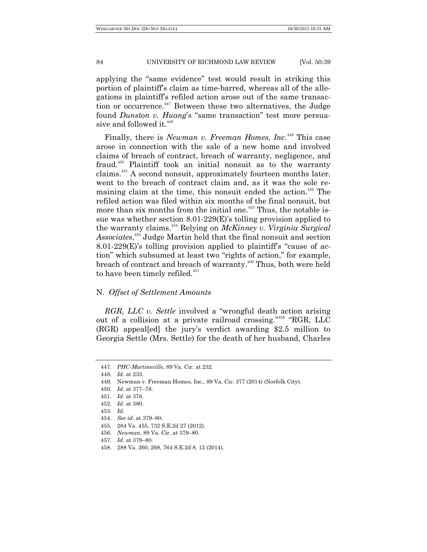applying the "same evidence" test would result in striking this portion of plaintiff's claim as time-barred, whereas all of the allegations in plaintiff's refiled action arose out of the same transaction or occurrence.<sup>447</sup> Between these two alternatives, the Judge found *Dunston v. Huang*'s "same transaction" test more persuasive and followed it.<sup>448</sup>

Finally, there is *Newman v. Freeman Homes, Inc.*<sup>449</sup> This case arose in connection with the sale of a new home and involved claims of breach of contract, breach of warranty, negligence, and fraud.<sup>450</sup> Plaintiff took an initial nonsuit as to the warranty claims.<sup>451</sup> A second nonsuit, approximately fourteen months later, went to the breach of contract claim and, as it was the sole remaining claim at the time, this nonsuit ended the action.<sup> $452$ </sup> The refiled action was filed within six months of the final nonsuit, but more than six months from the initial one.<sup>453</sup> Thus, the notable issue was whether section 8.01-229(E)'s tolling provision applied to the warranty claims.<sup>454</sup> Relying on *McKinney v. Virginia Surgical Associates*, <sup>455</sup> Judge Martin held that the final nonsuit and section 8.01-229 $(E)$ 's tolling provision applied to plaintiff's "cause of action" which subsumed at least two "rights of action," for example, breach of contract and breach of warranty.<sup>456</sup> Thus, both were held to have been timely refiled.<sup>457</sup>

# N. *Offset of Settlement Amounts*

*RGR, LLC v. Settle* involved a "wrongful death action arising out of a collision at a private railroad crossing."<sup>458</sup> "RGR, LLC (RGR) appeal[ed] the jury's verdict awarding \$2.5 million to Georgia Settle (Mrs. Settle) for the death of her husband, Charles

<sup>447.</sup> *PHC-Martinsville*, 89 Va. Cir. at 232.

<sup>448.</sup> *Id*. at 233.

<sup>449.</sup> Newman v. Freeman Homes, Inc., 89 Va. Cir. 377 (2014) (Norfolk City).

<sup>450.</sup> *Id*. at 377–78.

<sup>451.</sup> *Id*. at 378.

<sup>452.</sup> *Id*. at 380.

<sup>453.</sup> *Id*.

<sup>454.</sup> *See id*. at 379–80.

<sup>455.</sup> 284 Va. 455, 732 S.E.2d 27 (2012).

<sup>456.</sup> *Newman*, 89 Va. Cir. at 379–80.

<sup>457.</sup> *Id*. at 379–80.

<sup>458.</sup> 288 Va. 260, 268, 764 S.E.2d 8, 12 (2014).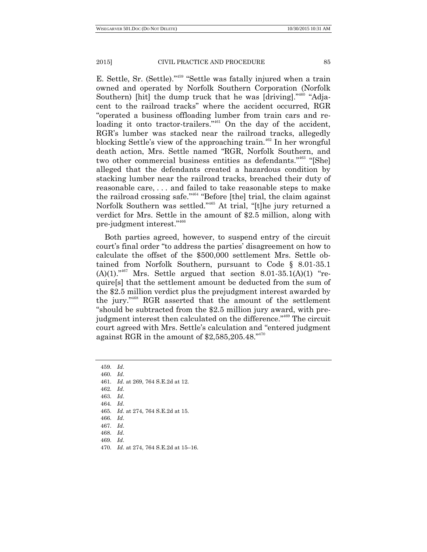E. Settle, Sr. (Settle)."<sup>459</sup> "Settle was fatally injured when a train owned and operated by Norfolk Southern Corporation (Norfolk Southern) [hit] the dump truck that he was [driving]."<sup>460</sup> "Adjacent to the railroad tracks" where the accident occurred, RGR ―operated a business offloading lumber from train cars and reloading it onto tractor-trailers."<sup>461</sup> On the day of the accident, RGR's lumber was stacked near the railroad tracks, allegedly blocking Settle's view of the approaching train.<sup> $462$ </sup> In her wrongful death action, Mrs. Settle named "RGR, Norfolk Southern, and two other commercial business entities as defendants."<sup>463</sup> "[She] alleged that the defendants created a hazardous condition by stacking lumber near the railroad tracks, breached their duty of reasonable care, . . . and failed to take reasonable steps to make the railroad crossing safe." $464$  "Before [the] trial, the claim against Norfolk Southern was settled."<sup>465</sup> At trial, "[t]he jury returned a verdict for Mrs. Settle in the amount of \$2.5 million, along with pre-judgment interest."<sup>466</sup>

Both parties agreed, however, to suspend entry of the circuit court's final order "to address the parties' disagreement on how to calculate the offset of the \$500,000 settlement Mrs. Settle obtained from Norfolk Southern, pursuant to Code § 8.01-35.1  $(A)(1)$ .<sup>467</sup> Mrs. Settle argued that section 8.01-35.1(A)(1) "require[s] that the settlement amount be deducted from the sum of the \$2.5 million verdict plus the prejudgment interest awarded by the jury."<sup>468</sup> RGR asserted that the amount of the settlement ―should be subtracted from the \$2.5 million jury award, with prejudgment interest then calculated on the difference."<sup>469</sup> The circuit court agreed with Mrs. Settle's calculation and "entered judgment against RGR in the amount of  $$2,585,205.48."$ <sup>470</sup>

- 461. *Id*. at 269, 764 S.E.2d at 12.
- 462. *Id*.
- 463. *Id*.
- 464. *Id*.
- 465. *Id*. at 274, 764 S.E.2d at 15.
- 466. *Id*.
- 467. *Id*.
- 468. *Id*.
- 469. *Id*.
- 470. *Id*. at 274, 764 S.E.2d at 15–16.

<sup>459.</sup> *Id*.

<sup>460.</sup> *Id*.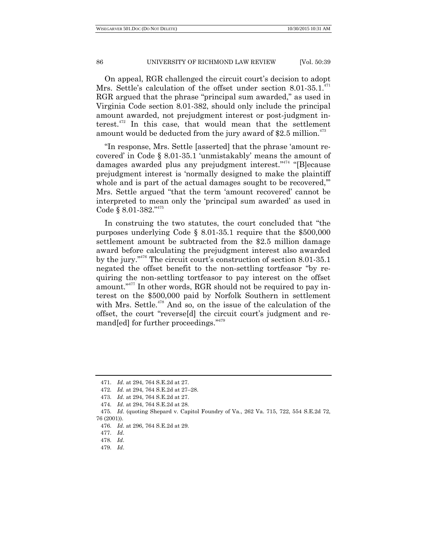On appeal, RGR challenged the circuit court's decision to adopt Mrs. Settle's calculation of the offset under section 8.01-35.1.<sup>471</sup> RGR argued that the phrase "principal sum awarded," as used in Virginia Code section 8.01-382, should only include the principal amount awarded, not prejudgment interest or post-judgment interest.<sup>472</sup> In this case, that would mean that the settlement amount would be deducted from the jury award of  $2.5$  million.<sup>473</sup>

"In response, Mrs. Settle [asserted] that the phrase 'amount recovered' in Code § 8.01-35.1 ‗unmistakably' means the amount of damages awarded plus any prejudgment interest."<sup>474</sup> "[B]ecause prejudgment interest is ‗normally designed to make the plaintiff whole and is part of the actual damages sought to be recovered," Mrs. Settle argued "that the term 'amount recovered' cannot be interpreted to mean only the 'principal sum awarded' as used in Code § 8.01-382."475

In construing the two statutes, the court concluded that "the purposes underlying Code § 8.01-35.1 require that the \$500,000 settlement amount be subtracted from the \$2.5 million damage award before calculating the prejudgment interest also awarded by the jury.<sup> $3476$ </sup> The circuit court's construction of section 8.01-35.1 negated the offset benefit to the non-settling tortfeasor "by requiring the non-settling tortfeasor to pay interest on the offset amount."<sup>477</sup> In other words, RGR should not be required to pay interest on the \$500,000 paid by Norfolk Southern in settlement with Mrs. Settle.<sup>478</sup> And so, on the issue of the calculation of the offset, the court "reverse[d] the circuit court's judgment and remand [ed] for further proceedings."<sup>479</sup>

<sup>471.</sup> *Id*. at 294, 764 S.E.2d at 27.

<sup>472.</sup> *Id.* at 294, 764 S.E.2d at 27–28.

<sup>473.</sup> *Id*. at 294, 764 S.E.2d at 27.

<sup>474.</sup> *Id*. at 294, 764 S.E.2d at 28.

<sup>475.</sup> *Id*. (quoting Shepard v. Capitol Foundry of Va., 262 Va. 715, 722, 554 S.E.2d 72,

<sup>76 (2001)).</sup>

<sup>476.</sup> *Id*. at 296, 764 S.E.2d at 29.

<sup>477.</sup> *Id*.

<sup>478.</sup> *Id*.

<sup>479.</sup> *Id*.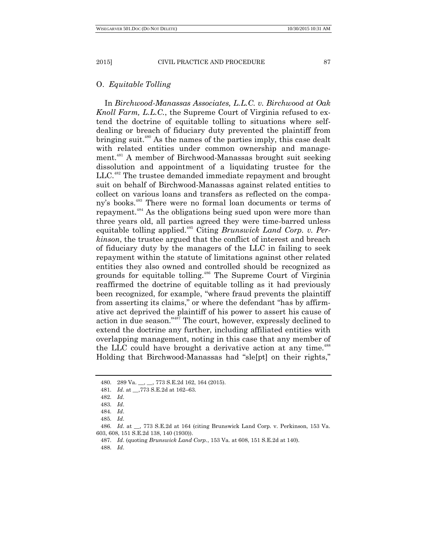# O. *Equitable Tolling*

In *Birchwood-Manassas Associates, L.L.C. v. Birchwood at Oak Knoll Farm, L.L.C.*, the Supreme Court of Virginia refused to extend the doctrine of equitable tolling to situations where selfdealing or breach of fiduciary duty prevented the plaintiff from bringing suit.<sup>480</sup> As the names of the parties imply, this case dealt with related entities under common ownership and management.<sup>481</sup> A member of Birchwood-Manassas brought suit seeking dissolution and appointment of a liquidating trustee for the LLC.<sup>482</sup> The trustee demanded immediate repayment and brought suit on behalf of Birchwood-Manassas against related entities to collect on various loans and transfers as reflected on the company's books.<sup>483</sup> There were no formal loan documents or terms of repayment.<sup>484</sup> As the obligations being sued upon were more than three years old, all parties agreed they were time-barred unless equitable tolling applied.<sup>485</sup> Citing *Brunswick Land Corp. v. Perkinson*, the trustee argued that the conflict of interest and breach of fiduciary duty by the managers of the LLC in failing to seek repayment within the statute of limitations against other related entities they also owned and controlled should be recognized as grounds for equitable tolling.<sup>486</sup> The Supreme Court of Virginia reaffirmed the doctrine of equitable tolling as it had previously been recognized, for example, "where fraud prevents the plaintiff from asserting its claims," or where the defendant "has by affirmative act deprived the plaintiff of his power to assert his cause of action in due season."<sup>487</sup> The court, however, expressly declined to extend the doctrine any further, including affiliated entities with overlapping management, noting in this case that any member of the LLC could have brought a derivative action at any time.<sup>488</sup> Holding that Birchwood-Manassas had "sle[pt] on their rights,"

488. *Id*.

<sup>480.</sup> 289 Va. \_\_, \_\_, 773 S.E.2d 162, 164 (2015).

<sup>481.</sup> *Id*. at \_\_,773 S.E.2d at 162–63.

<sup>482.</sup> *Id*.

<sup>483.</sup> *Id*.

<sup>484.</sup> *Id*.

<sup>485.</sup> *Id*.

<sup>486.</sup> *Id*. at \_\_, 773 S.E.2d at 164 (citing Brunswick Land Corp. v. Perkinson, 153 Va. 603, 608, 151 S.E.2d 138, 140 (1930)).

<sup>487.</sup> *Id*. (quoting *Brunswick Land Corp.*, 153 Va. at 608, 151 S.E.2d at 140).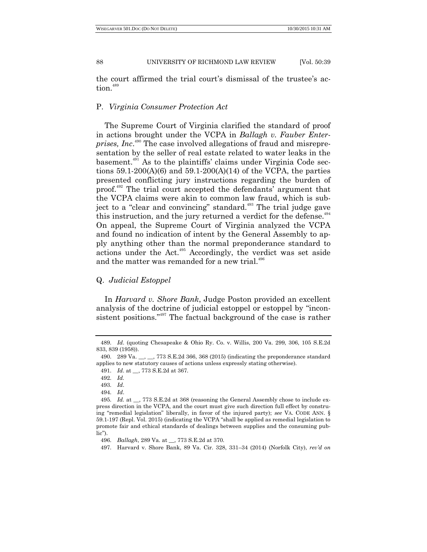the court affirmed the trial court's dismissal of the trustee's action.<sup>489</sup>

## P. *Virginia Consumer Protection Act*

The Supreme Court of Virginia clarified the standard of proof in actions brought under the VCPA in *Ballagh v. Fauber Enterprises, Inc*. <sup>490</sup> The case involved allegations of fraud and misrepresentation by the seller of real estate related to water leaks in the basement.<sup>491</sup> As to the plaintiffs' claims under Virginia Code sections  $59.1-200(A)(6)$  and  $59.1-200(A)(14)$  of the VCPA, the parties presented conflicting jury instructions regarding the burden of proof.<sup>492</sup> The trial court accepted the defendants' argument that the VCPA claims were akin to common law fraud, which is subject to a "clear and convincing" standard.<sup> $493$ </sup> The trial judge gave this instruction, and the jury returned a verdict for the defense.<sup>494</sup> On appeal, the Supreme Court of Virginia analyzed the VCPA and found no indication of intent by the General Assembly to apply anything other than the normal preponderance standard to actions under the Act.<sup>495</sup> Accordingly, the verdict was set aside and the matter was remanded for a new trial.<sup>496</sup>

# Q. *Judicial Estoppel*

In *Harvard v. Shore Bank*, Judge Poston provided an excellent analysis of the doctrine of judicial estoppel or estoppel by "inconsistent positions."<sup>497</sup> The factual background of the case is rather

<sup>489.</sup> *Id*. (quoting Chesapeake & Ohio Ry. Co. v. Willis, 200 Va. 299, 306, 105 S.E.2d 833, 839 (1958)).

<sup>490. 289</sup> Va.  $\ldots$ ,  $\ldots$ , 773 S.E.2d 366, 368 (2015) (indicating the preponderance standard applies to new statutory causes of actions unless expressly stating otherwise).

<sup>491.</sup> *Id*. at \_\_, 773 S.E.2d at 367.

<sup>492.</sup> *Id.*

<sup>493.</sup> *Id*.

<sup>494.</sup> *Id*.

<sup>495.</sup> *Id.* at \_\_, 773 S.E.2d at 368 (reasoning the General Assembly chose to include express direction in the VCPA, and the court must give such direction full effect by construing "remedial legislation" liberally, in favor of the injured party); *see* VA. CODE ANN. § 59.1-197 (Repl. Vol. 2015) (indicating the VCPA "shall be applied as remedial legislation to promote fair and ethical standards of dealings between supplies and the consuming pub $lie$ ).

<sup>496.</sup> *Ballagh*, 289 Va. at \_\_, 773 S.E.2d at 370.

<sup>497.</sup> Harvard v. Shore Bank, 89 Va. Cir. 328, 331–34 (2014) (Norfolk City), *rev'd on*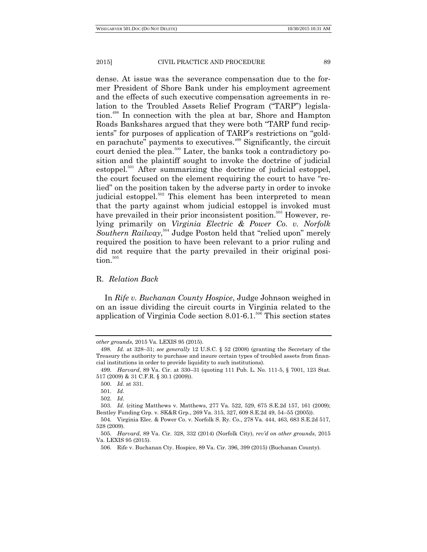dense. At issue was the severance compensation due to the former President of Shore Bank under his employment agreement and the effects of such executive compensation agreements in relation to the Troubled Assets Relief Program ("TARP") legislation.<sup>498</sup> In connection with the plea at bar, Shore and Hampton Roads Bankshares argued that they were both "TARP fund recipients" for purposes of application of TARP's restrictions on "golden parachute" payments to executives.<sup>499</sup> Significantly, the circuit court denied the plea.<sup>500</sup> Later, the banks took a contradictory position and the plaintiff sought to invoke the doctrine of judicial estoppel.<sup>501</sup> After summarizing the doctrine of judicial estoppel, the court focused on the element requiring the court to have "relied" on the position taken by the adverse party in order to invoke judicial estoppel.<sup>502</sup> This element has been interpreted to mean that the party against whom judicial estoppel is invoked must have prevailed in their prior inconsistent position.<sup>503</sup> However, relying primarily on *Virginia Electric & Power Co. v. Norfolk*  Southern Railway,<sup>504</sup> Judge Poston held that "relied upon" merely required the position to have been relevant to a prior ruling and did not require that the party prevailed in their original posi- $\text{tion}$ . $505$ 

## R. *Relation Back*

In *Rife v. Buchanan County Hospice*, Judge Johnson weighed in on an issue dividing the circuit courts in Virginia related to the application of Virginia Code section  $8.01 - 6.1$ .<sup>506</sup> This section states

*other grounds*, 2015 Va. LEXIS 95 (2015).

<sup>498.</sup> *Id.* at 328–31; *see generally* 12 U.S.C. § 52 (2008) (granting the Secretary of the Treasury the authority to purchase and insure certain types of troubled assets from financial institutions in order to provide liquidity to such institutions).

<sup>499.</sup> *Harvard*, 89 Va. Cir. at 330–31 (quoting 111 Pub. L. No. 111-5, § 7001, 123 Stat. 517 (2009) & 31 C.F.R. § 30.1 (2009)).

<sup>500.</sup> *Id*. at 331.

<sup>501.</sup> *Id*.

<sup>502.</sup> *Id*.

<sup>503.</sup> *Id.* (citing Matthews v. Matthews, 277 Va. 522, 529, 675 S.E.2d 157, 161 (2009); Bentley Funding Grp. v. SK&R Grp., 269 Va. 315, 327, 609 S.E.2d 49, 54–55 (2005)).

<sup>504.</sup> Virginia Elec. & Power Co. v. Norfolk S. Ry. Co., 278 Va. 444, 463, 683 S.E.2d 517, 528 (2009).

<sup>505.</sup> *Harvard*, 89 Va. Cir. 328, 332 (2014) (Norfolk City), *rev'd on other grounds*, 2015 Va. LEXIS 95 (2015).

<sup>506.</sup> Rife v. Buchanan Cty. Hospice, 89 Va. Cir. 396, 399 (2015) (Buchanan County).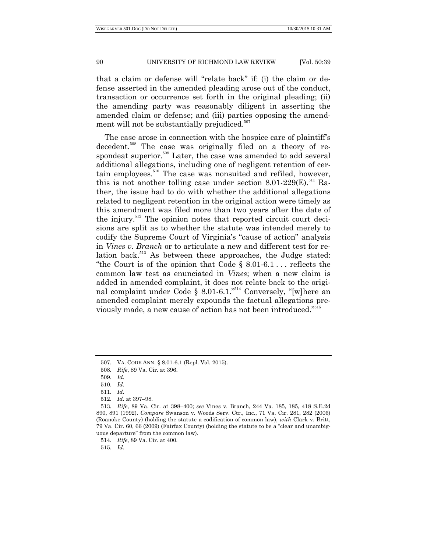that a claim or defense will "relate back" if: (i) the claim or defense asserted in the amended pleading arose out of the conduct, transaction or occurrence set forth in the original pleading; (ii) the amending party was reasonably diligent in asserting the amended claim or defense; and (iii) parties opposing the amendment will not be substantially prejudiced. 507

The case arose in connection with the hospice care of plaintiff's decedent.<sup>508</sup> The case was originally filed on a theory of respondeat superior.<sup>509</sup> Later, the case was amended to add several additional allegations, including one of negligent retention of certain employees.<sup>510</sup> The case was nonsuited and refiled, however, this is not another tolling case under section  $8.01\text{-}229(E)$ .<sup>511</sup> Rather, the issue had to do with whether the additional allegations related to negligent retention in the original action were timely as this amendment was filed more than two years after the date of the injury.<sup>512</sup> The opinion notes that reported circuit court decisions are split as to whether the statute was intended merely to codify the Supreme Court of Virginia's "cause of action" analysis in *Vines v. Branch* or to articulate a new and different test for relation back.<sup>513</sup> As between these approaches, the Judge stated: "the Court is of the opinion that Code  $\S$  8.01-6.1... reflects the common law test as enunciated in *Vines*; when a new claim is added in amended complaint, it does not relate back to the original complaint under Code § 8.01-6.1."<sup>514</sup> Conversely, "[w]here an amended complaint merely expounds the factual allegations previously made, a new cause of action has not been introduced."<sup>515</sup>

515. *Id*.

<sup>507.</sup> VA. CODE ANN. § 8.01-6.1 (Repl. Vol. 2015).

<sup>508.</sup> *Rife*, 89 Va. Cir. at 396.

<sup>509.</sup> *Id*.

<sup>510.</sup> *Id*.

<sup>511.</sup> *Id*.

<sup>512.</sup> *Id*. at 397–98.

<sup>513.</sup> *Rife*, 89 Va. Cir. at 398–400; *see* Vines v. Branch, 244 Va. 185, 185, 418 S.E.2d 890, 891 (1992). *Compare* Swanson v. Woods Serv. Ctr., Inc., 71 Va. Cir. 281, 282 (2006) (Roanoke County) (holding the statute a codification of common law), *with* Clark v. Britt,  $79 \text{ Va.}$  Cir.  $60, 66 \text{ (2009)}$  (Fairfax County) (holding the statute to be a "clear and unambiguous departure" from the common law).

<sup>514.</sup> *Rife*, 89 Va. Cir. at 400.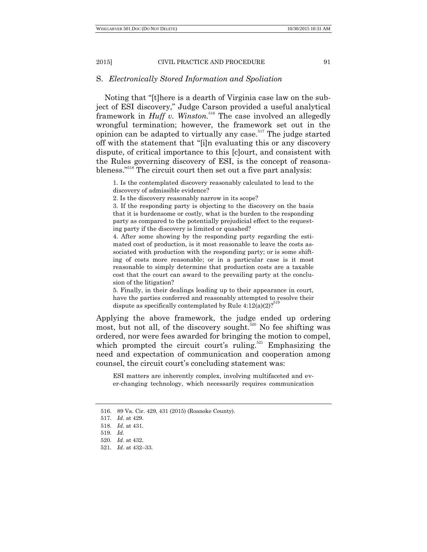## S. *Electronically Stored Information and Spoliation*

Noting that "[t]here is a dearth of Virginia case law on the subject of ESI discovery," Judge Carson provided a useful analytical framework in *Huff v. Winston.*<sup>516</sup> The case involved an allegedly wrongful termination; however, the framework set out in the opinion can be adapted to virtually any case.<sup> $517$ </sup> The judge started off with the statement that "[i]n evaluating this or any discovery dispute, of critical importance to this [c]ourt, and consistent with the Rules governing discovery of ESI, is the concept of reasonableness."<sup>518</sup> The circuit court then set out a five part analysis:

1. Is the contemplated discovery reasonably calculated to lead to the discovery of admissible evidence?

2. Is the discovery reasonably narrow in its scope?

3. If the responding party is objecting to the discovery on the basis that it is burdensome or costly, what is the burden to the responding party as compared to the potentially prejudicial effect to the requesting party if the discovery is limited or quashed?

4. After some showing by the responding party regarding the estimated cost of production, is it most reasonable to leave the costs associated with production with the responding party; or is some shifting of costs more reasonable; or in a particular case is it most reasonable to simply determine that production costs are a taxable cost that the court can award to the prevailing party at the conclusion of the litigation?

5. Finally, in their dealings leading up to their appearance in court, have the parties conferred and reasonably attempted to resolve their dispute as specifically contemplated by Rule  $4:12(a)(2)?$ 

Applying the above framework, the judge ended up ordering most, but not all, of the discovery sought.<sup>520</sup> No fee shifting was ordered, nor were fees awarded for bringing the motion to compel, which prompted the circuit court's ruling.<sup>521</sup> Emphasizing the need and expectation of communication and cooperation among counsel, the circuit court's concluding statement was:

ESI matters are inherently complex, involving multifaceted and ever-changing technology, which necessarily requires communication

<sup>516.</sup> 89 Va. Cir. 429, 431 (2015) (Roanoke County).

<sup>517.</sup> *Id*. at 429.

<sup>518.</sup> *Id*. at 431.

<sup>519.</sup> *Id.*

<sup>520.</sup> *Id*. at 432.

<sup>521.</sup> *Id*. at 432–33.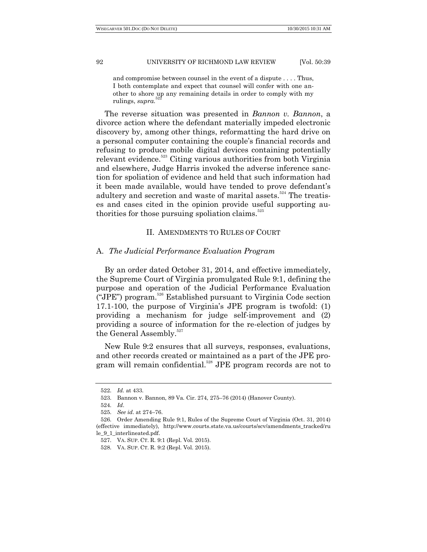and compromise between counsel in the event of a dispute . . . . Thus, I both contemplate and expect that counsel will confer with one another to shore up any remaining details in order to comply with my rulings, *supra.* 522

The reverse situation was presented in *Bannon v. Bannon*, a divorce action where the defendant materially impeded electronic discovery by, among other things, reformatting the hard drive on a personal computer containing the couple's financial records and refusing to produce mobile digital devices containing potentially relevant evidence.<sup>523</sup> Citing various authorities from both Virginia and elsewhere, Judge Harris invoked the adverse inference sanction for spoliation of evidence and held that such information had it been made available, would have tended to prove defendant's adultery and secretion and waste of marital assets.<sup>524</sup> The treatises and cases cited in the opinion provide useful supporting authorities for those pursuing spoliation claims. $525$ 

# II. AMENDMENTS TO RULES OF COURT

## A. *The Judicial Performance Evaluation Program*

By an order dated October 31, 2014, and effective immediately, the Supreme Court of Virginia promulgated Rule 9:1, defining the purpose and operation of the Judicial Performance Evaluation ("JPE") program.<sup>526</sup> Established pursuant to Virginia Code section [17.1-100,](http://leg1.state.va.us/cgi-bin/legp504.exe?000+cod+17.1-100) the purpose of Virginia's JPE program is twofold: (1) providing a mechanism for judge self-improvement and (2) providing a source of information for the re-election of judges by the General Assembly.<sup>527</sup>

New Rule 9:2 ensures that all surveys, responses, evaluations, and other records created or maintained as a part of the JPE program will remain confidential.<sup>528</sup> JPE program records are not to

<sup>522.</sup> *Id.* at 433.

<sup>523.</sup> Bannon v. Bannon, 89 Va. Cir. 274, 275–76 (2014) (Hanover County).

<sup>524.</sup> *Id*.

<sup>525.</sup> *See id*. at 274–76.

<sup>526.</sup> Order Amending Rule 9:1, Rules of the Supreme Court of Virginia (Oct. 31, 2014) (effective immediately), http://www.courts.state.va.us/courts/scv/amendments\_tracked/ru le\_9\_1\_interlineated.pdf.

<sup>527.</sup> VA. SUP. CT. R. 9:1 (Repl. Vol. 2015).

<sup>528.</sup> VA. SUP. CT. R. 9:2 (Repl. Vol. 2015).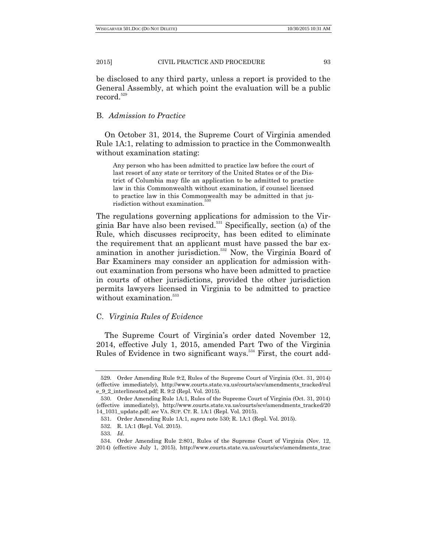be disclosed to any third party, unless a report is provided to the General Assembly, at which point the evaluation will be a public record.<sup>529</sup>

## B. *Admission to Practice*

On October 31, 2014, the Supreme Court of Virginia amended Rule 1A:1, relating to admission to practice in the Commonwealth without examination stating:

Any person who has been admitted to practice law before the court of last resort of any state or territory of the United States or of the District of Columbia may file an application to be admitted to practice law in this Commonwealth without examination, if counsel licensed to practice law in this Commonwealth may be admitted in that jurisdiction without examination.

The regulations governing applications for admission to the Virginia Bar have also been revised.<sup>531</sup> Specifically, section (a) of the Rule, which discusses reciprocity, has been edited to eliminate the requirement that an applicant must have passed the bar examination in another jurisdiction.<sup>532</sup> Now, the Virginia Board of Bar Examiners may consider an application for admission without examination from persons who have been admitted to practice in courts of other jurisdictions, provided the other jurisdiction permits lawyers licensed in Virginia to be admitted to practice without examination.<sup>533</sup>

## C. *Virginia Rules of Evidence*

The Supreme Court of Virginia's order dated November 12, 2014, effective July 1, 2015, amended Part Two of the Virginia Rules of Evidence in two significant ways.<sup>534</sup> First, the court add-

<sup>529.</sup> Order Amending Rule 9:2, Rules of the Supreme Court of Virginia (Oct. 31, 2014) (effective immediately), http://www.courts.state.va.us/courts/scv/amendments\_tracked/rul e\_9\_2\_interlineated.pdf; R. 9:2 (Repl. Vol. 2015).

<sup>530.</sup> Order Amending Rule 1A:1, Rules of the Supreme Court of Virginia (Oct. 31, 2014) (effective immediately), http://www.courts.state.va.us/courts/scv/amendments\_tracked/20 14\_1031\_update.pdf; *see* VA. SUP. CT. R. 1A:1 (Repl. Vol. 2015).

<sup>531.</sup> Order Amending Rule 1A:1, *supra* note 530; R. 1A:1 (Repl. Vol. 2015).

<sup>532.</sup> R. 1A:1 (Repl. Vol. 2015).

<sup>533.</sup> *Id*.

<sup>534.</sup> Order Amending Rule 2:801, Rules of the Supreme Court of Virginia (Nov. 12, 2014) (effective July 1, 2015), http://www.courts.state.va.us/courts/scv/amendments\_trac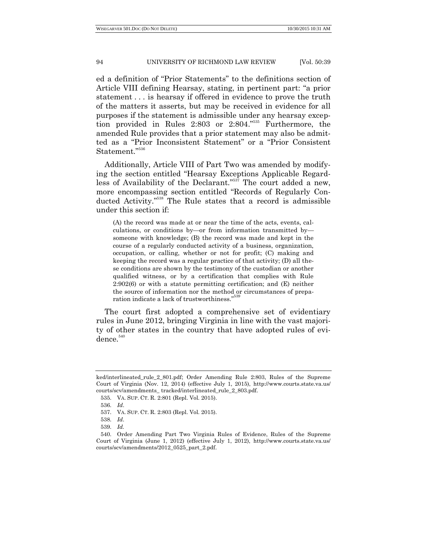ed a definition of "Prior Statements" to the definitions section of Article VIII defining Hearsay, stating, in pertinent part: "a prior statement . . . is hearsay if offered in evidence to prove the truth of the matters it asserts, but may be received in evidence for all purposes if the statement is admissible under any hearsay exception provided in Rules  $2:803$  or  $2:804.^{535}$  Furthermore, the amended Rule provides that a prior statement may also be admitted as a "Prior Inconsistent Statement" or a "Prior Consistent Statement."536

Additionally, Article VIII of Part Two was amended by modifying the section entitled "Hearsay Exceptions Applicable Regardless of Availability of the Declarant."<sup>537</sup> The court added a new, more encompassing section entitled "Records of Regularly Conducted Activity."<sup>538</sup> The Rule states that a record is admissible under this section if:

(A) the record was made at or near the time of the acts, events, calculations, or conditions by—or from information transmitted by someone with knowledge; (B) the record was made and kept in the course of a regularly conducted activity of a business, organization, occupation, or calling, whether or not for profit; (C) making and keeping the record was a regular practice of that activity; (D) all these conditions are shown by the testimony of the custodian or another qualified witness, or by a certification that complies with Rule 2:902(6) or with a statute permitting certification; and (E) neither the source of information nor the method or circumstances of prepa-539 ration indicate a lack of trustworthiness."

The court first adopted a comprehensive set of evidentiary rules in June 2012, bringing Virginia in line with the vast majority of other states in the country that have adopted rules of evi $dence.<sup>540</sup>$ 

ked/interlineated\_rule\_2\_801.pdf; Order Amending Rule 2:803, Rules of the Supreme Court of Virginia (Nov. 12, 2014) (effective July 1, 2015), http://www.courts.state.va.us/ courts/scv/amendments\_ tracked/interlineated\_rule\_2\_803.pdf.

<sup>535.</sup> VA. SUP. CT. R. 2:801 (Repl. Vol. 2015).

<sup>536.</sup> *Id*.

<sup>537.</sup> VA. SUP. CT. R. 2:803 (Repl. Vol. 2015).

<sup>538.</sup> *Id*.

<sup>539.</sup> *Id.*

<sup>540.</sup> Order Amending Part Two Virginia Rules of Evidence, Rules of the Supreme Court of Virginia (June 1, 2012) (effective July 1, 2012), http://www.courts.state.va.us/ courts/scv/amendments/2012\_0525\_part\_2.pdf.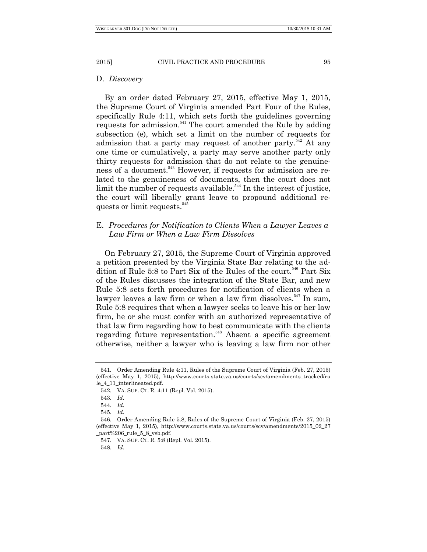#### D. *Discovery*

By an order dated February 27, 2015, effective May 1, 2015, the Supreme Court of Virginia amended Part Four of the Rules, specifically Rule 4:11, which sets forth the guidelines governing requests for admission.<sup>541</sup> The court amended the Rule by adding subsection (e), which set a limit on the number of requests for admission that a party may request of another party. $542$  At any one time or cumulatively, a party may serve another party only thirty requests for admission that do not relate to the genuineness of a document. <sup>543</sup> However, if requests for admission are related to the genuineness of documents, then the court does not limit the number of requests available.<sup>544</sup> In the interest of justice, the court will liberally grant leave to propound additional requests or limit requests.<sup>545</sup>

# E. *Procedures for Notification to Clients When a Lawyer Leaves a Law Firm or When a Law Firm Dissolves*

On February 27, 2015, the Supreme Court of Virginia approved a petition presented by the Virginia State Bar relating to the addition of Rule 5:8 to Part Six of the Rules of the court.<sup>546</sup> Part Six of the Rules discusses the integration of the State Bar, and new Rule 5:8 sets forth procedures for notification of clients when a lawyer leaves a law firm or when a law firm dissolves.<sup>547</sup> In sum, Rule 5:8 requires that when a lawyer seeks to leave his or her law firm, he or she must confer with an authorized representative of that law firm regarding how to best communicate with the clients regarding future representation.<sup>548</sup> Absent a specific agreement otherwise, neither a lawyer who is leaving a law firm nor other

<sup>541.</sup> Order Amending Rule 4:11, Rules of the Supreme Court of Virginia (Feb. 27, 2015) (effective May 1, 2015), http://www.courts.state.va.us/courts/scv/amendments\_tracked/ru le\_4\_11\_interlineated.pdf.

<sup>542.</sup> VA. SUP. CT. R. 4:11 (Repl. Vol. 2015).

<sup>543.</sup> *Id*.

<sup>544.</sup> *Id*.

<sup>545.</sup> *Id*.

<sup>546.</sup> Order Amending Rule 5.8, Rules of the Supreme Court of Virginia (Feb. 27, 2015) (effective May 1, 2015), http://www.courts.state.va.us/courts/scv/amendments/2015\_02\_27 \_part%206\_rule\_5\_8\_vsb.pdf.

<sup>547.</sup> VA. SUP. CT. R. 5:8 (Repl. Vol. 2015).

<sup>548.</sup> *Id*.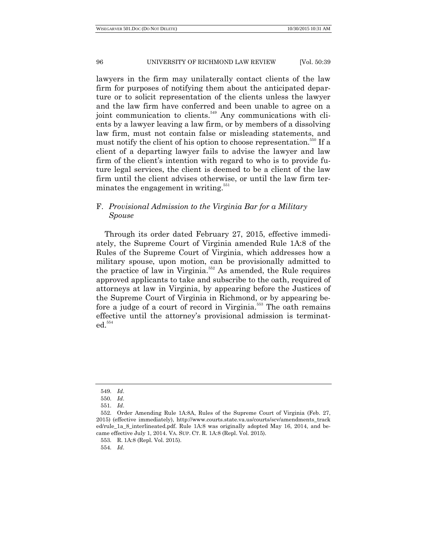lawyers in the firm may unilaterally contact clients of the law firm for purposes of notifying them about the anticipated departure or to solicit representation of the clients unless the lawyer and the law firm have conferred and been unable to agree on a joint communication to clients.<sup>549</sup> Any communications with clients by a lawyer leaving a law firm, or by members of a dissolving law firm, must not contain false or misleading statements, and must notify the client of his option to choose representation.<sup>550</sup> If a client of a departing lawyer fails to advise the lawyer and law firm of the client's intention with regard to who is to provide future legal services, the client is deemed to be a client of the law firm until the client advises otherwise, or until the law firm terminates the engagement in writing.<sup>551</sup>

# F. *Provisional Admission to the Virginia Bar for a Military Spouse*

Through its order dated February 27, 2015, effective immediately, the Supreme Court of Virginia amended Rule 1A:8 of the Rules of the Supreme Court of Virginia, which addresses how a military spouse, upon motion, can be provisionally admitted to the practice of law in Virginia.<sup>552</sup> As amended, the Rule requires approved applicants to take and subscribe to the oath, required of attorneys at law in Virginia, by appearing before the Justices of the Supreme Court of Virginia in Richmond, or by appearing before a judge of a court of record in Virginia.<sup>553</sup> The oath remains effective until the attorney's provisional admission is terminated.<sup>554</sup>

554. *Id*.

<sup>549.</sup> *Id*.

<sup>550.</sup> *Id*.

<sup>551.</sup> *Id*.

<sup>552.</sup> Order Amending Rule 1A:8A, Rules of the Supreme Court of Virginia (Feb. 27, 2015) (effective immediately), http://www.courts.state.va.us/courts/scv/amendments\_track ed/rule\_1a\_8\_interlineated.pdf. Rule 1A:8 was originally adopted May 16, 2014, and became effective July 1, 2014. VA. SUP. CT. R. 1A:8 (Repl. Vol. 2015).

<sup>553.</sup> R. 1A:8 (Repl. Vol. 2015).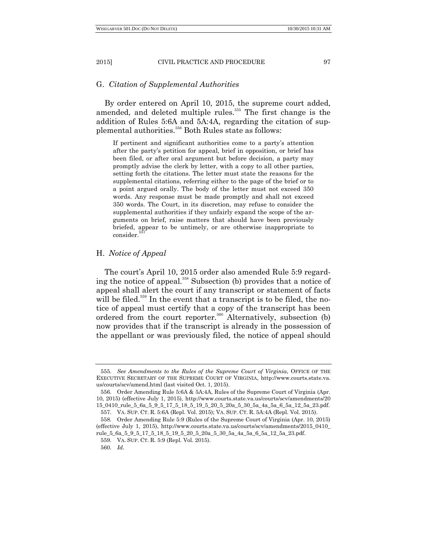# G. *Citation of Supplemental Authorities*

By order entered on April 10, 2015, the supreme court added, amended, and deleted multiple rules.<sup>555</sup> The first change is the addition of Rules 5:6A and 5A:4A, regarding the citation of supplemental authorities.<sup>556</sup> Both Rules state as follows:

If pertinent and significant authorities come to a party's attention after the party's petition for appeal, brief in opposition, or brief has been filed, or after oral argument but before decision, a party may promptly advise the clerk by letter, with a copy to all other parties, setting forth the citations. The letter must state the reasons for the supplemental citations, referring either to the page of the brief or to a point argued orally. The body of the letter must not exceed 350 words. Any response must be made promptly and shall not exceed 350 words. The Court, in its discretion, may refuse to consider the supplemental authorities if they unfairly expand the scope of the arguments on brief, raise matters that should have been previously briefed, appear to be untimely, or are otherwise inappropriate to consider.

#### H. *Notice of Appeal*

The court's April 10, 2015 order also amended Rule 5:9 regarding the notice of appeal.<sup>558</sup> Subsection (b) provides that a notice of appeal shall alert the court if any transcript or statement of facts will be filed.<sup>559</sup> In the event that a transcript is to be filed, the notice of appeal must certify that a copy of the transcript has been ordered from the court reporter.<sup>560</sup> Alternatively, subsection (b) now provides that if the transcript is already in the possession of the appellant or was previously filed, the notice of appeal should

<sup>555.</sup> *See Amendments to the Rules of the Supreme Court of Virginia*, OFFICE OF THE EXECUTIVE SECRETARY OF THE SUPREME COURT OF VIRGINIA, http://www.courts.state.va. us/courts/scv/amend.html (last visited Oct. 1, 2015).

<sup>556.</sup> Order Amending Rule 5:6A & 5A:4A, Rules of the Supreme Court of Virginia (Apr. 10, 2015) (effective July 1, 2015), http://www.courts.state.va.us/courts/scv/amendments/20 15\_0410\_rule\_5\_6a\_5\_9\_5\_17\_5\_18\_5\_19\_5\_20\_5\_20a\_5\_30\_5a\_4a\_5a\_6\_5a\_12\_5a\_23.pdf. 557. VA. SUP. CT. R. 5:6A (Repl. Vol. 2015); VA. SUP. CT. R. 5A:4A (Repl. Vol. 2015).

<sup>558.</sup> Order Amending Rule 5:9 (Rules of the Supreme Court of Virginia (Apr. 10, 2015) (effective July 1, 2015), http://www.courts.state.va.us/courts/scv/amendments/2015\_0410\_ rule\_5\_6a\_5\_9\_5\_17\_5\_18\_5\_19\_5\_20\_5\_20a\_5\_30\_5a\_4a\_5a\_6\_5a\_12\_5a\_23.pdf.

<sup>559.</sup> VA. SUP. CT. R. 5:9 (Repl. Vol. 2015).

<sup>560.</sup> *Id*.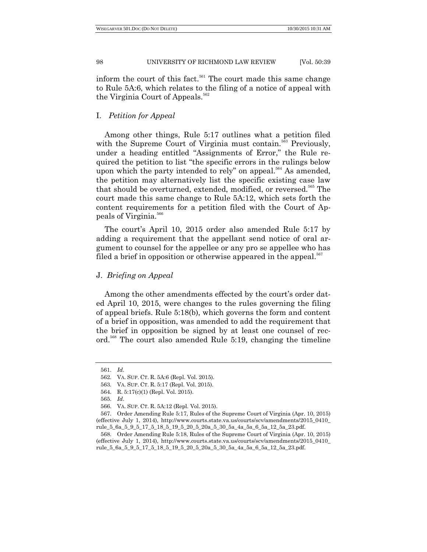inform the court of this fact.<sup>561</sup> The court made this same change to Rule 5A:6, which relates to the filing of a notice of appeal with the Virginia Court of Appeals.<sup>562</sup>

## I. *Petition for Appeal*

Among other things, Rule 5:17 outlines what a petition filed with the Supreme Court of Virginia must contain.<sup>563</sup> Previously, under a heading entitled "Assignments of Error," the Rule required the petition to list "the specific errors in the rulings below upon which the party intended to rely" on appeal.<sup>564</sup> As amended, the petition may alternatively list the specific existing case law that should be overturned, extended, modified, or reversed.<sup>565</sup> The court made this same change to Rule 5A:12, which sets forth the content requirements for a petition filed with the Court of Appeals of Virginia. 566

The court's April 10, 2015 order also amended Rule 5:17 by adding a requirement that the appellant send notice of oral argument to counsel for the appellee or any pro se appellee who has filed a brief in opposition or otherwise appeared in the appeal. $567$ 

## J. *Briefing on Appeal*

Among the other amendments effected by the court's order dated April 10, 2015, were changes to the rules governing the filing of appeal briefs. Rule 5:18(b), which governs the form and content of a brief in opposition, was amended to add the requirement that the brief in opposition be signed by at least one counsel of record.<sup>568</sup> The court also amended Rule 5:19, changing the timeline

<sup>561.</sup> *Id*.

<sup>562.</sup> VA. SUP. CT. R. 5A:6 (Repl. Vol. 2015).

<sup>563.</sup> VA. SUP. CT. R. 5:17 (Repl. Vol. 2015).

<sup>564.</sup> R. 5:17(c)(1) (Repl. Vol. 2015).

<sup>565.</sup> *Id*.

<sup>566.</sup> VA. SUP. CT. R. 5A:12 (Repl. Vol. 2015).

<sup>567.</sup> Order Amending Rule 5:17, Rules of the Supreme Court of Virginia (Apr. 10, 2015) (effective July 1, 2014), http://www.courts.state.va.us/courts/scv/amendments/2015\_0410\_ rule\_5\_6a\_5\_9\_5\_17\_5\_18\_5\_19\_5\_20\_5\_20a\_5\_30\_5a\_4a\_5a\_6\_5a\_12\_5a\_23.pdf.

<sup>568.</sup> Order Amending Rule 5:18, Rules of the Supreme Court of Virginia (Apr. 10, 2015) (effective July 1, 2014), http://www.courts.state.va.us/courts/scv/amendments/2015\_0410\_ rule\_5\_6a\_5\_9\_5\_17\_5\_18\_5\_19\_5\_20\_5\_20a\_5\_30\_5a\_4a\_5a\_6\_5a\_12\_5a\_23.pdf.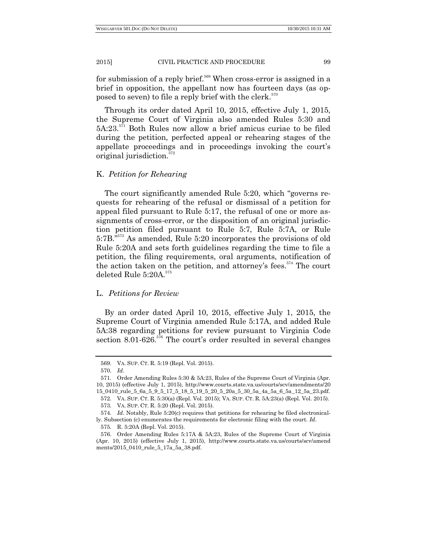for submission of a reply brief.<sup>569</sup> When cross-error is assigned in a brief in opposition, the appellant now has fourteen days (as opposed to seven) to file a reply brief with the clerk. $570$ 

Through its order dated April 10, 2015, effective July 1, 2015, the Supreme Court of Virginia also amended Rules 5:30 and 5A:23.<sup>571</sup> Both Rules now allow a brief amicus curiae to be filed during the petition, perfected appeal or rehearing stages of the appellate proceedings and in proceedings invoking the court's original jurisdiction.<sup>572</sup>

#### K. *Petition for Rehearing*

The court significantly amended Rule 5:20, which "governs requests for rehearing of the refusal or dismissal of a petition for appeal filed pursuant to Rule 5:17, the refusal of one or more assignments of cross-error, or the disposition of an original jurisdiction petition filed pursuant to Rule 5:7, Rule 5:7A, or Rule 5:7B."<sup>573</sup> As amended, Rule 5:20 incorporates the provisions of old Rule 5:20A and sets forth guidelines regarding the time to file a petition, the filing requirements, oral arguments, notification of the action taken on the petition, and attorney's fees.<sup>574</sup> The court deleted Rule 5:20A.<sup>575</sup>

## L. *Petitions for Review*

By an order dated April 10, 2015, effective July 1, 2015, the Supreme Court of Virginia amended Rule 5:17A, and added Rule 5A:38 regarding petitions for review pursuant to Virginia Code section  $8.01-626$ .<sup>576</sup> The court's order resulted in several changes

<sup>569.</sup> VA. SUP. CT. R. 5:19 (Repl. Vol. 2015).

<sup>570.</sup> *Id*.

<sup>571.</sup> Order Amending Rules 5:30 & 5A:23, Rules of the Supreme Court of Virginia (Apr. 10, 2015) (effective July 1, 2015), http://www.courts.state.va.us/courts/scv/amendments/20 15\_0410\_rule\_5\_6a\_5\_9\_5\_17\_5\_18\_5\_19\_5\_20\_5\_20a\_5\_30\_5a\_4a\_5a\_6\_5a\_12\_5a\_23.pdf.

<sup>572.</sup> VA. SUP. CT. R. 5:30(a) (Repl. Vol. 2015); VA. SUP. CT. R. 5A:23(a) (Repl. Vol. 2015).

<sup>573.</sup> VA. SUP. CT. R. 5:20 (Repl. Vol. 2015).

<sup>574.</sup> *Id*. Notably, Rule 5:20(c) requires that petitions for rehearing be filed electronically. Subsection (c) enumerates the requirements for electronic filing with the court. *Id*.

<sup>575.</sup> R. 5:20A (Repl. Vol. 2015).

<sup>576.</sup> Order Amending Rules 5:17A & 5A:23, Rules of the Supreme Court of Virginia (Apr. 10, 2015) (effective July 1, 2015), http://www.courts.state.va.us/courts/scv/amend ments/2015\_0410\_rule\_5\_17a\_5a\_38.pdf.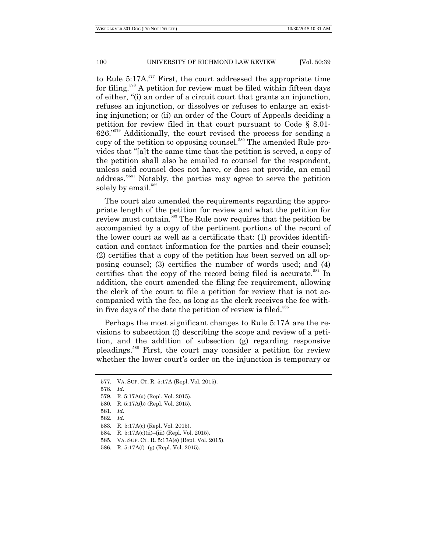to Rule  $5:17A$ <sup>577</sup> First, the court addressed the appropriate time for filing.<sup>578</sup> A petition for review must be filed within fifteen days of either, ―(i) an order of a circuit court that grants an injunction, refuses an injunction, or dissolves or refuses to enlarge an existing injunction; or (ii) an order of the Court of Appeals deciding a petition for review filed in that court pursuant to Code § 8.01-  $626.^{"579}$  Additionally, the court revised the process for sending a copy of the petition to opposing counsel.<sup>580</sup> The amended Rule provides that "[a]t the same time that the petition is served, a copy of the petition shall also be emailed to counsel for the respondent, unless said counsel does not have, or does not provide, an email address."<sup>581</sup> Notably, the parties may agree to serve the petition solely by email.<sup>582</sup>

The court also amended the requirements regarding the appropriate length of the petition for review and what the petition for review must contain.<sup>583</sup> The Rule now requires that the petition be accompanied by a copy of the pertinent portions of the record of the lower court as well as a certificate that: (1) provides identification and contact information for the parties and their counsel; (2) certifies that a copy of the petition has been served on all opposing counsel; (3) certifies the number of words used; and (4) certifies that the copy of the record being filed is accurate.<sup>584</sup> In addition, the court amended the filing fee requirement, allowing the clerk of the court to file a petition for review that is not accompanied with the fee, as long as the clerk receives the fee within five days of the date the petition of review is filed.<sup>585</sup>

Perhaps the most significant changes to Rule 5:17A are the revisions to subsection (f) describing the scope and review of a petition, and the addition of subsection (g) regarding responsive pleadings.<sup>586</sup> First, the court may consider a petition for review whether the lower court's order on the injunction is temporary or

<sup>577.</sup> VA. SUP. CT. R. 5:17A (Repl. Vol. 2015).

<sup>578.</sup> *Id*.

<sup>579.</sup> R. 5:17A(a) (Repl. Vol. 2015).

<sup>580.</sup> R. 5:17A(b) (Repl. Vol. 2015).

<sup>581.</sup> *Id*.

<sup>582.</sup> *Id*.

<sup>583.</sup> R. 5:17A(c) (Repl. Vol. 2015).

<sup>584.</sup> R. 5:17A(c)(ii)–(iii) (Repl. Vol. 2015).

<sup>585.</sup> VA. SUP. CT. R. 5:17A(e) (Repl. Vol. 2015).

<sup>586.</sup> R. 5:17A(f)–(g) (Repl. Vol. 2015).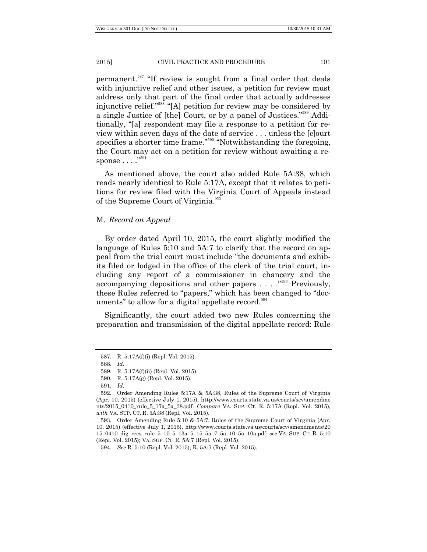permanent.<sup>587</sup> "If review is sought from a final order that deals with injunctive relief and other issues, a petition for review must address only that part of the final order that actually addresses injunctive relief."<sup>588</sup> "[A] petition for review may be considered by a single Justice of [the] Court, or by a panel of Justices."<sup>589</sup> Additionally, "[a] respondent may file a response to a petition for review within seven days of the date of service . . . unless the [c]ourt specifies a shorter time frame."<sup>590</sup> "Notwithstanding the foregoing, the Court may act on a petition for review without awaiting a re- $\text{spones}\dots\overset{\text{{\tiny\textsf{591}}}}{\dots}$ 

As mentioned above, the court also added Rule 5A:38, which reads nearly identical to Rule 5:17A, except that it relates to petitions for review filed with the Virginia Court of Appeals instead of the Supreme Court of Virginia.<sup>592</sup>

## M. *Record on Appeal*

By order dated April 10, 2015, the court slightly modified the language of Rules 5:10 and 5A:7 to clarify that the record on appeal from the trial court must include "the documents and exhibits filed or lodged in the office of the clerk of the trial court, including any report of a commissioner in chancery and the accompanying depositions and other papers  $\dots$   $\cdot$ <sup>593</sup> Previously, these Rules referred to "papers," which has been changed to "documents" to allow for a digital appellate record.<sup>594</sup>

Significantly, the court added two new Rules concerning the preparation and transmission of the digital appellate record: Rule

<sup>587.</sup> R. 5:17A(f)(i) (Repl. Vol. 2015).

<sup>588.</sup> *Id*.

<sup>589.</sup> R. 5:17A(f)(ii) (Repl. Vol. 2015).

<sup>590.</sup> R. 5:17A(g) (Repl. Vol. 2015).

<sup>591.</sup> *Id*.

<sup>592.</sup> Order Amending Rules 5:17A & 5A:38, Rules of the Supreme Court of Virginia (Apr. 10, 2015) (effective July 1, 2015), http://www.courts.state.va.us/courts/scv/amendme nts/2015\_0410\_rule\_5\_17a\_5a\_38.pdf. *Compare* VA. SUP. CT. R. 5:17A (Repl. Vol. 2015), *with* VA. SUP. CT. R. 5A:38 (Repl. Vol. 2015).

<sup>593.</sup> Order Amending Rule 5:10 & 5A:7, Rules of the Supreme Court of Virginia (Apr. 10, 2015) (effective July 1, 2015), http://www.courts.state.va.us/courts/scv/amendments/20 15\_0410\_dig\_recs\_rule\_5\_10\_5\_13a\_5\_15\_5a\_7\_5a\_10\_5a\_10a.pdf; *see* VA. SUP. CT. R. 5:10 (Repl. Vol. 2015); VA. SUP. CT. R. 5A:7 (Repl. Vol. 2015).

<sup>594.</sup> *See* R. 5:10 (Repl. Vol. 2015); R. 5A:7 (Repl. Vol. 2015).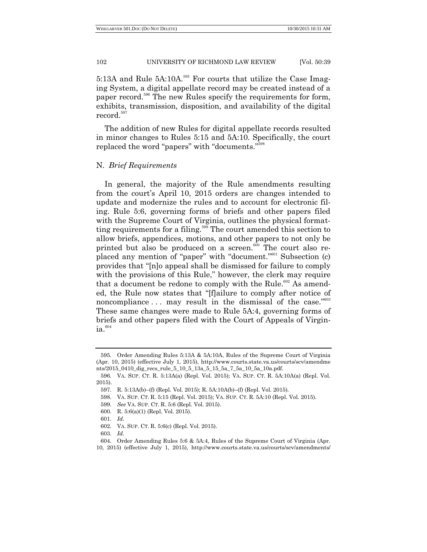5:13A and Rule 5A:10A.<sup>595</sup> For courts that utilize the Case Imaging System, a digital appellate record may be created instead of a paper record.<sup>596</sup> The new Rules specify the requirements for form, exhibits, transmission, disposition, and availability of the digital record.<sup>597</sup>

The addition of new Rules for digital appellate records resulted in minor changes to Rules 5:15 and 5A:10. Specifically, the court replaced the word "papers" with "documents."<sup>598</sup>

#### N. *Brief Requirements*

In general, the majority of the Rule amendments resulting from the court's April 10, 2015 orders are changes intended to update and modernize the rules and to account for electronic filing. Rule 5:6, governing forms of briefs and other papers filed with the Supreme Court of Virginia, outlines the physical formatting requirements for a filing.<sup>599</sup> The court amended this section to allow briefs, appendices, motions, and other papers to not only be printed but also be produced on a screen. $600$  The court also replaced any mention of "paper" with "document."<sup>601</sup> Subsection (c) provides that "[n]o appeal shall be dismissed for failure to comply with the provisions of this Rule," however, the clerk may require that a document be redone to comply with the Rule.<sup>602</sup> As amended, the Rule now states that "[f]ailure to comply after notice of noncompliance  $\dots$  may result in the dismissal of the case.<sup> $3603$ </sup> These same changes were made to Rule 5A:4, governing forms of briefs and other papers filed with the Court of Appeals of Virgin- $\mathrm{ia}^{.604}$ 

<sup>595.</sup> Order Amending Rules 5:13A & 5A:10A, Rules of the Supreme Court of Virginia (Apr. 10, 2015) (effective July 1, 2015), http://www.courts.state.va.us/courts/scv/amendme nts/2015\_0410\_dig\_recs\_rule\_5\_10\_5\_13a\_5\_15\_5a\_7\_5a\_10\_5a\_10a.pdf.

<sup>596.</sup> VA. SUP. CT. R. 5:13A(a) (Repl. Vol. 2015); VA. SUP. CT. R. 5A:10A(a) (Repl. Vol. 2015).

<sup>597.</sup> R. 5:13A(b)–(f) (Repl. Vol. 2015); R. 5A:10A(b)–(f) (Repl. Vol. 2015).

<sup>598.</sup> VA. SUP. CT. R. 5:15 (Repl. Vol. 2015); VA. SUP. CT. R. 5A:10 (Repl. Vol. 2015).

<sup>599.</sup> *See* VA. SUP. CT. R. 5:6 (Repl. Vol. 2015).

<sup>600.</sup> R. 5:6(a)(1) (Repl. Vol. 2015).

<sup>601.</sup> *Id*.

<sup>602.</sup> VA. SUP. CT. R. 5:6(c) (Repl. Vol. 2015).

<sup>603.</sup> *Id*.

<sup>604.</sup> Order Amending Rules 5:6 & 5A:4, Rules of the Supreme Court of Virginia (Apr. 10, 2015) (effective July 1, 2015), http://www.courts.state.va.us/courts/scv/amendments/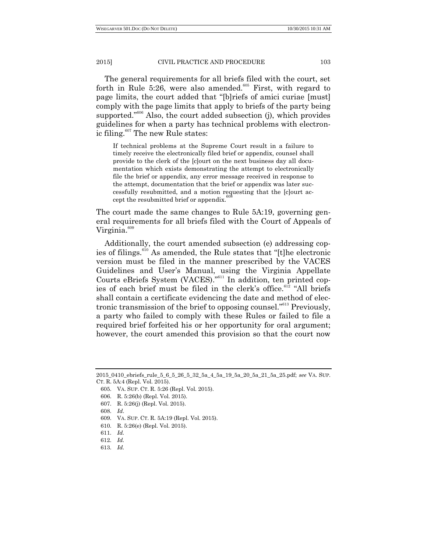The general requirements for all briefs filed with the court, set forth in Rule 5:26, were also amended. $605$  First, with regard to page limits, the court added that "[b]riefs of amici curiae [must] comply with the page limits that apply to briefs of the party being supported.<sup> $3606$ </sup> Also, the court added subsection (j), which provides guidelines for when a party has technical problems with electronic filing. $607$  The new Rule states:

If technical problems at the Supreme Court result in a failure to timely receive the electronically filed brief or appendix, counsel shall provide to the clerk of the [c]ourt on the next business day all documentation which exists demonstrating the attempt to electronically file the brief or appendix, any error message received in response to the attempt, documentation that the brief or appendix was later successfully resubmitted, and a motion requesting that the [c]ourt accept the resubmitted brief or appendix.<sup>4</sup>

The court made the same changes to Rule 5A:19, governing general requirements for all briefs filed with the Court of Appeals of Virginia. 609

Additionally, the court amended subsection (e) addressing copies of filings.<sup>610</sup> As amended, the Rule states that "[t]he electronic version must be filed in the manner prescribed by the VACES Guidelines and User's Manual, using the Virginia Appellate Courts eBriefs System (VACES)."<sup>611</sup> In addition, ten printed copies of each brief must be filed in the clerk's office.<sup>612</sup> "All briefs shall contain a certificate evidencing the date and method of electronic transmission of the brief to opposing counsel."<sup>613</sup> Previously, a party who failed to comply with these Rules or failed to file a required brief forfeited his or her opportunity for oral argument; however, the court amended this provision so that the court now

- 607. R. 5:26(j) (Repl. Vol. 2015).
- 608. *Id*.
- 609. VA. SUP. CT. R. 5A:19 (Repl. Vol. 2015).
- 610. R. 5:26(e) (Repl. Vol. 2015).

- 612. *Id.*
- 613. *Id.*

<sup>2015</sup>\_0410\_ebriefs\_rule\_5\_6\_5\_26\_5\_32\_5a\_4\_5a\_19\_5a\_20\_5a\_21\_5a\_25.pdf; *see* VA. SUP. CT. R. 5A:4 (Repl. Vol. 2015).

<sup>605.</sup> VA. SUP. CT. R. 5:26 (Repl. Vol. 2015).

<sup>606.</sup> R. 5:26(b) (Repl. Vol. 2015).

<sup>611.</sup> *Id.*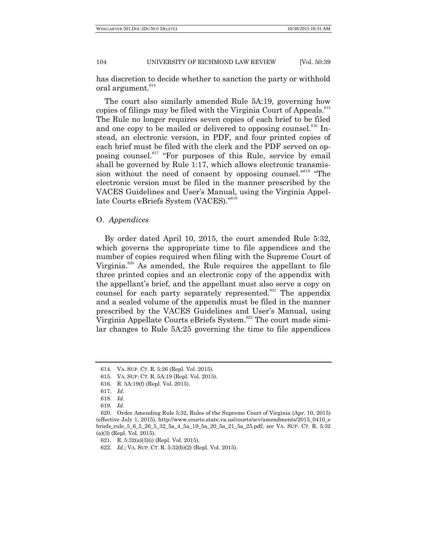has discretion to decide whether to sanction the party or withhold oral argument.<sup>614</sup>

The court also similarly amended Rule 5A:19, governing how copies of filings may be filed with the Virginia Court of Appeals.<sup>615</sup> The Rule no longer requires seven copies of each brief to be filed and one copy to be mailed or delivered to opposing counsel. $616$  Instead, an electronic version, in PDF, and four printed copies of each brief must be filed with the clerk and the PDF served on opposing counsel.<sup>617</sup> "For purposes of this Rule, service by email shall be governed by Rule 1:17, which allows electronic transmission without the need of consent by opposing counsel."<sup>618</sup> "The electronic version must be filed in the manner prescribed by the VACES Guidelines and User's Manual, using the Virginia Appellate Courts eBriefs System (VACES)."<sup>619</sup>

# O. *Appendices*

By order dated April 10, 2015, the court amended Rule 5:32, which governs the appropriate time to file appendices and the number of copies required when filing with the Supreme Court of Virginia.<sup>620</sup> As amended, the Rule requires the appellant to file three printed copies and an electronic copy of the appendix with the appellant's brief, and the appellant must also serve a copy on counsel for each party separately represented.<sup>621</sup> The appendix and a sealed volume of the appendix must be filed in the manner prescribed by the VACES Guidelines and User's Manual, using Virginia Appellate Courts eBriefs System.<sup>622</sup> The court made similar changes to Rule 5A:25 governing the time to file appendices

<sup>614.</sup> VA. SUP. CT. R. 5:26 (Repl. Vol. 2015).

<sup>615.</sup> VA. SUP. CT. R. 5A:19 (Repl. Vol. 2015).

<sup>616.</sup> R. 5A:19(f) (Repl. Vol. 2015).

<sup>617.</sup> *Id*.

<sup>618.</sup> *Id.*

<sup>619.</sup> *Id.*

<sup>620.</sup> Order Amending Rule 5:32, Rules of the Supreme Court of Virginia (Apr. 10, 2015) (effective July 1, 2015), http://www.courts.state.va.us/courts/scv/amendments/2015\_0410\_e briefs\_rule\_5\_6\_5\_26\_5\_32\_5a\_4\_5a\_19\_5a\_20\_5a\_21\_5a\_25.pdf; *see* VA. SUP. CT. R. 5:32 (a)(3) (Repl. Vol. 2015).

<sup>621.</sup> R. 5:32(a)(3)(i) (Repl. Vol. 2015).

<sup>622.</sup> *Id.*; VA. SUP. CT. R. 5:32(b)(2) (Repl. Vol. 2015).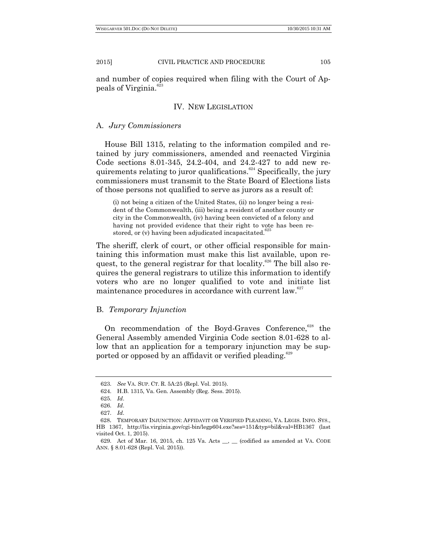and number of copies required when filing with the Court of Appeals of Virginia. 623

## IV. NEW LEGISLATION

## A. *Jury Commissioners*

House Bill 1315, relating to the information compiled and retained by jury commissioners, amended and reenacted Virginia Code sections 8.01-345, 24.2-404, and 24.2-427 to add new requirements relating to juror qualifications.<sup>624</sup> Specifically, the jury commissioners must transmit to the State Board of Elections lists of those persons not qualified to serve as jurors as a result of:

(i) not being a citizen of the United States, (ii) no longer being a resident of the Commonwealth, (iii) being a resident of another county or city in the Commonwealth, (iv) having been convicted of a felony and having not provided evidence that their right to vote has been restored, or (v) having been adjudicated incapacitated.

The sheriff, clerk of court, or other official responsible for maintaining this information must make this list available, upon request, to the general registrar for that locality.<sup>626</sup> The bill also requires the general registrars to utilize this information to identify voters who are no longer qualified to vote and initiate list maintenance procedures in accordance with current law. $627$ 

## B. *Temporary Injunction*

On recommendation of the Boyd-Graves Conference,<sup>628</sup> the General Assembly amended Virginia Code section 8.01-628 to allow that an application for a temporary injunction may be supported or opposed by an affidavit or verified pleading.<sup>629</sup>

<sup>623.</sup> *See* VA. SUP. CT. R. 5A:25 (Repl. Vol. 2015).

<sup>624.</sup> H.B. 1315, Va. Gen. Assembly (Reg. Sess. 2015).

<sup>625.</sup> *Id*.

<sup>626.</sup> *Id*.

<sup>627.</sup> *Id*.

<sup>628</sup>. TEMPORARY INJUNCTION: AFFIDAVIT OR VERIFIED PLEADING, VA. LEGIS. INFO. SYS., HB 1367, http://lis.virginia.gov/cgi-bin/legp604.exe?ses=151&typ=bil&val=HB1367 (last visited Oct. 1, 2015).

<sup>629.</sup> Act of Mar. 16, 2015, ch. 125 Va. Acts \_\_, \_\_ (codified as amended at VA. CODE ANN. § 8.01-628 (Repl. Vol. 2015)).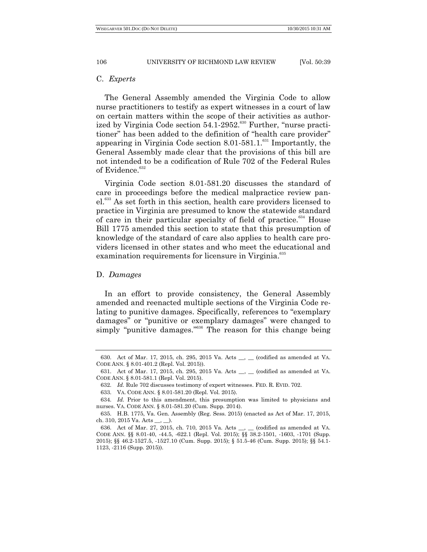## C. *Experts*

The General Assembly amended the Virginia Code to allow nurse practitioners to testify as expert witnesses in a court of law on certain matters within the scope of their activities as authorized by Virginia Code section 54.1-2952.<sup>630</sup> Further, "nurse practitioner" has been added to the definition of "health care provider" appearing in Virginia Code section  $8.01-581.1.^{631}$  Importantly, the General Assembly made clear that the provisions of this bill are not intended to be a codification of Rule 702 of the Federal Rules of Evidence.<sup>632</sup>

Virginia Code section 8.01-581.20 discusses the standard of care in proceedings before the medical malpractice review panel.<sup>633</sup> As set forth in this section, health care providers licensed to practice in Virginia are presumed to know the statewide standard of care in their particular specialty of field of practice. $634$  House Bill 1775 amended this section to state that this presumption of knowledge of the standard of care also applies to health care providers licensed in other states and who meet the educational and examination requirements for licensure in Virginia.<sup>635</sup>

# D. *Damages*

In an effort to provide consistency, the General Assembly amended and reenacted multiple sections of the Virginia Code relating to punitive damages. Specifically, references to "exemplary" damages" or "punitive or exemplary damages" were changed to simply "punitive damages."<sup>636</sup> The reason for this change being

<sup>630.</sup> Act of Mar. 17, 2015, ch. 295, 2015 Va. Acts \_\_, \_\_ (codified as amended at VA. CODE ANN. § 8.01-401.2 (Repl. Vol. 2015)).

<sup>631.</sup> Act of Mar. 17, 2015, ch. 295, 2015 Va. Acts \_\_, \_\_ (codified as amended at VA. CODE ANN. § 8.01-581.1 (Repl. Vol. 2015).

<sup>632.</sup> *Id.* Rule 702 discusses testimony of expert witnesses. FED. R. EVID. 702.

<sup>633.</sup> VA. CODE ANN. § 8.01-581.20 (Repl. Vol. 2015).

<sup>634.</sup> *Id.* Prior to this amendment, this presumption was limited to physicians and nurses. VA. CODE ANN. § 8.01-581.20 (Cum. Supp. 2014).

<sup>635.</sup> H.B. 1775, Va. Gen. Assembly (Reg. Sess. 2015) (enacted as Act of Mar. 17, 2015, ch. 310, 2015 Va. Acts  $\_\_$ 

<sup>636.</sup> Act of Mar. 27, 2015, ch. 710, 2015 Va. Acts \_\_, \_\_ (codified as amended at VA. CODE ANN. §§ 8.01-40, -44.5, -622.1 (Repl. Vol. 2015); §§ 38.2-1501, -1603, -1701 (Supp. 2015); §§ 46.2-1527.5, -1527.10 (Cum. Supp. 2015); § 51.5-46 (Cum. Supp. 2015); §§ 54.1- 1123, -2116 (Supp. 2015)).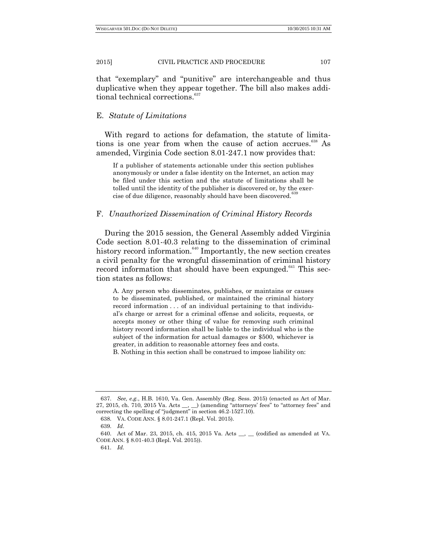that "exemplary" and "punitive" are interchangeable and thus duplicative when they appear together. The bill also makes additional technical corrections.<sup>637</sup>

## E. *Statute of Limitations*

With regard to actions for defamation, the statute of limitations is one year from when the cause of action accrues.<sup>638</sup> As amended, Virginia Code section 8.01-247.1 now provides that:

If a publisher of statements actionable under this section publishes anonymously or under a false identity on the Internet, an action may be filed under this section and the statute of limitations shall be tolled until the identity of the publisher is discovered or, by the exercise of due diligence, reasonably should have been discovered.<sup>6</sup>

## F. *Unauthorized Dissemination of Criminal History Records*

During the 2015 session, the General Assembly added Virginia Code section 8.01-40.3 relating to the dissemination of criminal history record information. $640$  Importantly, the new section creates a civil penalty for the wrongful dissemination of criminal history record information that should have been expunged.<sup>641</sup> This section states as follows:

A. Any person who disseminates, publishes, or maintains or causes to be disseminated, published, or maintained the criminal history record information . . . of an individual pertaining to that individual's charge or arrest for a criminal offense and solicits, requests, or accepts money or other thing of value for removing such criminal history record information shall be liable to the individual who is the subject of the information for actual damages or \$500, whichever is greater, in addition to reasonable attorney fees and costs.

B. Nothing in this section shall be construed to impose liability on:

<sup>637.</sup> *See, e.g.*, H.B. 1610, Va. Gen. Assembly (Reg. Sess. 2015) (enacted as Act of Mar. 27, 2015, ch. 710, 2015 Va. Acts \_\_, \_\_) (amending "attorneys' fees" to "attorney fees" and correcting the spelling of "judgment" in section 46.2-1527.10).

<sup>638.</sup> VA. CODE ANN. § 8.01-247.1 (Repl. Vol. 2015).

<sup>639.</sup> *Id*.

<sup>640.</sup> Act of Mar. 23, 2015, ch. 415, 2015 Va. Acts \_\_, \_\_ (codified as amended at VA. CODE ANN. § 8.01-40.3 (Repl. Vol. 2015)).

<sup>641.</sup> *Id.*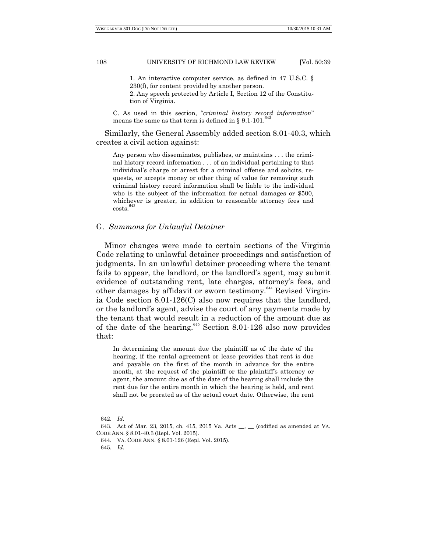1. An interactive computer service, as defined in 47 U.S.C. § 230(f), for content provided by another person. 2. Any speech protected by Article I, Section 12 of the Constitution of Virginia.

C. As used in this section, "*criminal history record information*" means the same as that term is defined in § [9.1-101.](http://law.lis.virginia.gov/vacode/9.1-101)<sup>642</sup>

Similarly, the General Assembly added section 8.01-40.3, which creates a civil action against:

Any person who disseminates, publishes, or maintains . . . the criminal history record information . . . of an individual pertaining to that individual's charge or arrest for a criminal offense and solicits, requests, or accepts money or other thing of value for removing such criminal history record information shall be liable to the individual who is the subject of the information for actual damages or \$500, whichever is greater, in addition to reasonable attorney fees and  $costs.<sup>64</sup>$ 

## G. *Summons for Unlawful Detainer*

Minor changes were made to certain sections of the Virginia Code relating to unlawful detainer proceedings and satisfaction of judgments. In an unlawful detainer proceeding where the tenant fails to appear, the landlord, or the landlord's agent, may submit evidence of outstanding rent, late charges, attorney's fees, and other damages by affidavit or sworn testimony.<sup>644</sup> Revised Virginia Code section 8.01-126(C) also now requires that the landlord, or the landlord's agent, advise the court of any payments made by the tenant that would result in a reduction of the amount due as of the date of the hearing. $645$  Section 8.01-126 also now provides that:

In determining the amount due the plaintiff as of the date of the hearing, if the rental agreement or lease provides that rent is due and payable on the first of the month in advance for the entire month, at the request of the plaintiff or the plaintiff's attorney or agent, the amount due as of the date of the hearing shall include the rent due for the entire month in which the hearing is held, and rent shall not be prorated as of the actual court date. Otherwise, the rent

<sup>642.</sup> *Id*.

<sup>643.</sup> Act of Mar. 23, 2015, ch. 415, 2015 Va. Acts \_\_, \_\_ (codified as amended at VA. CODE ANN. § 8.01-40.3 (Repl. Vol. 2015).

<sup>644.</sup> VA. CODE ANN. § 8.01-126 (Repl. Vol. 2015).

<sup>645.</sup> *Id*.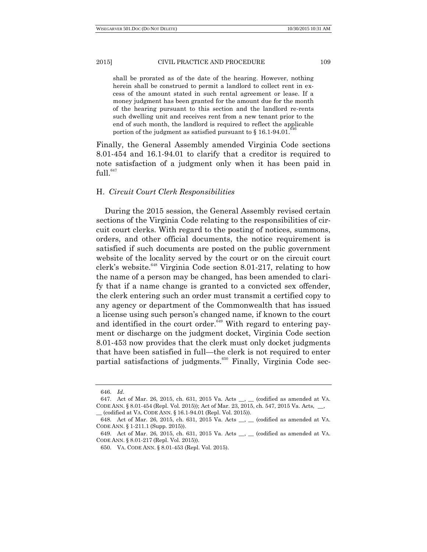shall be prorated as of the date of the hearing. However, nothing herein shall be construed to permit a landlord to collect rent in excess of the amount stated in such rental agreement or lease. If a money judgment has been granted for the amount due for the month of the hearing pursuant to this section and the landlord re-rents such dwelling unit and receives rent from a new tenant prior to the end of such month, the landlord is required to reflect the applicable  $\frac{646}{646}$ portion of the judgment as satisfied pursuant to § [16.1-94.01.](http://law.lis.virginia.gov/vacode/16.1-94.01)

Finally, the General Assembly amended Virginia Code sections 8.01-454 and 16.1-94.01 to clarify that a creditor is required to note satisfaction of a judgment only when it has been paid in  $full.<sup>647</sup>$ 

# H. *Circuit Court Clerk Responsibilities*

During the 2015 session, the General Assembly revised certain sections of the Virginia Code relating to the responsibilities of circuit court clerks. With regard to the posting of notices, summons, orders, and other official documents, the notice requirement is satisfied if such documents are posted on the public government website of the locality served by the court or on the circuit court clerk's website.<sup>648</sup> Virginia Code section 8.01-217, relating to how the name of a person may be changed, has been amended to clarify that if a name change is granted to a convicted sex offender, the clerk entering such an order must transmit a certified copy to any agency or department of the Commonwealth that has issued a license using such person's changed name, if known to the court and identified in the court order. $649$  With regard to entering payment or discharge on the judgment docket, Virginia Code section 8.01-453 now provides that the clerk must only docket judgments that have been satisfied in full—the clerk is not required to enter partial satisfactions of judgments.<sup>650</sup> Finally, Virginia Code sec-

<sup>646.</sup> *Id*.

<sup>647.</sup> Act of Mar. 26, 2015, ch. 631, 2015 Va. Acts \_\_, \_\_ (codified as amended at VA. CODE ANN. § 8.01-454 (Repl. Vol. 2015)); Act of Mar. 23, 2015, ch. 547, 2015 Va. Acts, \_ \_\_ (codified at VA. CODE ANN. § 16.1-94.01 (Repl. Vol. 2015)).

<sup>648.</sup> Act of Mar. 26, 2015, ch. 631, 2015 Va. Acts \_\_, \_\_ (codified as amended at VA. CODE ANN. § 1-211.1 (Supp. 2015)).

<sup>649.</sup> Act of Mar. 26, 2015, ch. 631, 2015 Va. Acts \_\_, \_\_ (codified as amended at VA. CODE ANN. § 8.01-217 (Repl. Vol. 2015)).

<sup>650.</sup> VA. CODE ANN. § 8.01-453 (Repl. Vol. 2015).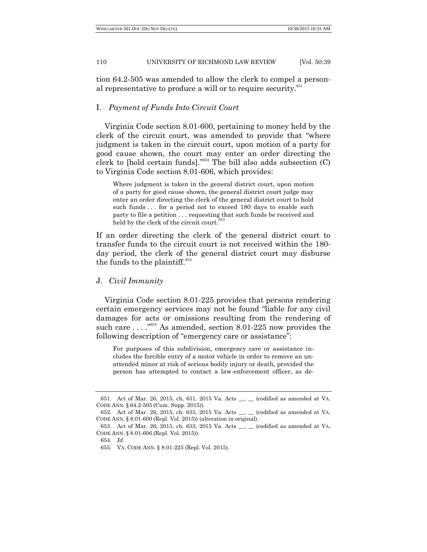tion 64.2-505 was amended to allow the clerk to compel a personal representative to produce a will or to require security.<sup>651</sup>

# I. *Payment of Funds Into Circuit Court*

Virginia Code section 8.01-600, pertaining to money held by the clerk of the circuit court, was amended to provide that "where judgment is taken in the circuit court, upon motion of a party for good cause shown, the court may enter an order directing the clerk to [hold certain funds]." $652$  The bill also adds subsection (C) to Virginia Code section 8.01-606, which provides:

Where judgment is taken in the general district court, upon motion of a party for good cause shown, the general district court judge may enter an order directing the clerk of the general district court to hold such funds . . . for a period not to exceed 180 days to enable such party to file a petition . . . requesting that such funds be received and held by the clerk of the circuit court.

If an order directing the clerk of the general district court to transfer funds to the circuit court is not received within the 180 day period, the clerk of the general district court may disburse the funds to the plaintiff.<sup>654</sup>

## J. *Civil Immunity*

Virginia Code section 8.01-225 provides that persons rendering certain emergency services may not be found "liable for any civil" damages for acts or omissions resulting from the rendering of such care  $\ldots$  <sup>655</sup>. As amended, section 8.01-225 now provides the following description of "emergency care or assistance":

For purposes of this subdivision, emergency care or assistance includes the forcible entry of a motor vehicle in order to remove an unattended minor at risk of serious bodily injury or death, provided the person has attempted to contact a law-enforcement officer, as de-

<sup>651.</sup> Act of Mar. 26, 2015, ch. 631, 2015 Va. Acts \_\_, \_\_ (codified as amended at VA. CODE ANN. § 64.2-505 (Cum. Supp. 2015)).

<sup>652.</sup> Act of Mar. 26, 2015, ch. 633, 2015 Va. Acts \_\_, \_\_ (codified as amended at VA. CODE ANN. § 8.01-600 (Repl. Vol. 2015)) (alteration in original).

<sup>653.</sup> Act of Mar. 26, 2015, ch. 633, 2015 Va. Acts \_\_, \_\_ (codified as amended at VA. CODE ANN. § 8.01-606 (Repl. Vol. 2015)).

<sup>654.</sup> *Id*.

<sup>655.</sup> VA. CODE ANN. § 8.01-225 (Repl. Vol. 2015).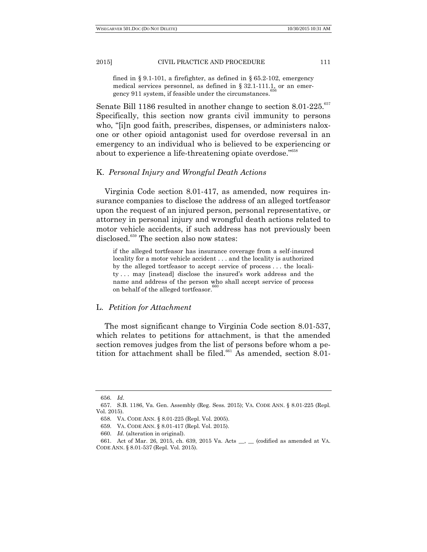2015] CIVIL PRACTICE AND PROCEDURE 111

fined in § [9.1-101,](http://law.lis.virginia.gov/vacode/9.1-101) a firefighter, as defined in § [65.2-102,](http://law.lis.virginia.gov/vacode/65.2-102) emergency medical services personnel, as defined in § [32.1-111.1,](http://law.lis.virginia.gov/vacode/32.1-111.1) or an emergency 911 system, if feasible under the circumstances.

Senate Bill 1186 resulted in another change to section 8.01-225.<sup>657</sup> Specifically, this section now grants civil immunity to persons who, "[i]n good faith, prescribes, dispenses, or administers naloxone or other opioid antagonist used for overdose reversal in an emergency to an individual who is believed to be experiencing or about to experience a life-threatening opiate overdose."<sup>658</sup>

## K. *Personal Injury and Wrongful Death Actions*

Virginia Code section 8.01-417, as amended, now requires insurance companies to disclose the address of an alleged tortfeasor upon the request of an injured person, personal representative, or attorney in personal injury and wrongful death actions related to motor vehicle accidents, if such address has not previously been disclosed.<sup>659</sup> The section also now states:

if the alleged tortfeasor has insurance coverage from a self-insured locality for a motor vehicle accident . . . and the locality is authorized by the alleged tortfeasor to accept service of process . . . the locality . . . may [instead] disclose the insured's work address and the name and address of the person who shall accept service of process on behalf of the alleged tortfeasor.

## L. *Petition for Attachment*

The most significant change to Virginia Code section 8.01-537, which relates to petitions for attachment, is that the amended section removes judges from the list of persons before whom a petition for attachment shall be filed.<sup>661</sup> As amended, section 8.01-

<sup>656.</sup> *Id*.

<sup>657.</sup> S.B. 1186, Va. Gen. Assembly (Reg. Sess. 2015); VA. CODE ANN. § 8.01-225 (Repl. Vol. 2015).

<sup>658.</sup> VA. CODE ANN. § 8.01-225 (Repl. Vol. 2005).

<sup>659.</sup> VA. CODE ANN. § 8.01-417 (Repl. Vol. 2015).

<sup>660.</sup> *Id*. (alteration in original).

<sup>661.</sup> Act of Mar. 26, 2015, ch. 639, 2015 Va. Acts \_\_, \_\_ (codified as amended at VA. CODE ANN. § 8.01-537 (Repl. Vol. 2015).